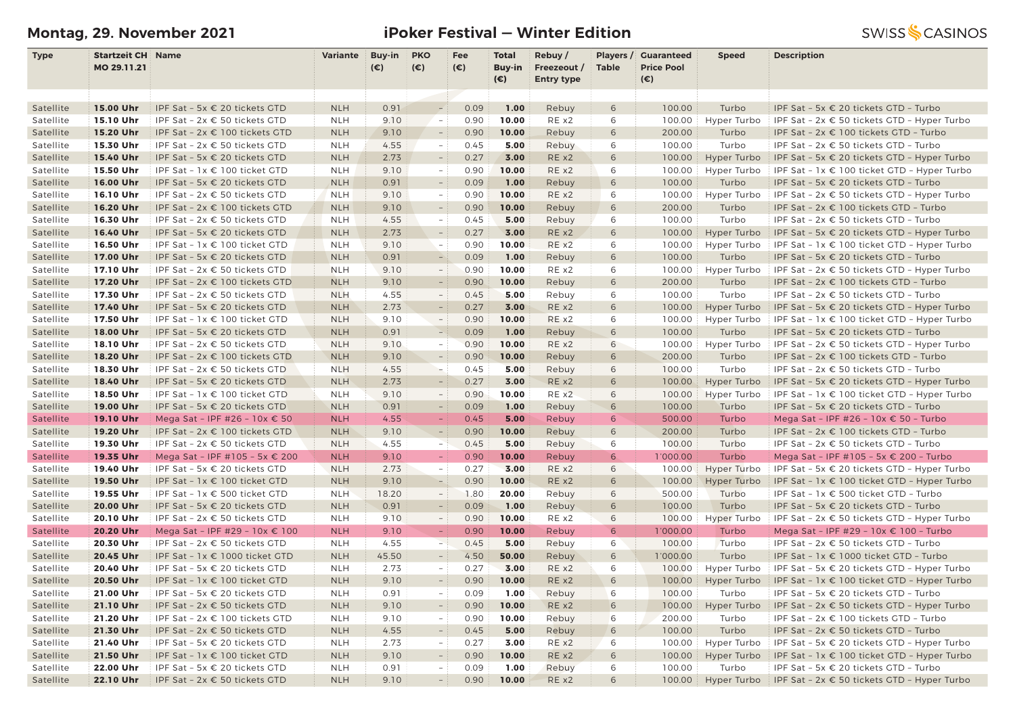# **Montag, 29. November 2021 iPoker Festival — Winter Edition**

| <b>Type</b> | <b>Startzeit CH Name</b> |                                        | Variante   | Buy-in | <b>PKO</b>               | Fee          | <b>Total</b>  | Rebuy/            | Players /    | <b>Guaranteed</b> | <b>Speed</b> | <b>Description</b>                                                                            |
|-------------|--------------------------|----------------------------------------|------------|--------|--------------------------|--------------|---------------|-------------------|--------------|-------------------|--------------|-----------------------------------------------------------------------------------------------|
|             | MO 29.11.21              |                                        |            | (€)    | $(\epsilon)$             | $(\epsilon)$ | Buy-in        | Freezeout /       | <b>Table</b> | <b>Price Pool</b> |              |                                                                                               |
|             |                          |                                        |            |        |                          |              | $(\epsilon)$  | <b>Entry type</b> |              | (€)               |              |                                                                                               |
|             |                          |                                        |            |        | $\overline{\phantom{a}}$ |              |               |                   |              |                   |              |                                                                                               |
| Satellite   | 15.00 Uhr                | IPF Sat - 5x € 20 tickets GTD          | <b>NLH</b> | 0.91   |                          | 0.09         | 1.00<br>10.00 | Rebuy             | 6            | 100.00            | Turbo        | IPF Sat - 5x $\epsilon$ 20 tickets GTD - Turbo<br>IPF Sat - 2x € 50 tickets GTD - Hyper Turbo |
| Satellite   | 15.10 Uhr                | IPF Sat - 2x € 50 tickets GTD          | <b>NLH</b> | 9.10   | $\overline{\phantom{a}}$ | 0.90         |               | RE x2             | 6            | 100.00            | Hyper Turbo  |                                                                                               |
| Satellite   | 15.20 Uhr                | IPF Sat - 2x € 100 tickets GTD         | <b>NLH</b> | 9.10   | $ \,$                    | 0.90         | 10.00         | Rebuy             | 6            | 200.00            | Turbo        | IPF Sat - 2x € 100 tickets GTD - Turbo                                                        |
| Satellite   | 15.30 Uhr                | IPF Sat - 2x € 50 tickets GTD          | <b>NLH</b> | 4.55   | $\equiv$                 | 0.45         | 5.00          | Rebuy             | 6            | 100.00            | Turbo        | IPF Sat - 2x € 50 tickets GTD - Turbo                                                         |
| Satellite   | 15.40 Uhr                | IPF Sat - 5x € 20 tickets GTD          | <b>NLH</b> | 2.73   | $\overline{\phantom{a}}$ | 0.27         | 3.00          | RE x2             | 6            | 100.00            | Hyper Turbo  | IPF Sat - 5x $\epsilon$ 20 tickets GTD - Hyper Turbo                                          |
| Satellite   | 15.50 Uhr                | IPF Sat - 1x € 100 ticket GTD          | <b>NLH</b> | 9.10   | $\equiv$                 | 0.90         | 10.00         | RE x2             | 6            | 100.00            | Hyper Turbo  | IPF Sat - $1x \in 100$ ticket GTD - Hyper Turbo                                               |
| Satellite   | 16.00 Uhr                | IPF Sat - 5x € 20 tickets GTD          | <b>NLH</b> | 0.91   | $ \,$                    | 0.09         | 1.00          | Rebuy             | 6            | 100.00            | Turbo        | IPF Sat - 5x € 20 tickets GTD - Turbo                                                         |
| Satellite   | 16.10 Uhr                | IPF Sat - 2x € 50 tickets GTD          | <b>NLH</b> | 9.10   | $-$ :                    | 0.90         | 10.00         | RE x2             | 6            | 100.00            | Hyper Turbo  | IPF Sat - $2x \in 50$ tickets GTD - Hyper Turbo                                               |
| Satellite   | 16.20 Uhr                | IPF Sat - 2x € 100 tickets GTD         | <b>NLH</b> | 9.10   | $ \,$                    | 0.90         | 10.00         | Rebuy             | 6            | 200.00            | Turbo        | IPF Sat - 2x € 100 tickets GTD - Turbo                                                        |
| Satellite   | 16.30 Uhr                | IPF Sat - 2x € 50 tickets GTD          | <b>NLH</b> | 4.55   | $\sim$                   | 0.45         | 5.00          | Rebuy             | 6            | 100.00            | Turbo        | IPF Sat - 2x € 50 tickets GTD - Turbo                                                         |
| Satellite   | 16.40 Uhr                | IPF Sat - 5x € 20 tickets GTD          | <b>NLH</b> | 2.73   | $\overline{\phantom{a}}$ | 0.27         | 3.00          | RE x2             | 6            | 100.00            | Hyper Turbo  | IPF Sat - 5x $\epsilon$ 20 tickets GTD - Hyper Turbo                                          |
| Satellite   | 16.50 Uhr                | IPF Sat - $1x \in 100$ ticket GTD      | <b>NLH</b> | 9.10   | $\overline{\phantom{a}}$ | 0.90         | 10.00         | RE x2             | 6            | 100.00            | Hyper Turbo  | IPF Sat - $1x \in 100$ ticket GTD - Hyper Turbo                                               |
| Satellite   | 17.00 Uhr                | IPF Sat - 5x € 20 tickets GTD          | <b>NLH</b> | 0.91   | $-$                      | 0.09         | 1.00          | Rebuy             | 6            | 100.00            | Turbo        | IPF Sat - 5x € 20 tickets GTD - Turbo                                                         |
| Satellite   | 17.10 Uhr                | IPF Sat - 2x € 50 tickets GTD          | <b>NLH</b> | 9.10   | $\overline{\phantom{a}}$ | 0.90         | 10.00         | RE x2             | 6            | 100.00            | Hyper Turbo  | IPF Sat - $2x \in 50$ tickets GTD - Hyper Turbo                                               |
| Satellite   | 17.20 Uhr                | IPF Sat - 2x € 100 tickets GTD         | <b>NLH</b> | 9.10   | $-$                      | 0.90         | 10.00         | Rebuy             | 6            | 200.00            | Turbo        | IPF Sat - 2x € 100 tickets GTD - Turbo                                                        |
| Satellite   | 17.30 Uhr                | IPF Sat - 2x € 50 tickets GTD          | <b>NLH</b> | 4.55   | $\overline{\phantom{a}}$ | 0.45         | 5.00          | Rebuy             | 6            | 100.00            | Turbo        | IPF Sat - 2x € 50 tickets GTD - Turbo                                                         |
| Satellite   | 17.40 Uhr                | IPF Sat - 5x € 20 tickets GTD          | <b>NLH</b> | 2.73   | $ \,$                    | 0.27         | 3.00          | RE x2             | 6            | 100.00            | Hyper Turbo  | IPF Sat - 5x € 20 tickets GTD - Hyper Turbo                                                   |
| Satellite   | 17.50 Uhr                | IPF Sat - 1x € 100 ticket GTD          | <b>NLH</b> | 9.10   | $\sim$                   | 0.90         | 10.00         | RE x2             | 6            | 100.00            | Hyper Turbo  | IPF Sat - $1x \in 100$ ticket GTD - Hyper Turbo                                               |
| Satellite   | 18.00 Uhr                | IPF Sat - 5x € 20 tickets GTD          | <b>NLH</b> | 0.91   | A.                       | 0.09         | 1.00          | Rebuy             | 6            | 100.00            | Turbo        | IPF Sat - 5x € 20 tickets GTD - Turbo                                                         |
| Satellite   | 18.10 Uhr                | IPF Sat - 2x € 50 tickets GTD          | <b>NLH</b> | 9.10   | $\sim$                   | 0.90         | 10.00         | RE x2             | 6            | 100.00            | Hyper Turbo  | IPF Sat - $2x \in 50$ tickets GTD - Hyper Turbo                                               |
| Satellite   | 18.20 Uhr                | IPF Sat - 2x € 100 tickets GTD         | <b>NLH</b> | 9.10   | $ \,$                    | 0.90         | 10.00         | Rebuy             | 6            | 200.00            | Turbo        | IPF Sat - 2x € 100 tickets GTD - Turbo                                                        |
| Satellite   | 18.30 Uhr                | IPF Sat - 2x € 50 tickets GTD          | <b>NLH</b> | 4.55   | $-$                      | 0.45         | 5.00          | Rebuy             | 6            | 100.00            | Turbo        | IPF Sat - $2x \in 50$ tickets GTD - Turbo                                                     |
| Satellite   | 18.40 Uhr                | IPF Sat - 5x € 20 tickets GTD          | <b>NLH</b> | 2.73   | $ \,$                    | 0.27         | 3.00          | RE x2             | 6            | 100.00            | Hyper Turbo  | IPF Sat - 5x $\epsilon$ 20 tickets GTD - Hyper Turbo                                          |
| Satellite   | 18.50 Uhr                | IPF Sat - 1x € 100 ticket GTD          | <b>NLH</b> | 9.10   | $-$ :                    | 0.90         | 10.00         | RE x2             | 6            | 100.00            | Hyper Turbo  | IPF Sat - 1x € 100 ticket GTD - Hyper Turbo                                                   |
| Satellite   | 19.00 Uhr                | IPF Sat - 5x € 20 tickets GTD          | <b>NLH</b> | 0.91   | $ \,$                    | 0.09         | 1.00          | Rebuy             | 6            | 100.00            | Turbo        | IPF Sat - 5x $\epsilon$ 20 tickets GTD - Turbo                                                |
| Satellite   | 19.10 Uhr                | Mega Sat - IPF #26 - 10x € 50          | <b>NLH</b> | 4.55   | $\equiv$                 | 0.45         | 5.00          | Rebuy             | 6            | 500.00            | Turbo        | Mega Sat - IPF #26 - 10x € 50 - Turbo                                                         |
| Satellite   | 19.20 Uhr                | IPF Sat - 2x € 100 tickets GTD         | <b>NLH</b> | 9.10   | $-$                      | 0.90         | 10.00         | Rebuy             | 6            | 200.00            | Turbo        | IPF Sat - 2x € 100 tickets GTD - Turbo                                                        |
| Satellite   | 19.30 Uhr                | IPF Sat - 2x € 50 tickets GTD          | <b>NLH</b> | 4.55   | $\sim$                   | 0.45         | 5.00          | Rebuy             | 6            | 100.00            | Turbo        | IPF Sat - $2x \in 50$ tickets GTD - Turbo                                                     |
| Satellite   | 19.35 Uhr                | Mega Sat - IPF #105 - 5x € 200         | <b>NLH</b> | 9.10   | $\sim$                   | 0.90         | 10.00         | Rebuy             | 6            | 1'000.00          | Turbo        | Mega Sat - IPF #105 - 5x € 200 - Turbo                                                        |
| Satellite   | 19.40 Uhr                | IPF Sat - 5x € 20 tickets GTD          | <b>NLH</b> | 2.73   | $\sim$                   | 0.27         | 3.00          | RE x2             | 6            | 100.00            | Hyper Turbo  | IPF Sat - 5x $\epsilon$ 20 tickets GTD - Hyper Turbo                                          |
| Satellite   | 19.50 Uhr                | IPF Sat - 1x € 100 ticket GTD          | <b>NLH</b> | 9.10   | $\frac{1}{2}$            | 0.90         | 10.00         | RE x2             | 6            | 100.00            | Hyper Turbo  | IPF Sat - $1x \in 100$ ticket GTD - Hyper Turbo                                               |
| Satellite   | 19.55 Uhr                | IPF Sat - 1x € 500 ticket GTD          | <b>NLH</b> | 18.20  | $\sim$                   | 1.80         | 20.00         | Rebuy             | 6            | 500.00            | Turbo        | IPF Sat - 1x € 500 ticket GTD - Turbo                                                         |
| Satellite   | 20.00 Uhr                | IPF Sat - 5x € 20 tickets GTD          | <b>NLH</b> | 0.91   | $\overline{\phantom{a}}$ | 0.09         | 1.00          | Rebuy             | 6            | 100.00            | Turbo        | IPF Sat - 5x € 20 tickets GTD - Turbo                                                         |
| Satellite   | 20.10 Uhr                | IPF Sat - 2x € 50 tickets GTD          | <b>NLH</b> | 9.10   | $\overline{\phantom{a}}$ | 0.90         | 10.00         | RE x2             | 6            | 100.00            | Hyper Turbo  | IPF Sat - $2x \in 50$ tickets GTD - Hyper Turbo                                               |
| Satellite   | 20.20 Uhr                | Mega Sat - IPF #29 - 10x € 100         | <b>NLH</b> | 9.10   | $\equiv$                 | 0.90         | 10.00         | Rebuy             | 6            | 1'000.00          | Turbo        | Mega Sat - IPF #29 - 10x € 100 - Turbo                                                        |
| Satellite   | 20.30 Uhr                | IPF Sat - $2x \in 50$ tickets GTD      | <b>NLH</b> | 4.55   | $\rightarrow$            | 0.45         | 5.00          | Rebuy             | 6            | 100.00            | Turbo        | IPF Sat - $2x \in 50$ tickets GTD - Turbo                                                     |
| Satellite   | 20.45 Uhr                | IPF Sat - $1x \in 1000$ ticket GTD     | <b>NLH</b> | 45.50  | $-$                      | 4.50         | 50.00         | Rebuy             | 6            | 1'000.00          | Turbo        | IPF Sat - $1x \in 1000$ ticket GTD - Turbo                                                    |
| Satellite   | 20.40 Uhr                | IPF Sat - 5x $\epsilon$ 20 tickets GTD | <b>NLH</b> | 2.73   | $ \,$                    | 0.27         | 3.00          | RE x2             | 6            | 100.00            | Hyper Turbo  | IPF Sat - 5x $\epsilon$ 20 tickets GTD - Hyper Turbo                                          |
| Satellite   | 20.50 Uhr                | IPF Sat - 1x € 100 ticket GTD          | <b>NLH</b> | 9.10   | $-$ :                    | 0.90         | 10.00         | RE x2             | 6            | 100.00            | Hyper Turbo  | IPF Sat - 1x € 100 ticket GTD - Hyper Turbo                                                   |
| Satellite   | 21.00 Uhr                | IPF Sat - 5x € 20 tickets GTD          | <b>NLH</b> | 0.91   | $\overline{\phantom{a}}$ | 0.09         | 1.00          | Rebuy             | 6            | 100.00            | Turbo        | IPF Sat - 5x € 20 tickets GTD - Turbo                                                         |
| Satellite   | 21.10 Uhr                | IPF Sat - $2x \in 50$ tickets GTD      | <b>NLH</b> | 9.10   | $ \,$                    | 0.90         | 10.00         | RE x2             | 6            | 100.00            |              | Hyper Turbo   IPF Sat - $2x \in 50$ tickets GTD - Hyper Turbo                                 |
| Satellite   | 21.20 Uhr                | IPF Sat - 2x € 100 tickets GTD         | <b>NLH</b> | 9.10   | $-$ :                    | 0.90         | 10.00         | Rebuy             | 6            | 200.00            | Turbo        | IPF Sat - 2x € 100 tickets GTD - Turbo                                                        |
| Satellite   | 21.30 Uhr                | IPF Sat - $2x \in 50$ tickets GTD      | <b>NLH</b> | 4.55   | $\sim$                   | 0.45         | 5.00          | Rebuy             | 6            | 100.00            | Turbo        | IPF Sat - $2x \in 50$ tickets GTD - Turbo                                                     |
| Satellite   | 21.40 Uhr                | IPF Sat - 5x € 20 tickets GTD          | <b>NLH</b> | 2.73   | $-1$                     | 0.27         | 3.00          | RE x2             | 6            | 100.00            | Hyper Turbo  | IPF Sat - $5x \in 20$ tickets GTD - Hyper Turbo                                               |
| Satellite   | 21.50 Uhr                | IPF Sat - $1x \in 100$ ticket GTD      | <b>NLH</b> | 9.10   | $\overline{\phantom{a}}$ | 0.90         | 10.00         | RE x2             | 6            | 100.00            | Hyper Turbo  | IPF Sat - $1x \in 100$ ticket GTD - Hyper Turbo                                               |
| Satellite   | 22.00 Uhr                | IPF Sat - 5x € 20 tickets GTD          | <b>NLH</b> | 0.91   | $-1$                     | 0.09         | 1.00          | Rebuy             | 6            | 100.00            | Turbo        | IPF Sat - 5x € 20 tickets GTD - Turbo                                                         |
| Satellite   | 22.10 Uhr                | IPF Sat - $2x \in 50$ tickets GTD      | <b>NLH</b> | 9.10   | $-$ :                    | 0.90         | 10.00         | RE x2             | 6            | 100.00            |              | Hyper Turbo   IPF Sat - $2x \in 50$ tickets GTD - Hyper Turbo                                 |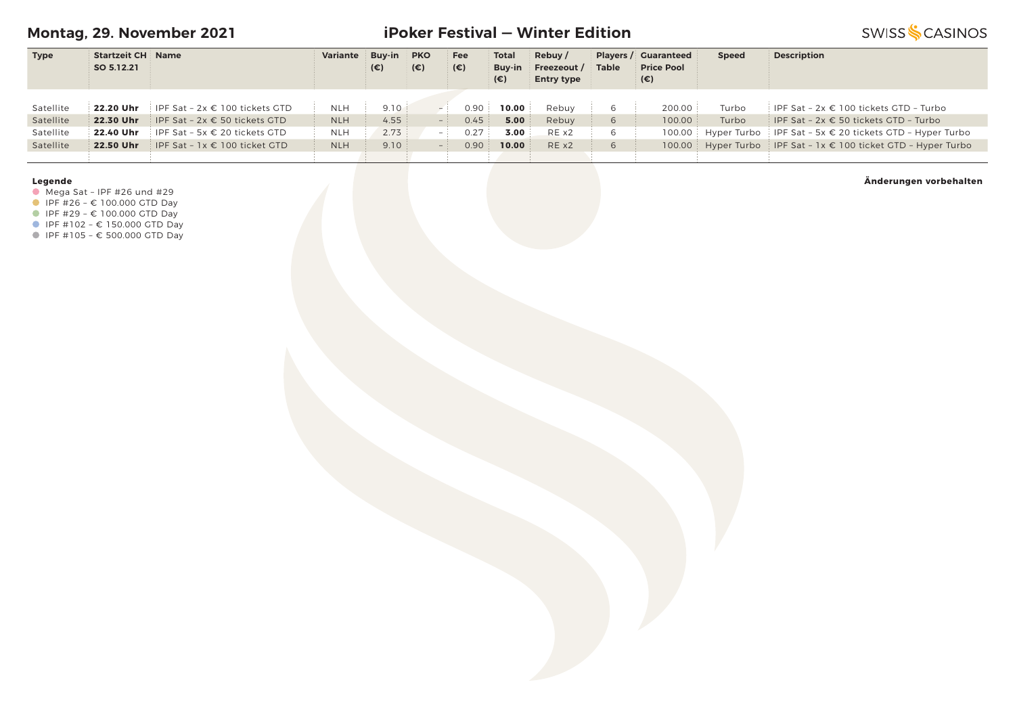**Montag, 29. November 2021**

# **iPoker Festival — Winter Edition**

**SWISS SCASINOS** 

| <b>Type</b> | <b>Startzeit CH Name</b> |                                                    | Variante   | <b>Buv-in</b> | <b>PKO</b>   | Fee          | <b>Total</b> | Rebuy/            |              | <b>Players / Guaranteed</b> | <b>Speed</b> | <b>Description</b>                                             |
|-------------|--------------------------|----------------------------------------------------|------------|---------------|--------------|--------------|--------------|-------------------|--------------|-----------------------------|--------------|----------------------------------------------------------------|
|             | SO 5.12.21               |                                                    |            | $(\epsilon)$  | $(\epsilon)$ | $(\epsilon)$ | Buv-in       | Freezeout /       | <b>Table</b> | <b>Price Pool</b>           |              |                                                                |
|             |                          |                                                    |            |               |              |              | (€)          | <b>Entry type</b> |              | (€)                         |              |                                                                |
|             |                          |                                                    |            |               |              |              |              |                   |              |                             |              |                                                                |
| Satellite   |                          | <b>22.20 Uhr</b> IPF Sat $-2x \in 100$ tickets GTD | NLH        | 9.10          |              | 0.90         | 10.00        | Rebuv             | 6            | 200.00                      | Turbo        | IPF Sat - $2x \in 100$ tickets GTD - Turbo                     |
| Satellite   |                          | <b>22.30 Uhr</b> IPF Sat - $2x \in 50$ tickets GTD | <b>NLH</b> | 4.55          |              | 0.45         | 5.00         | Rebuy             | 6            | 100.00                      | Turbo        | IPF Sat - $2x \in 50$ tickets GTD - Turbo                      |
| Satellite   |                          | <b>22.40 Uhr</b> IPF Sat - 5x $\in$ 20 tickets GTD | <b>NLH</b> | 2.73          | $-1$         | 0.27         | 3.00         | REX2              | 6            |                             |              | 100.00 Hyper Turbo IPF Sat - 5x € 20 tickets GTD - Hyper Turbo |
| Satellite   | 22.50 Uhr                | IPF Sat - $1x \in 100$ ticket GTD                  | <b>NLH</b> | 9.10          |              | 0.90         | 10.00        | REX2              | 6            |                             |              | 100.00 Hyper Turbo IPF Sat - 1x € 100 ticket GTD - Hyper Turbo |
|             |                          |                                                    |            |               |              |              |              |                   |              |                             |              |                                                                |

### **Legende**

 $\bullet$  Mega Sat - IPF #26 und #29

 $I = \{100.000 \text{ GTD} \}$ 

IPF #29 – € 100.000 GTD Day

■ IPF #102 - € 150.000 GTD Day

IPF #105 – € 500.000 GTD Day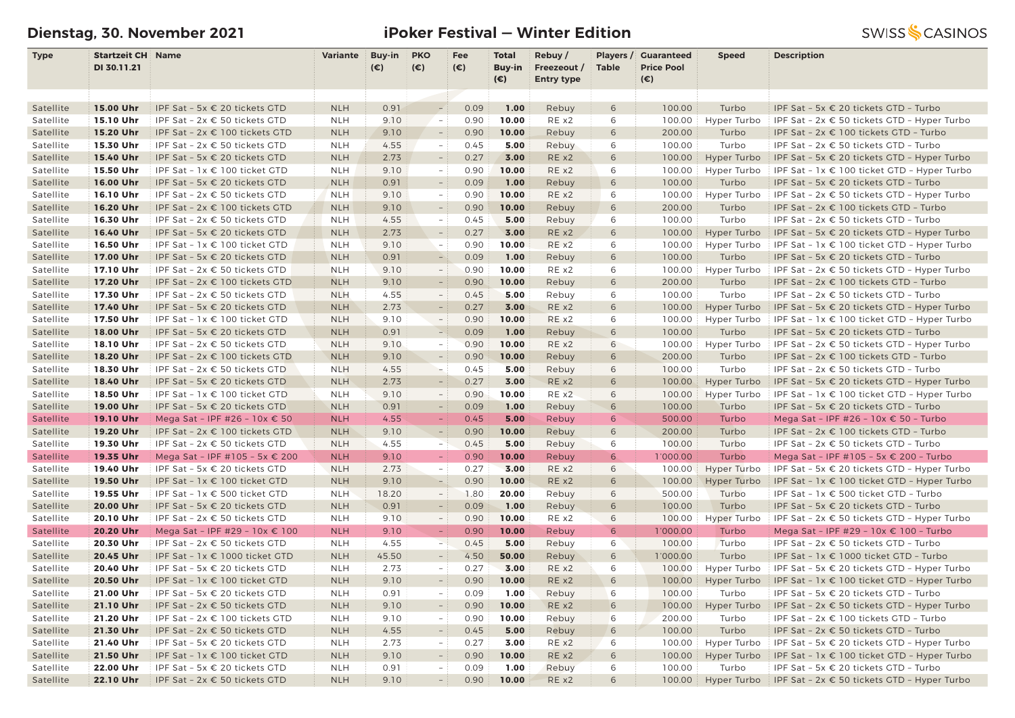# **Dienstag, 30. November 2021 iPoker Festival — Winter Edition**

| <b>Type</b>            | <b>Startzeit CH Name</b> |                                                                 | Variante                 | Buy-in       | <b>PKO</b>               | Fee          | Total         | Rebuy/            | Players /    | <b>Guaranteed</b> | <b>Speed</b>   | <b>Description</b>                                                              |
|------------------------|--------------------------|-----------------------------------------------------------------|--------------------------|--------------|--------------------------|--------------|---------------|-------------------|--------------|-------------------|----------------|---------------------------------------------------------------------------------|
|                        | DI 30.11.21              |                                                                 |                          | $(\epsilon)$ | $(\epsilon)$             | $(\epsilon)$ | <b>Buy-in</b> | Freezeout /       | <b>Table</b> | <b>Price Pool</b> |                |                                                                                 |
|                        |                          |                                                                 |                          |              |                          |              | $(\epsilon)$  | <b>Entry type</b> |              | (€)               |                |                                                                                 |
|                        |                          |                                                                 |                          |              |                          |              |               |                   |              |                   |                |                                                                                 |
| Satellite              | 15.00 Uhr                | IPF Sat - 5x € 20 tickets GTD                                   | <b>NLH</b>               | 0.91         | $\overline{\phantom{a}}$ | 0.09         | 1.00          | Rebuy             | 6            | 100.00            | Turbo          | IPF Sat - 5x € 20 tickets GTD - Turbo                                           |
| Satellite              | 15.10 Uhr                | IPF Sat - 2x € 50 tickets GTD                                   | <b>NLH</b>               | 9.10         | $\sim$                   | 0.90         | 10.00         | RE x2             | 6            | 100.00            | Hyper Turbo    | IPF Sat - $2x \in 50$ tickets GTD - Hyper Turbo                                 |
| Satellite              | 15.20 Uhr                | IPF Sat - 2x € 100 tickets GTD                                  | <b>NLH</b>               | 9.10         | $ \,$                    | 0.90         | 10.00         | Rebuy             | 6            | 200.00            | Turbo          | IPF Sat - 2x € 100 tickets GTD - Turbo                                          |
| Satellite              | 15.30 Uhr                | IPF Sat - 2x € 50 tickets GTD                                   | <b>NLH</b>               | 4.55         | $\sim$                   | 0.45         | 5.00          | Rebuy             | 6            | 100.00            | Turbo          | IPF Sat - 2x € 50 tickets GTD - Turbo                                           |
| Satellite              | 15.40 Uhr                | IPF Sat - 5x € 20 tickets GTD                                   | <b>NLH</b>               | 2.73         | $\overline{\phantom{a}}$ | 0.27         | 3.00          | RE x2             | 6            | 100.00            | Hyper Turbo    | IPF Sat - 5x $\epsilon$ 20 tickets GTD - Hyper Turbo                            |
| Satellite              | 15.50 Uhr                | IPF Sat - 1x € 100 ticket GTD                                   | <b>NLH</b>               | 9.10         | $\overline{\phantom{a}}$ | 0.90         | 10.00         | RE x2             | 6            | 100.00            | Hyper Turbo    | IPF Sat - $1x \in 100$ ticket GTD - Hyper Turbo                                 |
| Satellite              | 16.00 Uhr                | IPF Sat - 5x € 20 tickets GTD                                   | <b>NLH</b>               | 0.91         | $ \,$                    | 0.09         | 1.00          | Rebuy             | 6            | 100.00            | Turbo          | IPF Sat - 5x € 20 tickets GTD - Turbo                                           |
| Satellite              | 16.10 Uhr                | IPF Sat - 2x € 50 tickets GTD                                   | <b>NLH</b>               | 9.10         | $\overline{\phantom{a}}$ | 0.90         | 10.00         | RE x2             | 6            | 100.00            | Hyper Turbo    | IPF Sat - $2x \in 50$ tickets GTD - Hyper Turbo                                 |
| Satellite              | 16.20 Uhr                | IPF Sat - 2x € 100 tickets GTD                                  | <b>NLH</b>               | 9.10         | $\overline{\phantom{a}}$ | 0.90         | 10.00         | Rebuy             | 6            | 200.00            | Turbo          | IPF Sat - 2x € 100 tickets GTD - Turbo                                          |
| Satellite              | 16.30 Uhr                | IPF Sat - 2x € 50 tickets GTD                                   | <b>NLH</b>               | 4.55         | $\overline{\phantom{a}}$ | 0.45         | 5.00          | Rebuy             | 6            | 100.00            | Turbo          | IPF Sat - 2x € 50 tickets GTD - Turbo                                           |
| Satellite              | 16.40 Uhr                | IPF Sat - 5x $\epsilon$ 20 tickets GTD                          | <b>NLH</b>               | 2.73         | $ \,$                    | 0.27         | 3.00          | RE x2             | 6            | 100.00            | Hyper Turbo    | IPF Sat - 5x $\epsilon$ 20 tickets GTD - Hyper Turbo                            |
| Satellite              | 16.50 Uhr                | IPF Sat - 1x € 100 ticket GTD                                   | <b>NLH</b>               | 9.10         | $\overline{\phantom{a}}$ | 0.90         | 10.00         | RE x2             | 6            | 100.00            | Hyper Turbo    | IPF Sat - $1x \in 100$ ticket GTD - Hyper Turbo                                 |
| Satellite              | 17.00 Uhr                | IPF Sat - 5x € 20 tickets GTD                                   | <b>NLH</b>               | 0.91         | $\frac{1}{2}$            | 0.09         | 1.00          | Rebuy             | 6            | 100.00            | Turbo          | IPF Sat - 5x € 20 tickets GTD - Turbo                                           |
| Satellite              | 17.10 Uhr                | IPF Sat - 2x € 50 tickets GTD                                   | <b>NLH</b>               | 9.10         | $\overline{\phantom{a}}$ | 0.90         | 10.00         | RE x2             | 6            | 100.00            | Hyper Turbo    | IPF Sat - $2x \in 50$ tickets GTD - Hyper Turbo                                 |
| Satellite              | 17.20 Uhr                | IPF Sat - 2x € 100 tickets GTD                                  | <b>NLH</b>               | 9.10         | $\sim$                   | 0.90         | 10.00         | Rebuy             | 6            | 200.00            | Turbo          | IPF Sat - 2x € 100 tickets GTD - Turbo                                          |
| Satellite              | 17.30 Uhr                | IPF Sat - $2x \in 50$ tickets GTD                               | <b>NLH</b>               | 4.55         | $-$                      | 0.45         | 5.00          | Rebuy             | 6            | 100.00            | Turbo          | IPF Sat - 2x € 50 tickets GTD - Turbo                                           |
| Satellite              | 17.40 Uhr                | IPF Sat - 5x € 20 tickets GTD                                   | <b>NLH</b>               | 2.73         | $\overline{\phantom{a}}$ | 0.27         | 3.00          | RE x2             | 6            | 100.00            | Hyper Turbo    | IPF Sat - 5x $\epsilon$ 20 tickets GTD - Hyper Turbo                            |
| Satellite              | 17.50 Uhr                | IPF Sat - 1x € 100 ticket GTD                                   | <b>NLH</b>               | 9.10         | $\equiv$                 | 0.90         | 10.00         | RE x2             | 6            | 100.00            | Hyper Turbo    | IPF Sat - $1x \in 100$ ticket GTD - Hyper Turbo                                 |
| Satellite              | 18.00 Uhr                | IPF Sat - 5x € 20 tickets GTD                                   | <b>NLH</b>               | 0.91         | $\overline{\phantom{a}}$ | 0.09         | 1.00          | Rebuy             | 6            | 100.00            | Turbo          | IPF Sat - 5x € 20 tickets GTD - Turbo                                           |
| Satellite              | 18.10 Uhr                | IPF Sat - 2x € 50 tickets GTD                                   | <b>NLH</b>               | 9.10         | $\overline{\phantom{a}}$ | 0.90         | 10.00         | RE x2             | 6            | 100.00            | Hyper Turbo    | IPF Sat - $2x \in 50$ tickets GTD - Hyper Turbo                                 |
| Satellite              | 18.20 Uhr                | IPF Sat - 2x € 100 tickets GTD                                  | <b>NLH</b>               | 9.10         | $\overline{\phantom{a}}$ | 0.90         | 10.00         | Rebuy             | 6            | 200.00            | Turbo          | IPF Sat - 2x € 100 tickets GTD - Turbo                                          |
| Satellite              | 18.30 Uhr                | IPF Sat - $2x \in 50$ tickets GTD                               | <b>NLH</b>               | 4.55         | $\frac{1}{2}$            | 0.45         | 5.00          | Rebuy             | 6            | 100.00            | Turbo          | IPF Sat - 2x € 50 tickets GTD - Turbo                                           |
| Satellite              | 18.40 Uhr                | IPF Sat - 5x € 20 tickets GTD                                   | <b>NLH</b>               | 2.73         | $\equiv$                 | 0.27         | 3.00          | RE x2             | 6            | 100.00            | Hyper Turbo    | IPF Sat - 5x $\epsilon$ 20 tickets GTD - Hyper Turbo                            |
| Satellite              | 18.50 Uhr                | IPF Sat - 1x € 100 ticket GTD                                   | <b>NLH</b>               | 9.10         | $\equiv$                 | 0.90         | 10.00         | RE x2             | 6            | 100.00            | Hyper Turbo    | IPF Sat - $1x \in 100$ ticket GTD - Hyper Turbo                                 |
| Satellite              | 19.00 Uhr                | IPF Sat - 5x € 20 tickets GTD                                   | <b>NLH</b>               | 0.91         | $ \,$                    | 0.09<br>0.45 | 1.00<br>5.00  | Rebuy             | 6<br>6       | 100.00            | Turbo          | IPF Sat - 5x € 20 tickets GTD - Turbo                                           |
| Satellite              | 19.10 Uhr<br>19.20 Uhr   | Mega Sat - IPF #26 - 10x € 50<br>IPF Sat - 2x € 100 tickets GTD | <b>NLH</b><br><b>NLH</b> | 4.55<br>9.10 | $\overline{\phantom{a}}$ | 0.90         | 10.00         | Rebuy             | 6            | 500.00            | Turbo<br>Turbo | Mega Sat - IPF #26 - 10x € 50 - Turbo<br>IPF Sat - 2x € 100 tickets GTD - Turbo |
| Satellite<br>Satellite | 19.30 Uhr                | IPF Sat - 2x € 50 tickets GTD                                   | <b>NLH</b>               | 4.55         | $-$                      | 0.45         | 5.00          | Rebuy<br>Rebuy    | 6            | 200.00<br>100.00  | Turbo          | IPF Sat - 2x € 50 tickets GTD - Turbo                                           |
| Satellite              | 19.35 Uhr                | Mega Sat - IPF #105 - 5x € 200                                  | <b>NLH</b>               | 9.10         | $\equiv$                 | 0.90         | 10.00         | Rebuy             | 6            | 1'000.00          | Turbo          | Mega Sat - IPF #105 - 5x $\epsilon$ 200 - Turbo                                 |
| Satellite              | 19.40 Uhr                | IPF Sat - 5x € 20 tickets GTD                                   | <b>NLH</b>               | 2.73         | $-$                      | 0.27         | 3.00          | RE x2             | 6            | 100.00            | Hyper Turbo    | IPF Sat - 5x $\epsilon$ 20 tickets GTD - Hyper Turbo                            |
| Satellite              | 19.50 Uhr                | IPF Sat - 1x € 100 ticket GTD                                   | <b>NLH</b>               | 9.10         | $-$                      | 0.90         | 10.00         | RE x2             | 6            | 100.00            | Hyper Turbo    | IPF Sat - $1x \in 100$ ticket GTD - Hyper Turbo                                 |
| Satellite              | 19.55 Uhr                | IPF Sat - 1x € 500 ticket GTD                                   | <b>NLH</b>               | 18.20        | $\sim$                   | 1.80         | 20.00         | Rebuy             | 6            | 500.00            | Turbo          | IPF Sat - 1x € 500 ticket GTD - Turbo                                           |
| Satellite              | 20.00 Uhr                | IPF Sat - 5x € 20 tickets GTD                                   | <b>NLH</b>               | 0.91         | $\sim$                   | 0.09         | 1.00          | Rebuy             | 6            | 100.00            | Turbo          | IPF Sat - 5x € 20 tickets GTD - Turbo                                           |
| Satellite              | 20.10 Uhr                | IPF Sat - $2x \in 50$ tickets GTD                               | <b>NLH</b>               | 9.10         | $ \,$                    | 0.90         | 10.00         | RE x2             | 6            | 100.00            | Hyper Turbo    | IPF Sat - $2x \in 50$ tickets GTD - Hyper Turbo                                 |
| Satellite              | 20.20 Uhr                | Mega Sat - IPF #29 - 10x € 100                                  | <b>NLH</b>               | 9.10         | $\sim$                   | 0.90         | 10.00         | Rebuy             | 6            | 1'000.00          | Turbo          | Mega Sat - IPF #29 - 10x € 100 - Turbo                                          |
| Satellite              | 20.30 Uhr                | IPF Sat - 2x € 50 tickets GTD                                   | <b>NLH</b>               | 4.55         | Ξ.                       | 0.45         | 5.00          | Rebuy             | 6            | 100.00            | Turbo          | IPF Sat - 2x € 50 tickets GTD - Turbo                                           |
| Satellite              | 20.45 Uhr                | IPF Sat - 1x € 1000 ticket GTD                                  | <b>NLH</b>               | 45.50        | $ \,$                    | 4.50         | 50.00         | Rebuy             | 6            | 1'000.00          | Turbo          | IPF Sat - $1x \in 1000$ ticket GTD - Turbo                                      |
| Satellite              | 20.40 Uhr                | IPF Sat - 5x € 20 tickets GTD                                   | <b>NLH</b>               | 2.73         | $\overline{\phantom{m}}$ | 0.27         | 3.00          | RE x2             | 6            | 100.00            | Hyper Turbo    | IPF Sat - 5x $\epsilon$ 20 tickets GTD - Hyper Turbo                            |
| Satellite              | 20.50 Uhr                | IPF Sat - 1x € 100 ticket GTD                                   | <b>NLH</b>               | 9.10         | $-1$                     | 0.90         | 10.00         | RE x2             | 6            | 100.00            | Hyper Turbo    | IPF Sat - $1x \in 100$ ticket GTD - Hyper Turbo                                 |
| Satellite              | 21.00 Uhr                | IPF Sat - 5x $\epsilon$ 20 tickets GTD                          | <b>NLH</b>               | 0.91         | $\equiv$                 | 0.09         | 1.00          | Rebuy             | 6            | 100.00            | Turbo          | IPF Sat - 5x $\epsilon$ 20 tickets GTD - Turbo                                  |
| Satellite              | 21.10 Uhr                | IPF Sat - $2x \in 50$ tickets GTD                               | <b>NLH</b>               | 9.10         | $\overline{\phantom{a}}$ | 0.90         | 10.00         | RE x2             | 6            | 100.00            | Hyper Turbo    | IPF Sat - $2x \in 50$ tickets GTD - Hyper Turbo                                 |
| Satellite              | 21.20 Uhr                | IPF Sat - 2x € 100 tickets GTD                                  | <b>NLH</b>               | 9.10         | $\equiv$                 | 0.90         | 10.00         | Rebuy             | 6            | 200.00            | Turbo          | IPF Sat - 2x € 100 tickets GTD - Turbo                                          |
| Satellite              | 21.30 Uhr                | IPF Sat - $2x \in 50$ tickets GTD                               | <b>NLH</b>               | 4.55         | $\overline{\phantom{a}}$ | 0.45         | 5.00          | Rebuy             | 6            | 100.00            | Turbo          | IPF Sat - $2x \in 50$ tickets GTD - Turbo                                       |
| Satellite              | 21.40 Uhr                | IPF Sat - 5x € 20 tickets GTD                                   | <b>NLH</b>               | 2.73         | $\equiv$                 | 0.27         | 3.00          | RE x2             | 6            | 100.00            | Hyper Turbo    | IPF Sat - 5x $\epsilon$ 20 tickets GTD - Hyper Turbo                            |
| Satellite              | 21.50 Uhr                | IPF Sat - 1x € 100 ticket GTD                                   | <b>NLH</b>               | 9.10         | $\overline{\phantom{a}}$ | 0.90         | 10.00         | RE x2             | 6            | 100.00            | Hyper Turbo    | IPF Sat - $1x \in 100$ ticket GTD - Hyper Turbo                                 |
| Satellite              | 22.00 Uhr                | IPF Sat - 5x € 20 tickets GTD                                   | <b>NLH</b>               | 0.91         | $\sim$                   | 0.09         | 1.00          | Rebuy             | 6            | 100.00            | Turbo          | IPF Sat - 5x € 20 tickets GTD - Turbo                                           |
| Satellite              | 22.10 Uhr                | IPF Sat - $2x \in 50$ tickets GTD                               | <b>NLH</b>               | 9.10         | $-$ :                    | 0.90         | 10.00         | RE x2             | 6            | 100.00            |                | Hyper Turbo   IPF Sat - 2x $\epsilon$ 50 tickets GTD - Hyper Turbo              |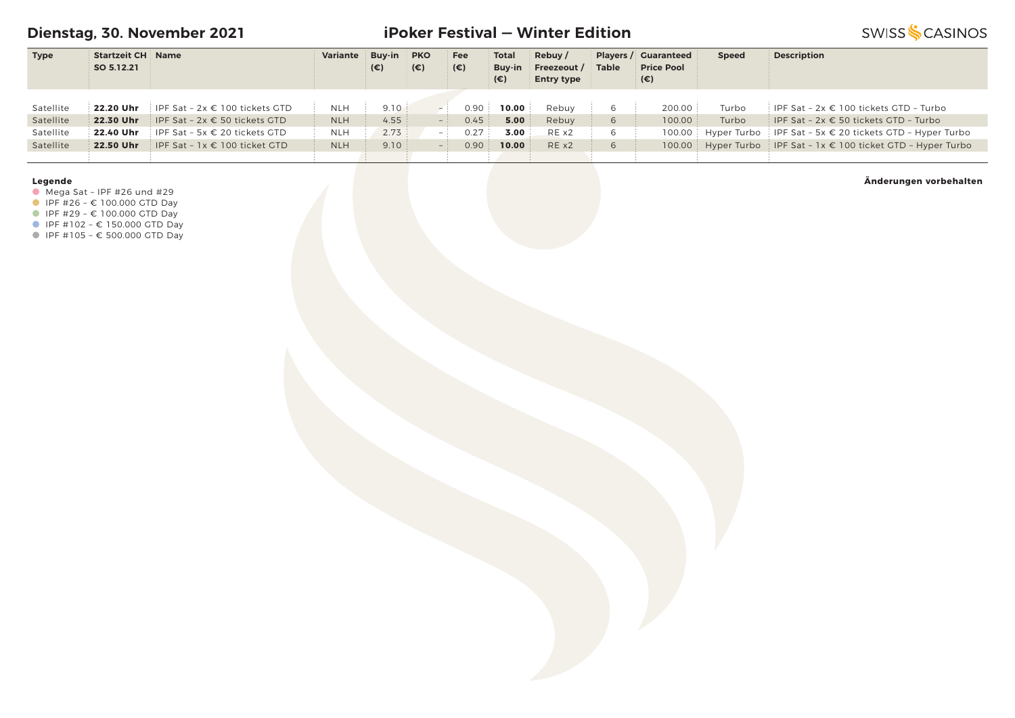**Dienstag, 30. November 2021**

# **iPoker Festival — Winter Edition**

**SWISS SCASINOS** 

| <b>Type</b> | <b>Startzeit CH Name</b> |                                                    | Variante   | <b>Buy-in</b> | <b>PKO</b>   | Fee  | <b>Total</b> | Rebuy/            |              | <b>Players / Guaranteed</b> | <b>Speed</b> | <b>Description</b>                                                 |
|-------------|--------------------------|----------------------------------------------------|------------|---------------|--------------|------|--------------|-------------------|--------------|-----------------------------|--------------|--------------------------------------------------------------------|
|             | SO 5.12.21               |                                                    |            | (€)           | $(\epsilon)$ | (€)  | Buv-in       | Freezeout /       | <b>Table</b> | <b>Price Pool</b>           |              |                                                                    |
|             |                          |                                                    |            |               |              |      | $(\epsilon)$ | <b>Entry type</b> |              | $(\epsilon)$                |              |                                                                    |
|             |                          |                                                    |            |               |              |      |              |                   |              |                             |              |                                                                    |
| Satellite   |                          | <b>22.20 Uhr</b> IPF Sat $-2x \in 100$ tickets GTD | NLH        | 9.10          |              | 0.90 | 10.00        | Rebuy             | 6            | 200.00                      | Turbo        | IPF Sat - $2x \in 100$ tickets GTD - Turbo                         |
| Satellite   | 22.30 Uhr                | IPF Sat - 2x € 50 tickets GTD                      | <b>NLH</b> | 4.55          | $-$ :        | 0.45 | 5.00         | Rebuy             | 6            | 100.00                      | Turbo        | i IPF Sat - 2x € 50 tickets GTD - Turbo                            |
| Satellite   |                          | <b>22.40 Uhr</b> IPF Sat - 5x $\in$ 20 tickets GTD | <b>NLH</b> | 2.73          | - 1          | 0.27 | 3.00         | REX2              | 6            |                             |              | 100.00 Hyper Turbo IPF Sat - 5x € 20 tickets GTD - Hyper Turbo     |
| Satellite   | 22.50 Uhr                | IPF Sat - $1x \in 100$ ticket GTD                  | <b>NLH</b> | 9.10          |              | 0.90 | 10.00        | RE x2             | $\sigma$     |                             |              | 100.00 Hyper Turbo IPF Sat - $1x \in 100$ ticket GTD - Hyper Turbo |
|             |                          |                                                    |            |               |              |      |              |                   |              |                             |              |                                                                    |

#### **Legende**

 $\bullet$  Mega Sat - IPF #26 und #29

 $I = \{100.000 \text{ GTD} \}$ 

■ IPF #29 - € 100.000 GTD Day

■ IPF #102 - € 150.000 GTD Day

IPF #105 – € 500.000 GTD Day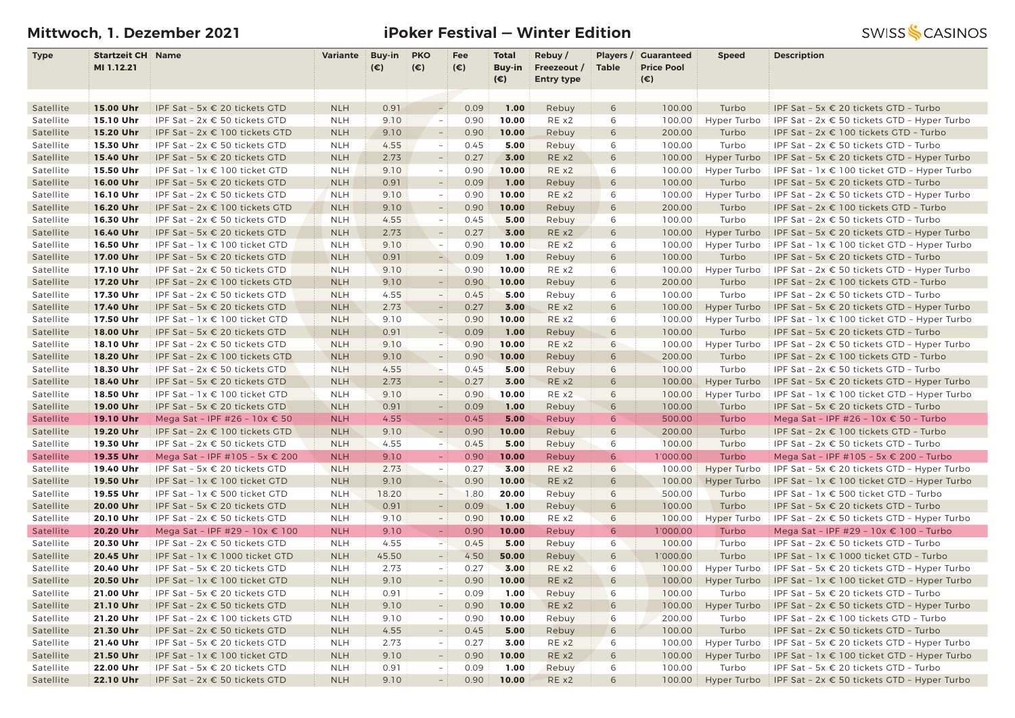# **Mittwoch, 1. Dezember 2021 iPoker Festival — Winter Edition**

| <b>Type</b> | <b>Startzeit CH Name</b> |                                        | Variante   | Buy-in       | <b>PKO</b>                                           | Fee          | <b>Total</b> | Rebuy/            | Players /    | <b>Guaranteed</b> | <b>Speed</b>       | <b>Description</b>                                                                       |
|-------------|--------------------------|----------------------------------------|------------|--------------|------------------------------------------------------|--------------|--------------|-------------------|--------------|-------------------|--------------------|------------------------------------------------------------------------------------------|
|             | MI 1.12.21               |                                        |            | $(\epsilon)$ | $(\epsilon)$                                         | $(\epsilon)$ | Buy-in       | Freezeout /       | <b>Table</b> | <b>Price Pool</b> |                    |                                                                                          |
|             |                          |                                        |            |              |                                                      |              | $(\epsilon)$ | <b>Entry type</b> |              | $(\epsilon)$      |                    |                                                                                          |
| Satellite   | 15.00 Uhr                | IPF Sat - 5x € 20 tickets GTD          | <b>NLH</b> | 0.91         | $\overline{\phantom{a}}$                             | 0.09         | 1.00         | Rebuy             | 6            | 100.00            | Turbo              | IPF Sat - 5x € 20 tickets GTD - Turbo                                                    |
| Satellite   | 15.10 Uhr                | IPF Sat - 2x € 50 tickets GTD          | <b>NLH</b> | 9.10         | $\sim$                                               | 0.90         | 10.00        | RE x2             | 6            | 100.00            | Hyper Turbo        | IPF Sat - $2x \in 50$ tickets GTD - Hyper Turbo                                          |
| Satellite   | 15.20 Uhr                | IPF Sat - 2x € 100 tickets GTD         | <b>NLH</b> | 9.10         | $\overline{\phantom{a}}$                             | 0.90         | 10.00        | Rebuy             | 6            | 200.00            | Turbo              | IPF Sat - 2x € 100 tickets GTD - Turbo                                                   |
| Satellite   | 15.30 Uhr                | IPF Sat - 2x € 50 tickets GTD          | <b>NLH</b> | 4.55         | $\overline{\phantom{a}}$                             | 0.45         | 5.00         | Rebuy             | 6            | 100.00            | Turbo              | IPF Sat - 2x € 50 tickets GTD - Turbo                                                    |
| Satellite   | 15.40 Uhr                | IPF Sat - 5x € 20 tickets GTD          | <b>NLH</b> | 2.73         | $\overline{\phantom{a}}$                             | 0.27         | 3.00         | RE x2             | 6            | 100.00            | Hyper Turbo        | IPF Sat - 5x $\epsilon$ 20 tickets GTD - Hyper Turbo                                     |
|             |                          |                                        |            |              |                                                      | 0.90         | 10.00        | RE x2             | 6            |                   | Hyper Turbo        |                                                                                          |
| Satellite   | 15.50 Uhr                | IPF Sat - 1x € 100 ticket GTD          | <b>NLH</b> | 9.10<br>0.91 | $\overline{\phantom{a}}$<br>$\overline{\phantom{a}}$ | 0.09         | 1.00         |                   |              | 100.00            |                    | IPF Sat - $1x \in 100$ ticket GTD - Hyper Turbo<br>IPF Sat - 5x € 20 tickets GTD - Turbo |
| Satellite   | 16.00 Uhr                | IPF Sat - 5x € 20 tickets GTD          | <b>NLH</b> |              |                                                      |              |              | Rebuy             | 6            | 100.00            | Turbo              |                                                                                          |
| Satellite   | 16.10 Uhr                | IPF Sat - 2x € 50 tickets GTD          | <b>NLH</b> | 9.10         | $\equiv$                                             | 0.90         | 10.00        | RE x2             | 6            | 100.00            | Hyper Turbo        | IPF Sat - $2x \in 50$ tickets GTD - Hyper Turbo                                          |
| Satellite   | 16.20 Uhr                | IPF Sat - 2x € 100 tickets GTD         | <b>NLH</b> | 9.10         | $\overline{\phantom{a}}$                             | 0.90         | 10.00        | Rebuy             | 6            | 200.00            | Turbo              | IPF Sat – $2x \in 100$ tickets GTD – Turbo                                               |
| Satellite   | 16.30 Uhr                | IPF Sat - 2x € 50 tickets GTD          | <b>NLH</b> | 4.55         | $\overline{\phantom{a}}$                             | 0.45         | 5.00         | Rebuy             | 6            | 100.00            | Turbo              | IPF Sat - 2x € 50 tickets GTD - Turbo                                                    |
| Satellite   | 16.40 Uhr                | IPF Sat - 5x € 20 tickets GTD          | <b>NLH</b> | 2.73         | $\overline{\phantom{a}}$                             | 0.27         | 3.00         | RE x2             | 6            | 100.00            | Hyper Turbo        | IPF Sat - 5x $\epsilon$ 20 tickets GTD - Hyper Turbo                                     |
| Satellite   | 16.50 Uhr                | IPF Sat - 1x € 100 ticket GTD          | <b>NLH</b> | 9.10         | $\overline{\phantom{a}}$                             | 0.90         | 10.00        | RE x2             | 6            | 100.00            | Hyper Turbo        | IPF Sat - $1x \in 100$ ticket GTD - Hyper Turbo                                          |
| Satellite   | 17.00 Uhr                | IPF Sat - 5x € 20 tickets GTD          | <b>NLH</b> | 0.91         | $-$                                                  | 0.09         | 1.00         | Rebuy             | 6            | 100.00            | Turbo              | IPF Sat - 5x € 20 tickets GTD - Turbo                                                    |
| Satellite   | 17.10 Uhr                | IPF Sat - 2x € 50 tickets GTD          | <b>NLH</b> | 9.10         | $\overline{\phantom{a}}$                             | 0.90         | 10.00        | RE x2             | 6            | 100.00            | Hyper Turbo        | IPF Sat - $2x \in 50$ tickets GTD - Hyper Turbo                                          |
| Satellite   | 17.20 Uhr                | IPF Sat - 2x € 100 tickets GTD         | <b>NLH</b> | 9.10         | $\sim$                                               | 0.90         | 10.00        | Rebuy             | 6            | 200.00            | Turbo              | IPF Sat - 2x € 100 tickets GTD - Turbo                                                   |
| Satellite   | 17.30 Uhr                | IPF Sat - $2x \in 50$ tickets GTD      | <b>NLH</b> | 4.55         | $\overline{\phantom{a}}$                             | 0.45         | 5.00         | Rebuy             | 6            | 100.00            | Turbo              | IPF Sat - 2x € 50 tickets GTD - Turbo                                                    |
| Satellite   | 17.40 Uhr                | IPF Sat - 5x € 20 tickets GTD          | <b>NLH</b> | 2.73         | $\overline{\phantom{a}}$                             | 0.27         | 3.00         | RE x2             | 6            | 100.00            | Hyper Turbo        | IPF Sat - 5x € 20 tickets GTD - Hyper Turbo                                              |
| Satellite   | 17.50 Uhr                | IPF Sat - 1x € 100 ticket GTD          | <b>NLH</b> | 9.10         | $\overline{\phantom{a}}$                             | 0.90         | 10.00        | RE x2             | 6            | 100.00            | Hyper Turbo        | IPF Sat - $1x \in 100$ ticket GTD - Hyper Turbo                                          |
| Satellite   | 18.00 Uhr                | IPF Sat - 5x € 20 tickets GTD          | <b>NLH</b> | 0.91         | $\overline{\phantom{a}}$                             | 0.09         | 1.00         | Rebuy             | 6            | 100.00            | Turbo              | IPF Sat - 5x € 20 tickets GTD - Turbo                                                    |
| Satellite   | 18.10 Uhr                | IPF Sat - $2x \in 50$ tickets GTD      | <b>NLH</b> | 9.10         | $\equiv$                                             | 0.90         | 10.00        | RE x2             | 6            | 100.00            | Hyper Turbo        | IPF Sat - $2x \in 50$ tickets GTD - Hyper Turbo                                          |
| Satellite   | 18.20 Uhr                | IPF Sat - 2x € 100 tickets GTD         | <b>NLH</b> | 9.10         | $\overline{\phantom{a}}$                             | 0.90         | 10.00        | Rebuy             | 6            | 200.00            | Turbo              | IPF Sat - 2x € 100 tickets GTD - Turbo                                                   |
| Satellite   | 18.30 Uhr                | IPF Sat - 2x € 50 tickets GTD          | <b>NLH</b> | 4.55         | $\frac{1}{2}$                                        | 0.45         | 5.00         | Rebuy             | 6            | 100.00            | Turbo              | IPF Sat - 2x € 50 tickets GTD - Turbo                                                    |
| Satellite   | 18.40 Uhr                | IPF Sat - 5x € 20 tickets GTD          | <b>NLH</b> | 2.73         | $\overline{\phantom{a}}$                             | 0.27         | 3.00         | RE x2             | 6            | 100.00            | Hyper Turbo        | IPF Sat - 5x $\epsilon$ 20 tickets GTD - Hyper Turbo                                     |
| Satellite   | 18.50 Uhr                | IPF Sat - 1x € 100 ticket GTD          | <b>NLH</b> | 9.10         | $\overline{\phantom{a}}$                             | 0.90         | 10.00        | RE x2             | 6            | 100.00            | <b>Hyper Turbo</b> | IPF Sat - $1x \in 100$ ticket GTD - Hyper Turbo                                          |
| Satellite   | 19.00 Uhr                | IPF Sat - 5x € 20 tickets GTD          | <b>NLH</b> | 0.91         | $ \,$                                                | 0.09         | 1.00         | Rebuy             | 6            | 100.00            | Turbo              | IPF Sat - 5x € 20 tickets GTD - Turbo                                                    |
| Satellite   | 19.10 Uhr                | Mega Sat - IPF #26 - 10x € 50          | <b>NLH</b> | 4.55         |                                                      | 0.45         | 5.00         | Rebuy             | 6            | 500.00            | Turbo              | Mega Sat - IPF #26 - 10x € 50 - Turbo                                                    |
| Satellite   | 19.20 Uhr                | IPF Sat - 2x € 100 tickets GTD         | <b>NLH</b> | 9.10         | $\overline{\phantom{a}}$                             | 0.90         | 10.00        | Rebuy             | 6            | 200.00            | Turbo              | IPF Sat - 2x € 100 tickets GTD - Turbo                                                   |
| Satellite   | 19.30 Uhr                | IPF Sat - 2x € 50 tickets GTD          | <b>NLH</b> | 4.55         | $\rightarrow$                                        | 0.45         | 5.00         | Rebuy             | 6            | 100.00            | Turbo              | IPF Sat - 2x € 50 tickets GTD - Turbo                                                    |
| Satellite   | 19.35 Uhr                | Mega Sat - IPF #105 - 5x € 200         | <b>NLH</b> | 9.10         | $\equiv$                                             | 0.90         | 10.00        | Rebuy             | 6            | 1'000.00          | Turbo              | Mega Sat - IPF #105 - 5x € 200 - Turbo                                                   |
| Satellite   | 19.40 Uhr                | IPF Sat - 5x € 20 tickets GTD          | <b>NLH</b> | 2.73         | $\sim$ .                                             | 0.27         | 3.00         | RE x2             | 6            | 100.00            | Hyper Turbo        | IPF Sat - 5x € 20 tickets GTD - Hyper Turbo                                              |
| Satellite   | 19.50 Uhr                | IPF Sat - 1x € 100 ticket GTD          | <b>NLH</b> | 9.10         | $\frac{1}{2}$                                        | 0.90         | 10.00        | RE x2             | 6            | 100.00            | Hyper Turbo        | IPF Sat - $1x \in 100$ ticket GTD - Hyper Turbo                                          |
| Satellite   | 19.55 Uhr                | IPF Sat - 1x € 500 ticket GTD          | <b>NLH</b> | 18.20        | $\sim$                                               | 1.80         | 20.00        | Rebuy             | 6            | 500.00            | Turbo              | IPF Sat - 1x € 500 ticket GTD - Turbo                                                    |
| Satellite   | 20.00 Uhr                | IPF Sat - 5x € 20 tickets GTD          | <b>NLH</b> | 0.91         | $\overline{\phantom{a}}$                             | 0.09         | 1.00         | Rebuy             | 6            | 100.00            | Turbo              | IPF Sat - 5x € 20 tickets GTD - Turbo                                                    |
| Satellite   | 20.10 Uhr                | IPF Sat - $2x \in 50$ tickets GTD      | <b>NLH</b> | 9.10         | $\overline{\phantom{a}}$                             | 0.90         | 10.00        | RE x2             | 6            | 100.00            | Hyper Turbo        | IPF Sat - 2x € 50 tickets GTD - Hyper Turbo                                              |
| Satellite   | 20.20 Uhr                | Mega Sat - IPF #29 - 10x € 100         | <b>NLH</b> | 9.10         | $\equiv$                                             | 0.90         | 10.00        | Rebuy             | 6            | 1'000.00          | Turbo              | Mega Sat - IPF #29 - 10x € 100 - Turbo                                                   |
| Satellite   | 20.30 Uhr                | IPF Sat - 2x € 50 tickets GTD          | <b>NLH</b> | 4.55         | $\geq$                                               | 0.45         | 5.00         | Rebuy             | 6            | 100.00            | Turbo              | IPF Sat - 2x € 50 tickets GTD - Turbo                                                    |
| Satellite   | 20.45 Uhr                | IPF Sat - 1x € 1000 ticket GTD         | <b>NLH</b> | 45.50        | $\overline{\phantom{a}}$                             | 4.50         | 50.00        | Rebuy             | 6            | 1'000.00          | Turbo              | IPF Sat - $1x \in 1000$ ticket GTD - Turbo                                               |
| Satellite   | 20.40 Uhr                | IPF Sat - 5x € 20 tickets GTD          | <b>NLH</b> | 2.73         | $\overline{\phantom{m}}$                             | 0.27         | 3.00         | RE x2             | 6            | 100.00            | Hyper Turbo        | IPF Sat - 5x $\epsilon$ 20 tickets GTD - Hyper Turbo                                     |
| Satellite   | 20.50 Uhr                | IPF Sat - 1x € 100 ticket GTD          | <b>NLH</b> | 9.10         | $-1$                                                 | 0.90         | 10.00        | RE x2             | 6            | 100.00            | Hyper Turbo        | IPF Sat - $1x \in 100$ ticket GTD - Hyper Turbo                                          |
| Satellite   | 21.00 Uhr                | IPF Sat - 5x $\epsilon$ 20 tickets GTD | <b>NLH</b> | 0.91         | $=$ :                                                | 0.09         | 1.00         | Rebuy             | 6            | 100.00            | Turbo              | IPF Sat – 5x $\epsilon$ 20 tickets GTD – Turbo                                           |
| Satellite   | 21.10 Uhr                | IPF Sat - 2x € 50 tickets GTD          | <b>NLH</b> | 9.10         | $\overline{\phantom{a}}$                             | 0.90         | 10.00        | RE x2             | 6            | 100.00            | Hyper Turbo        | IPF Sat - $2x \in 50$ tickets GTD - Hyper Turbo                                          |
| Satellite   | 21.20 Uhr                | IPF Sat - 2x € 100 tickets GTD         | <b>NLH</b> | 9.10         | $\overline{\phantom{a}}$                             | 0.90         | 10.00        | Rebuy             | 6            | 200.00            | Turbo              | IPF Sat - 2x € 100 tickets GTD - Turbo                                                   |
| Satellite   | 21.30 Uhr                | IPF Sat - 2x € 50 tickets GTD          | <b>NLH</b> | 4.55         | $\overline{\phantom{a}}$                             | 0.45         | 5.00         | Rebuy             | 6            | 100.00            | Turbo              | IPF Sat - 2x € 50 tickets GTD - Turbo                                                    |
| Satellite   | 21.40 Uhr                | IPF Sat - 5x € 20 tickets GTD          | <b>NLH</b> | 2.73         | $\sim$ 1                                             | 0.27         | 3.00         | RE x2             | 6            | 100.00            | Hyper Turbo        | IPF Sat - 5x € 20 tickets GTD - Hyper Turbo                                              |
| Satellite   | 21.50 Uhr                | IPF Sat - $1x \in 100$ ticket GTD      | <b>NLH</b> | 9.10         | $\overline{\phantom{a}}$                             | 0.90         | 10.00        | RE x2             | 6            | 100.00            | Hyper Turbo        | IPF Sat - $1x \in 100$ ticket GTD - Hyper Turbo                                          |
| Satellite   | 22.00 Uhr                | IPF Sat - 5x € 20 tickets GTD          | <b>NLH</b> | 0.91         | $-$ :                                                | 0.09         | 1.00         | Rebuy             | 6            | 100.00            | Turbo              | IPF Sat - 5x € 20 tickets GTD - Turbo                                                    |
| Satellite   | 22.10 Uhr                | IPF Sat - $2x \in 50$ tickets GTD      | <b>NLH</b> | 9.10         | $-1$                                                 | 0.90         | 10.00        | RE x2             | 6            | 100.00            |                    | Hyper Turbo   IPF Sat - $2x \in 50$ tickets GTD - Hyper Turbo                            |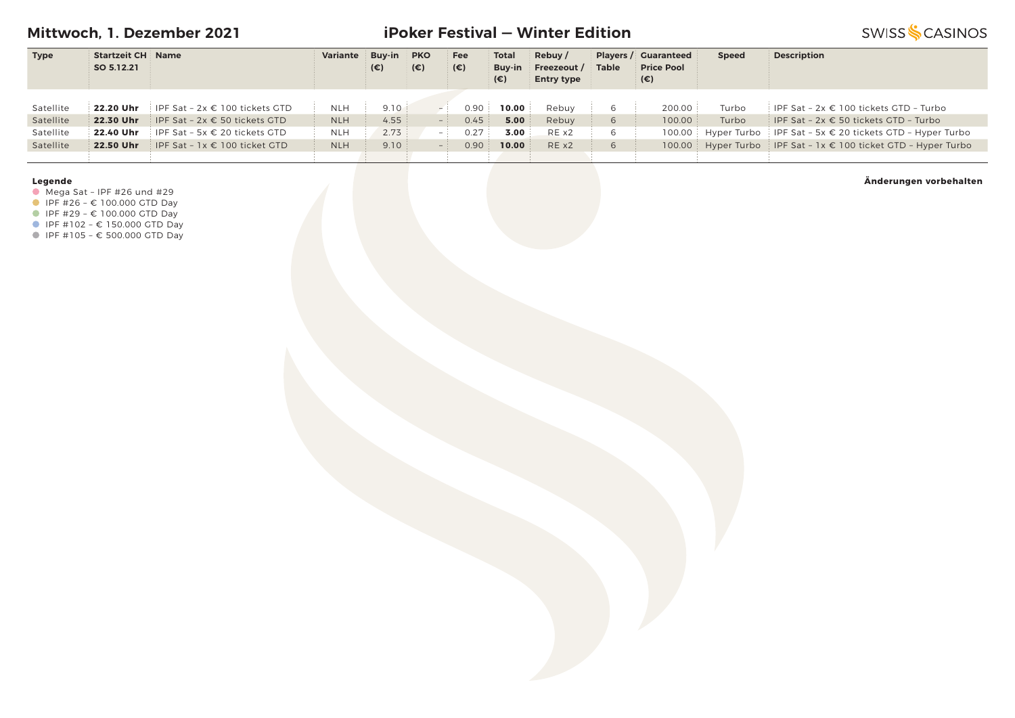**Mittwoch, 1. Dezember 2021**

# **iPoker Festival — Winter Edition**

**SWISS SCASINOS** 

| <b>Type</b> | <b>Startzeit CH Name</b> |                                                    | Variante   | <b>Buy-in</b> | <b>PKO</b>   | Fee          | <b>Total</b> | Rebuy/            |          | <b>Players / Guaranteed</b> | <b>Speed</b> | <b>Description</b>                                                 |
|-------------|--------------------------|----------------------------------------------------|------------|---------------|--------------|--------------|--------------|-------------------|----------|-----------------------------|--------------|--------------------------------------------------------------------|
|             | SO 5.12.21               |                                                    |            | $(\epsilon)$  | $(\epsilon)$ | $(\epsilon)$ | Buv-in       | Freezeout /       | Table    | <b>Price Pool</b>           |              |                                                                    |
|             |                          |                                                    |            |               |              |              | (€)          | <b>Entry type</b> |          | (€)                         |              |                                                                    |
|             |                          |                                                    |            |               |              |              |              |                   |          |                             |              |                                                                    |
| Satellite   |                          | <b>22.20 Uhr</b> IPF Sat $-2x \in 100$ tickets GTD | <b>NLH</b> | 9.10          |              | 0.90         | 10.00        | Rebuy             | 6        | 200.00                      | Turbo        | IPF Sat - $2x \in 100$ tickets GTD - Turbo                         |
| Satellite   | 22.30 Uhr                | IPF Sat - $2x \in 50$ tickets GTD                  | <b>NLH</b> | 4.55          |              | 0.45         | 5.00         | Rebuy             | 6        | 100.00                      | Turbo        | IPF Sat - $2x \in 50$ tickets GTD - Turbo                          |
| Satellite   |                          | <b>22.40 Uhr</b> IPF Sat - 5x $\in$ 20 tickets GTD | <b>NLH</b> | 2.73          | $-1$         | 0.27         | 3.00         | REX2              | 6        |                             |              | 100.00 Hyper Turbo IPF Sat - 5x € 20 tickets GTD - Hyper Turbo     |
| Satellite   | 22.50 Uhr                | IPF Sat - $1x \in 100$ ticket GTD                  | <b>NLH</b> | 9.10          |              | 0.90         | 10.00        | REX2              | $\sigma$ |                             |              | 100.00 Hyper Turbo IPF Sat - $1x \in 100$ ticket GTD - Hyper Turbo |
|             |                          |                                                    |            |               |              |              |              |                   |          |                             |              |                                                                    |

#### **Legende**

 $\bullet$  Mega Sat - IPF #26 und #29

 $I = \{100.000 \text{ GTD} \}$ 

■ IPF #29 - € 100.000 GTD Day

■ IPF #102 - € 150.000 GTD Day

IPF #105 – € 500.000 GTD Day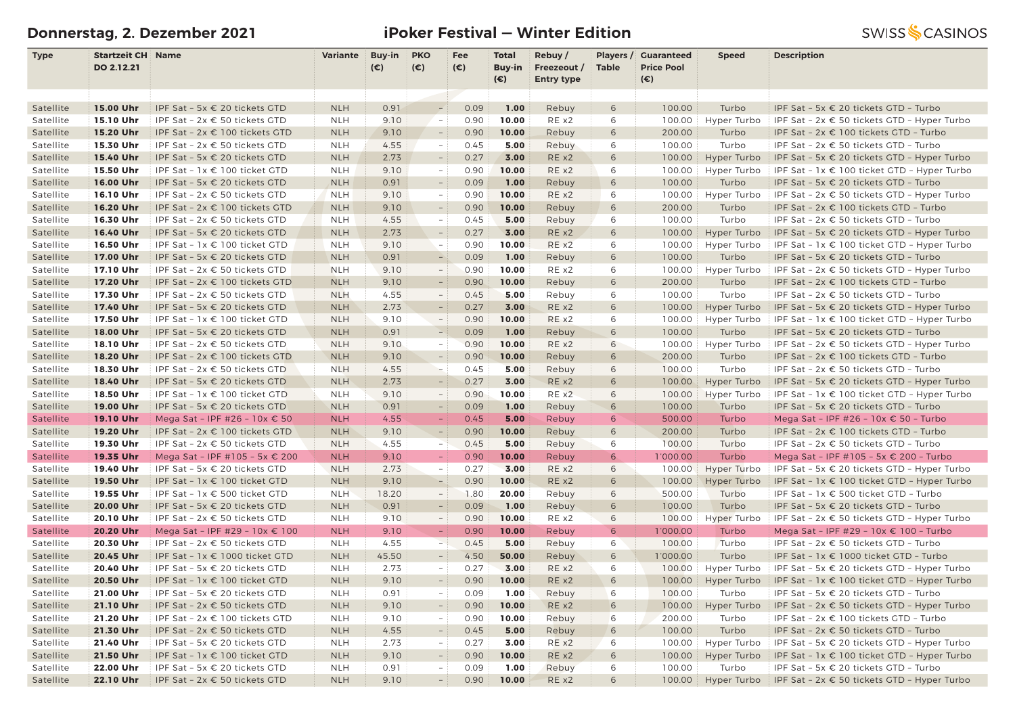# **Donnerstag, 2. Dezember 2021 iPoker Festival — Winter Edition**

| <b>Type</b> | <b>Startzeit CH Name</b> |                                        | Variante   | Buy-in | <b>PKO</b>               | Fee          | <b>Total</b>           | Rebuy/                           |              | Players / Guaranteed<br><b>Price Pool</b> | <b>Speed</b>       | <b>Description</b>                                            |
|-------------|--------------------------|----------------------------------------|------------|--------|--------------------------|--------------|------------------------|----------------------------------|--------------|-------------------------------------------|--------------------|---------------------------------------------------------------|
|             | DO 2.12.21               |                                        |            | (€)    | $(\epsilon)$             | $(\epsilon)$ | Buy-in<br>$(\epsilon)$ | Freezeout /<br><b>Entry type</b> | <b>Table</b> | $(\epsilon)$                              |                    |                                                               |
|             |                          |                                        |            |        |                          |              |                        |                                  |              |                                           |                    |                                                               |
| Satellite   | 15.00 Uhr                | IPF Sat - 5x € 20 tickets GTD          | <b>NLH</b> | 0.91   | $\sim$                   | 0.09         | 1.00                   | Rebuy                            | 6            | 100.00                                    | Turbo              | IPF Sat - 5x € 20 tickets GTD - Turbo                         |
| Satellite   | 15.10 Uhr                | IPF Sat - 2x € 50 tickets GTD          | <b>NLH</b> | 9.10   | $\sim$                   | 0.90         | 10.00                  | RE x2                            | 6            | 100.00                                    | Hyper Turbo        | IPF Sat - 2x € 50 tickets GTD - Hyper Turbo                   |
| Satellite   | 15.20 Uhr                | IPF Sat - 2x € 100 tickets GTD         | <b>NLH</b> | 9.10   | $\overline{\phantom{a}}$ | 0.90         | 10.00                  | Rebuy                            | 6            | 200.00                                    | Turbo              | IPF Sat - 2x € 100 tickets GTD - Turbo                        |
| Satellite   | 15.30 Uhr                | IPF Sat - $2x \in 50$ tickets GTD      | <b>NLH</b> | 4.55   | $\equiv$                 | 0.45         | 5.00                   | Rebuy                            | 6            | 100.00                                    | Turbo              | IPF Sat - 2x € 50 tickets GTD - Turbo                         |
| Satellite   | 15.40 Uhr                | IPF Sat - 5x € 20 tickets GTD          | <b>NLH</b> | 2.73   | $\overline{\phantom{a}}$ | 0.27         | 3.00                   | RE x2                            | 6            | 100.00                                    | Hyper Turbo        | IPF Sat - 5x $\epsilon$ 20 tickets GTD - Hyper Turbo          |
| Satellite   | 15.50 Uhr                | IPF Sat - 1x € 100 ticket GTD          | <b>NLH</b> | 9.10   | $\equiv$                 | 0.90         | 10.00                  | RE x2                            | 6            | 100.00                                    | Hyper Turbo        | IPF Sat - $1x \in 100$ ticket GTD - Hyper Turbo               |
| Satellite   | 16.00 Uhr                | IPF Sat - 5x € 20 tickets GTD          | <b>NLH</b> | 0.91   | $ \,$                    | 0.09         | 1.00                   | Rebuy                            | 6            | 100.00                                    | Turbo              | IPF Sat - 5x € 20 tickets GTD - Turbo                         |
| Satellite   | 16.10 Uhr                | IPF Sat - 2x € 50 tickets GTD          | <b>NLH</b> | 9.10   | $ \,$                    | 0.90         | 10.00                  | RE x2                            | 6            | 100.00                                    | Hyper Turbo        | IPF Sat - 2x € 50 tickets GTD - Hyper Turbo                   |
| Satellite   | 16.20 Uhr                | IPF Sat - 2x € 100 tickets GTD         | <b>NLH</b> | 9.10   | $\overline{\phantom{a}}$ | 0.90         | 10.00                  | Rebuy                            | 6            | 200.00                                    | Turbo              | IPF Sat - 2x € 100 tickets GTD - Turbo                        |
| Satellite   | 16.30 Uhr                | IPF Sat - 2x € 50 tickets GTD          | <b>NLH</b> | 4.55   | $\overline{\phantom{a}}$ | 0.45         | 5.00                   | Rebuy                            | 6            | 100.00                                    | Turbo              | IPF Sat - 2x € 50 tickets GTD - Turbo                         |
| Satellite   | 16.40 Uhr                | IPF Sat - 5x € 20 tickets GTD          | <b>NLH</b> | 2.73   | $\overline{\phantom{a}}$ | 0.27         | 3.00                   | RE x2                            | 6            | 100.00                                    | Hyper Turbo        | IPF Sat - 5x $\epsilon$ 20 tickets GTD - Hyper Turbo          |
| Satellite   | 16.50 Uhr                | IPF Sat - 1x € 100 ticket GTD          | <b>NLH</b> | 9.10   | $ \,$                    | 0.90         | 10.00                  | RE x2                            | 6            | 100.00                                    | Hyper Turbo        | IPF Sat - $1x \in 100$ ticket GTD - Hyper Turbo               |
| Satellite   | 17.00 Uhr                | IPF Sat - 5x € 20 tickets GTD          | <b>NLH</b> | 0.91   | $-$                      | 0.09         | 1.00                   | Rebuy                            | 6            | 100.00                                    | Turbo              | IPF Sat - 5x € 20 tickets GTD - Turbo                         |
| Satellite   | 17.10 Uhr                | IPF Sat - 2x € 50 tickets GTD          | <b>NLH</b> | 9.10   | $\overline{\phantom{a}}$ | 0.90         | 10.00                  | RE x2                            | 6            | 100.00                                    | Hyper Turbo        | IPF Sat - $2x \in 50$ tickets GTD - Hyper Turbo               |
| Satellite   | 17.20 Uhr                | IPF Sat - 2x € 100 tickets GTD         | <b>NLH</b> | 9.10   | $\sim$                   | 0.90         | 10.00                  | Rebuy                            | 6            | 200.00                                    | Turbo              | IPF Sat - 2x € 100 tickets GTD - Turbo                        |
| Satellite   | 17.30 Uhr                | IPF Sat - 2x € 50 tickets GTD          | <b>NLH</b> | 4.55   | $\overline{\phantom{a}}$ | 0.45         | 5.00                   | Rebuy                            | 6            | 100.00                                    | Turbo              | IPF Sat - 2x € 50 tickets GTD - Turbo                         |
| Satellite   | 17.40 Uhr                | IPF Sat - 5x € 20 tickets GTD          | <b>NLH</b> | 2.73   | $\overline{\phantom{m}}$ | 0.27         | 3.00                   | RE x2                            | 6            | 100.00                                    | Hyper Turbo        | IPF Sat - 5x € 20 tickets GTD - Hyper Turbo                   |
| Satellite   | 17.50 Uhr                | IPF Sat - 1x € 100 ticket GTD          | <b>NLH</b> | 9.10   | $\sim$                   | 0.90         | 10.00                  | RE x2                            | 6            | 100.00                                    | Hyper Turbo        | IPF Sat - 1x € 100 ticket GTD - Hyper Turbo                   |
| Satellite   | 18.00 Uhr                | IPF Sat - 5x € 20 tickets GTD          | <b>NLH</b> | 0.91   | $\overline{\phantom{a}}$ | 0.09         | 1.00                   | Rebuy                            | 6            | 100.00                                    | Turbo              | IPF Sat - 5x € 20 tickets GTD - Turbo                         |
| Satellite   | 18.10 Uhr                | IPF Sat - 2x € 50 tickets GTD          | <b>NLH</b> | 9.10   | $\overline{\phantom{a}}$ | 0.90         | 10.00                  | RE x2                            | 6            | 100.00                                    | Hyper Turbo        | IPF Sat - $2x \in 50$ tickets GTD - Hyper Turbo               |
| Satellite   | 18.20 Uhr                | IPF Sat - 2x € 100 tickets GTD         | <b>NLH</b> | 9.10   | $\overline{\phantom{a}}$ | 0.90         | 10.00                  | Rebuy                            | 6            | 200.00                                    | Turbo              | IPF Sat - 2x € 100 tickets GTD - Turbo                        |
| Satellite   | 18.30 Uhr                | IPF Sat - 2x € 50 tickets GTD          | <b>NLH</b> | 4.55   | $-$                      | 0.45         | 5.00                   | Rebuy                            | 6            | 100.00                                    | Turbo              | IPF Sat - 2x € 50 tickets GTD - Turbo                         |
| Satellite   | 18.40 Uhr                | IPF Sat - 5x € 20 tickets GTD          | <b>NLH</b> | 2.73   | $ \,$                    | 0.27         | 3.00                   | RE x2                            | 6            | 100.00                                    | Hyper Turbo        | IPF Sat - 5x $\epsilon$ 20 tickets GTD - Hyper Turbo          |
| Satellite   | 18.50 Uhr                | IPF Sat - 1x € 100 ticket GTD          | <b>NLH</b> | 9.10   | $\overline{\phantom{a}}$ | 0.90         | 10.00                  | RE x2                            | 6            | 100.00                                    | <b>Hyper Turbo</b> | IPF Sat - 1x € 100 ticket GTD - Hyper Turbo                   |
| Satellite   | 19.00 Uhr                | IPF Sat - 5x € 20 tickets GTD          | <b>NLH</b> | 0.91   | $\overline{\phantom{0}}$ | 0.09         | 1.00                   | Rebuy                            | 6            | 100.00                                    | Turbo              | IPF Sat - 5x € 20 tickets GTD - Turbo                         |
| Satellite   | 19.10 Uhr                | Mega Sat - IPF #26 - 10x € 50          | <b>NLH</b> | 4.55   |                          | 0.45         | 5.00                   | Rebuy                            | 6            | 500.00                                    | Turbo              | Mega Sat - IPF #26 - 10x € 50 - Turbo                         |
| Satellite   | 19.20 Uhr                | IPF Sat - 2x € 100 tickets GTD         | <b>NLH</b> | 9.10   | $\overline{\phantom{a}}$ | 0.90         | 10.00                  | Rebuy                            | 6            | 200.00                                    | Turbo              | IPF Sat - $2x \in 100$ tickets GTD - Turbo                    |
| Satellite   | 19.30 Uhr                | IPF Sat - 2x € 50 tickets GTD          | <b>NLH</b> | 4.55   | $\sim$                   | 0.45         | 5.00                   | Rebuy                            | 6            | 100.00                                    | Turbo              | IPF Sat - 2x € 50 tickets GTD - Turbo                         |
| Satellite   | 19.35 Uhr                | Mega Sat - IPF #105 - 5x € 200         | <b>NLH</b> | 9.10   | $\sim$ 1                 | 0.90         | 10.00                  | Rebuy                            | 6            | 1'000.00                                  | Turbo              | Mega Sat - IPF #105 - 5x $\epsilon$ 200 - Turbo               |
| Satellite   | 19.40 Uhr                | IPF Sat - 5x € 20 tickets GTD          | <b>NLH</b> | 2.73   | $\overline{\phantom{a}}$ | 0.27         | 3.00                   | RE x2                            | 6            | 100.00                                    | Hyper Turbo        | IPF Sat - 5x $\epsilon$ 20 tickets GTD - Hyper Turbo          |
| Satellite   | 19.50 Uhr                | IPF Sat - 1x € 100 ticket GTD          | <b>NLH</b> | 9.10   | $\frac{1}{2}$            | 0.90         | 10.00                  | RE x2                            | 6            | 100.00                                    | Hyper Turbo        | IPF Sat - 1x € 100 ticket GTD - Hyper Turbo                   |
| Satellite   | 19.55 Uhr                | IPF Sat - 1x € 500 ticket GTD          | <b>NLH</b> | 18.20  | $\sim$                   | 1.80         | 20.00                  | Rebuy                            | 6            | 500.00                                    | Turbo              | IPF Sat - 1x € 500 ticket GTD - Turbo                         |
| Satellite   | 20.00 Uhr                | IPF Sat - 5x € 20 tickets GTD          | <b>NLH</b> | 0.91   | $\overline{\phantom{a}}$ | 0.09         | 1.00                   | Rebuy                            | 6            | 100.00                                    | Turbo              | IPF Sat - 5x € 20 tickets GTD - Turbo                         |
| Satellite   | 20.10 Uhr                | IPF Sat - 2x € 50 tickets GTD          | <b>NLH</b> | 9.10   | $\overline{\phantom{a}}$ | 0.90         | 10.00                  | RE x2                            | 6            | 100.00                                    | Hyper Turbo        | IPF Sat - $2x \in 50$ tickets GTD - Hyper Turbo               |
| Satellite   | 20.20 Uhr                | Mega Sat - IPF #29 - 10x € 100         | <b>NLH</b> | 9.10   | ٠                        | 0.90         | 10.00                  | Rebuy                            | 6            | 1'000.00                                  | Turbo              | Mega Sat - IPF #29 - 10x € 100 - Turbo                        |
| Satellite   | 20.30 Uhr                | IPF Sat - 2x € 50 tickets GTD          | <b>NLH</b> | 4.55   | ÷.                       | 0.45         | 5.00                   | Rebuy                            | 6            | 100.00                                    | Turbo              | IPF Sat - 2x € 50 tickets GTD - Turbo                         |
| Satellite   | 20.45 Uhr                | IPF Sat - 1x € 1000 ticket GTD         | <b>NLH</b> | 45.50  | $\overline{\phantom{a}}$ | 4.50         | 50.00                  | Rebuy                            | 6            | 1'000.00                                  | Turbo              | IPF Sat - $1x \in 1000$ ticket GTD - Turbo                    |
| Satellite   | 20.40 Uhr                | IPF Sat - 5x $\epsilon$ 20 tickets GTD | <b>NLH</b> | 2.73   | $\overline{\phantom{a}}$ | 0.27         | 3.00                   | RE x2                            | 6            | 100.00                                    | Hyper Turbo        | IPF Sat - 5x € 20 tickets GTD - Hyper Turbo                   |
| Satellite   | 20.50 Uhr                | IPF Sat - 1x € 100 ticket GTD          | <b>NLH</b> | 9.10   | $-$                      | 0.90         | 10.00                  | RE x2                            | 6            | 100.00                                    | Hyper Turbo        | IPF Sat - $1x \in 100$ ticket GTD - Hyper Turbo               |
| Satellite   | 21.00 Uhr                | IPF Sat − 5x $∈$ 20 tickets GTD        | <b>NLH</b> | 0.91   | $-$ :                    | 0.09         | 1.00                   | Rebuy                            | 6            | 100.00                                    | Turbo              | IPF Sat – 5x $\epsilon$ 20 tickets GTD – Turbo                |
| Satellite   | 21.10 Uhr                | IPF Sat - $2x \in 50$ tickets GTD      | <b>NLH</b> | 9.10   | $\overline{\phantom{a}}$ | 0.90         | 10.00                  | RE x2                            | 6            | 100.00                                    | Hyper Turbo        | IPF Sat - $2x \in 50$ tickets GTD - Hyper Turbo               |
| Satellite   | 21.20 Uhr                | IPF Sat - 2x € 100 tickets GTD         | <b>NLH</b> | 9.10   | $ \,$                    | 0.90         | 10.00                  | Rebuy                            | 6            | 200.00                                    | Turbo              | IPF Sat - 2x € 100 tickets GTD - Turbo                        |
| Satellite   | 21.30 Uhr                | IPF Sat - $2x \in 50$ tickets GTD      | <b>NLH</b> | 4.55   | $\overline{\phantom{a}}$ | 0.45         | 5.00                   | Rebuy                            | 6            | 100.00                                    | Turbo              | IPF Sat - $2x \in 50$ tickets GTD - Turbo                     |
| Satellite   | 21.40 Uhr                | IPF Sat - 5x € 20 tickets GTD          | <b>NLH</b> | 2.73   | $-$ :                    | 0.27         | 3.00                   | RE x2                            | 6            | 100.00                                    | Hyper Turbo        | IPF Sat - 5x $\epsilon$ 20 tickets GTD - Hyper Turbo          |
| Satellite   | 21.50 Uhr                | IPF Sat - 1x € 100 ticket GTD          | <b>NLH</b> | 9.10   | ◆                        | 0.90         | 10.00                  | RE x2                            | 6            | 100.00                                    | Hyper Turbo        | IPF Sat - $1x \in 100$ ticket GTD - Hyper Turbo               |
| Satellite   | 22.00 Uhr                | IPF Sat - 5x € 20 tickets GTD          | <b>NLH</b> | 0.91   | $-1$                     | 0.09         | 1.00                   | Rebuy                            | 6            | 100.00                                    | Turbo              | IPF Sat - 5x € 20 tickets GTD - Turbo                         |
| Satellite   | 22.10 Uhr                | IPF Sat - $2x \in 50$ tickets GTD      | <b>NLH</b> | 9.10   | $-$ 1                    | 0.90         | 10.00                  | RE x2                            | 6            | 100.00                                    |                    | Hyper Turbo   IPF Sat - $2x \in 50$ tickets GTD - Hyper Turbo |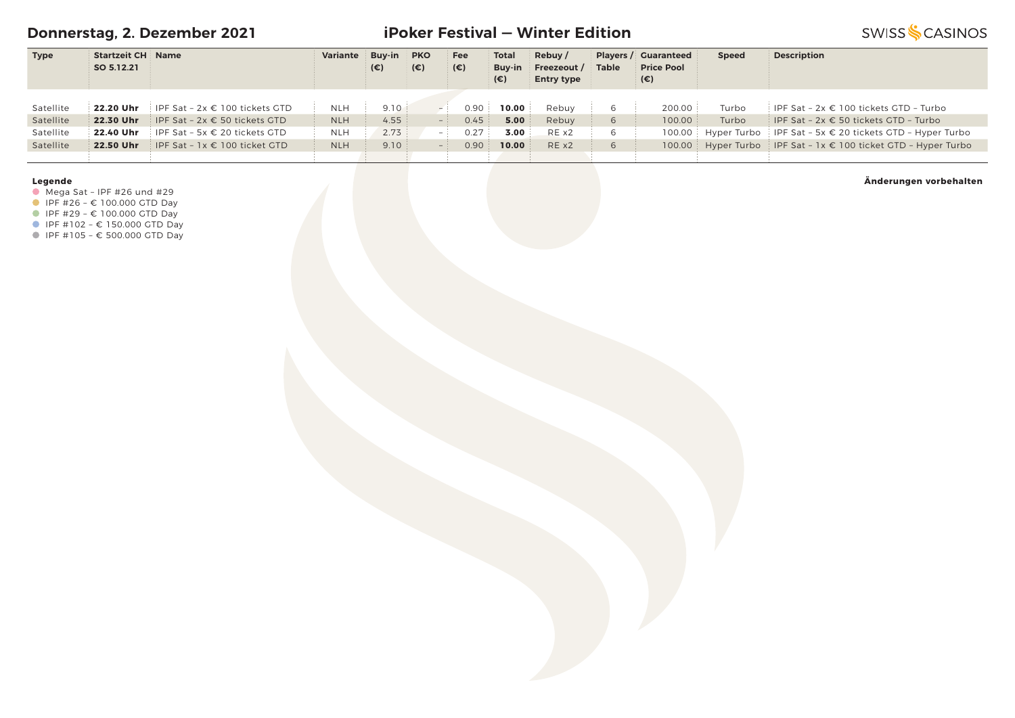**Donnerstag, 2. Dezember 2021**

# **iPoker Festival — Winter Edition**

**SWISS SCASINOS** 

| <b>Type</b> | <b>Startzeit CH Name</b> |                                                    | Variante   | <b>Buv-in</b> | <b>PKO</b>   | Fee          | <b>Total</b> | Rebuy/            |              | <b>Players / Guaranteed</b> | <b>Speed</b> | <b>Description</b>                                                 |
|-------------|--------------------------|----------------------------------------------------|------------|---------------|--------------|--------------|--------------|-------------------|--------------|-----------------------------|--------------|--------------------------------------------------------------------|
|             | SO 5.12.21               |                                                    |            | (€)           | $(\epsilon)$ | $(\epsilon)$ | Buv-in       | Freezeout /       | <b>Table</b> | <b>Price Pool</b>           |              |                                                                    |
|             |                          |                                                    |            |               |              |              | (€)          | <b>Entry type</b> |              | (€)                         |              |                                                                    |
|             |                          |                                                    |            |               |              |              |              |                   |              |                             |              |                                                                    |
| Satellite   |                          | <b>22.20 Uhr</b> IPF Sat $-2x \in 100$ tickets GTD | <b>NLH</b> | 9.10          |              | 0.90         | 10.00        | Rebuv             |              | 200.00                      | Turbo        | IPF Sat - $2x \in 100$ tickets GTD - Turbo                         |
| Satellite   | 22.30 Uhr                | IPF Sat - 2x € 50 tickets GTD                      | <b>NLH</b> | 4.55          | $-1$         | 0.45         | 5.00         | Rebuy             | 6<br>- 11    | 100.00                      | Turbo        | IPF Sat - $2x \in 50$ tickets GTD - Turbo                          |
| Satellite   |                          | <b>22.40 Uhr</b> IPF Sat - 5x $\in$ 20 tickets GTD | <b>NLH</b> | 2.73          | $-1$         | 0.27         | 3.00         | REX2              | 6            |                             |              | 100.00 Hyper Turbo IPF Sat - 5x € 20 tickets GTD - Hyper Turbo     |
| Satellite   | 22.50 Uhr                | IPF Sat - $1x \in 100$ ticket GTD                  | <b>NLH</b> | 9.10          |              | 0.90         | 10.00        | RE x2             | 6            |                             |              | 100.00 Hyper Turbo IPF Sat - $1x \in 100$ ticket GTD - Hyper Turbo |
|             |                          |                                                    |            |               |              |              |              |                   |              |                             |              |                                                                    |

### **Legende**

 $\bullet$  Mega Sat - IPF #26 und #29

 $I = \{100.000 \text{ GTD} \}$ 

■ IPF #29 - € 100.000 GTD Day

■ IPF #102 - € 150.000 GTD Day

IPF #105 – € 500.000 GTD Day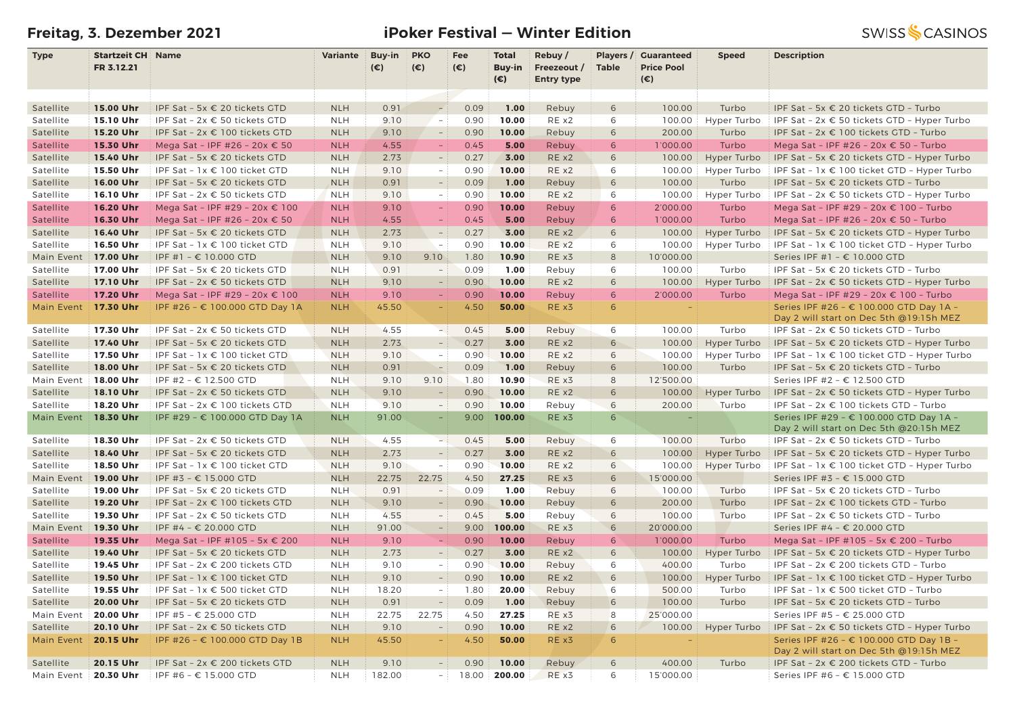# **Freitag, 3. Dezember 2021 iPoker Festival — Winter Edition**

| <b>Type</b>            | <b>Startzeit CH Name</b> |                                                    | Variante   | <b>Buy-in</b> | <b>PKO</b>                                           | Fee          | <b>Total</b>   | Rebuy/            | Players /             | <b>Guaranteed</b>  | <b>Speed</b> | <b>Description</b>                                                                 |
|------------------------|--------------------------|----------------------------------------------------|------------|---------------|------------------------------------------------------|--------------|----------------|-------------------|-----------------------|--------------------|--------------|------------------------------------------------------------------------------------|
|                        | FR 3.12.21               |                                                    |            | $(\epsilon)$  | $(\epsilon)$                                         | $(\epsilon)$ | Buy-in         | Freezeout /       | <b>Table</b>          | <b>Price Pool</b>  |              |                                                                                    |
|                        |                          |                                                    |            |               |                                                      |              | (€)            | <b>Entry type</b> |                       | $(\epsilon)$       |              |                                                                                    |
|                        |                          |                                                    |            |               |                                                      |              |                |                   |                       |                    |              |                                                                                    |
| Satellite              | 15.00 Uhr                | IPF Sat - 5x € 20 tickets GTD                      | <b>NLH</b> | 0.91          |                                                      | 0.09         | 1.00           | Rebuy             | 6                     | 100.00             | Turbo        | IPF Sat - 5x $\epsilon$ 20 tickets GTD - Turbo                                     |
| Satellite              | 15.10 Uhr                | IPF Sat - 2x € 50 tickets GTD                      | <b>NLH</b> | 9.10          | $\sim$                                               | 0.90         | 10.00          | RE x2             | 6                     | 100.00             | Hyper Turbo  | IPF Sat - $2x \in 50$ tickets GTD - Hyper Turbo                                    |
| Satellite              | 15.20 Uhr                | IPF Sat - 2x € 100 tickets GTD                     | <b>NLH</b> | 9.10          | $\overline{\phantom{a}}$                             | 0.90         | 10.00          | Rebuy             | 6                     | 200.00             | Turbo        | IPF Sat - 2x € 100 tickets GTD - Turbo                                             |
| Satellite              | 15.30 Uhr                | Mega Sat - IPF #26 - 20x € 50                      | <b>NLH</b> | 4.55          | $\overline{\phantom{m}}$                             | 0.45         | 5.00           | Rebuy             | 6                     | 1'000.00           | Turbo        | Mega Sat - IPF #26 - 20x € 50 - Turbo                                              |
| Satellite              | 15.40 Uhr                | IPF Sat - 5x € 20 tickets GTD                      | <b>NLH</b> | 2.73          | $\overline{\phantom{m}}$                             | 0.27         | 3.00           | RE x2             | 6                     | 100.00             | Hyper Turbo  | IPF Sat - 5x $\epsilon$ 20 tickets GTD - Hyper Turbo                               |
| Satellite              | 15.50 Uhr                | IPF Sat - 1x € 100 ticket GTD                      | <b>NLH</b> | 9.10          | $\overline{\phantom{a}}$                             | 0.90         | 10.00          | RE x2             | 6                     | 100.00             | Hyper Turbo  | IPF Sat - $1x \in 100$ ticket GTD - Hyper Turbo                                    |
| Satellite              | 16.00 Uhr                | IPF Sat - 5x € 20 tickets GTD                      | <b>NLH</b> | 0.91          | $\overline{\phantom{a}}$                             | 0.09         | 1.00           | Rebuy             | 6                     | 100.00             | Turbo        | IPF Sat - 5x € 20 tickets GTD - Turbo                                              |
| Satellite              | 16.10 Uhr                | IPF Sat - $2x \in 50$ tickets GTD                  | <b>NLH</b> | 9.10          | $\overline{\phantom{a}}$                             | 0.90         | 10.00          | RE x2             | 6                     | 100.00             | Hyper Turbo  | IPF Sat - $2x \in 50$ tickets GTD - Hyper Turbo                                    |
| Satellite              | 16.20 Uhr                | Mega Sat - IPF #29 - 20x € 100                     | <b>NLH</b> | 9.10          | $\equiv$                                             | 0.90         | 10.00          | Rebuy             | 6                     | 2'000.00           | Turbo        | Mega Sat - IPF #29 - 20x € 100 - Turbo                                             |
| Satellite              | 16.30 Uhr                | Mega Sat - IPF #26 - 20x € 50                      | <b>NLH</b> | 4.55          |                                                      | 0.45         | 5.00           | Rebuy             | 6                     | 1'000.00           | Turbo        | Mega Sat - IPF #26 - 20x € 50 - Turbo                                              |
| Satellite              | 16.40 Uhr                | IPF Sat - 5x € 20 tickets GTD                      | <b>NLH</b> | 2.73          | $\overline{\phantom{a}}$                             | 0.27         | 3.00           | RE x2             | 6                     | 100.00             | Hyper Turbo  | IPF Sat - 5x $\epsilon$ 20 tickets GTD - Hyper Turbo                               |
| Satellite              | 16.50 Uhr                | IPF Sat - 1x € 100 ticket GTD                      | <b>NLH</b> | 9.10          | $-$                                                  | 0.90         | 10.00          | RE x2             | 6                     | 100.00             | Hyper Turbo  | IPF Sat - $1x \in 100$ ticket GTD - Hyper Turbo                                    |
| Main Event             | 17.00 Uhr                | IPF #1 – € 10.000 GTD                              | <b>NLH</b> | 9.10          | 9.10                                                 | 1.80         | 10.90          | RE x3             | 8                     | 10'000.00          |              | Series IPF #1 - € 10.000 GTD                                                       |
| Satellite              | 17.00 Uhr                | IPF Sat - 5x € 20 tickets GTD                      | <b>NLH</b> | 0.91          | $\overline{\phantom{a}}$                             | 0.09         | 1.00           | Rebuy             | 6                     | 100.00             | Turbo        | IPF Sat - 5x € 20 tickets GTD - Turbo                                              |
| Satellite              | 17.10 Uhr                | IPF Sat - $2x \in 50$ tickets GTD                  | <b>NLH</b> | 9.10          | $\equiv$                                             | 0.90         | 10.00          | RE x2             | 6                     | 100.00             | Hyper Turbo  | IPF Sat - $2x \in 50$ tickets GTD - Hyper Turbo                                    |
| Satellite              | 17.20 Uhr                | Mega Sat - IPF #29 - 20x € 100                     | <b>NLH</b> | 9.10          | $\equiv$                                             | 0.90         | 10.00          | Rebuy             | 6                     | 2'000.00           | Turbo        | Mega Sat - IPF #29 - 20x € 100 - Turbo                                             |
| Main Event             | 17.30 Uhr                | IPF #26 - € 100.000 GTD Day 1A                     | <b>NLH</b> | 45.50         | $\equiv$                                             | 4.50         | 50.00          | RE x3             | 6                     |                    |              | Series IPF #26 - € 100.000 GTD Day 1A -                                            |
|                        |                          |                                                    |            |               |                                                      |              |                |                   |                       |                    |              | Day 2 will start on Dec 5th @19:15h MEZ                                            |
| Satellite              | 17.30 Uhr                | IPF Sat - $2x \in 50$ tickets GTD                  | <b>NLH</b> | 4.55          | $-1$                                                 | 0.45         | 5.00           | Rebuy             | 6                     | 100.00             | Turbo        | IPF Sat - 2x € 50 tickets GTD - Turbo                                              |
| Satellite              | 17.40 Uhr                | IPF Sat - 5x € 20 tickets GTD                      | <b>NLH</b> | 2.73          | $\sim$                                               | 0.27         | 3.00           | RE x2             | 6                     | 100.00             | Hyper Turbo  | IPF Sat - 5x € 20 tickets GTD - Hyper Turbo                                        |
| Satellite              | 17.50 Uhr                | IPF Sat - 1x € 100 ticket GTD                      | <b>NLH</b> | 9.10          | $\overline{\phantom{a}}$                             | 0.90         | 10.00          | RE x2             | 6                     | 100.00             | Hyper Turbo  | IPF Sat - $1x \in 100$ ticket GTD - Hyper Turbo                                    |
| Satellite              | 18.00 Uhr                | IPF Sat - 5x € 20 tickets GTD                      | <b>NLH</b> | 0.91          | $\overline{a}$                                       | 0.09         | 1.00           | Rebuy             | 6                     | 100.00             | Turbo        | IPF Sat - 5x € 20 tickets GTD - Turbo                                              |
| Main Event             | 18.00 Uhr                | IPF #2 - € 12.500 GTD                              | <b>NLH</b> | 9.10          | 9.10                                                 | 1.80         | 10.90          | RE x3             | 8                     | 12'500.00          |              | Series IPF #2 - € 12.500 GTD                                                       |
| Satellite              | 18.10 Uhr                | IPF Sat - 2x € 50 tickets GTD                      | <b>NLH</b> | 9.10          | $\overline{\phantom{a}}$<br>$\overline{\phantom{a}}$ | 0.90<br>0.90 | 10.00<br>10.00 | RE x2             | 6                     | 100.00             | Hyper Turbo  | IPF Sat - $2x \in 50$ tickets GTD - Hyper Turbo                                    |
| Satellite              | 18.20 Uhr                | IPF Sat - 2x € 100 tickets GTD                     | <b>NLH</b> | 9.10          | $\sim$                                               |              | 100.00         | Rebuy<br>RE x3    | 6<br>$6 \overline{6}$ | 200.00<br>$\equiv$ | Turbo        | IPF Sat - 2x € 100 tickets GTD - Turbo                                             |
| Main Event 18.30 Uhr   |                          | IPF #29 - € 100.000 GTD Day 1A                     | <b>NLH</b> | 91.00         |                                                      | 9.00         |                |                   |                       |                    |              | Series IPF #29 - € 100.000 GTD Day 1A -<br>Day 2 will start on Dec 5th @20:15h MEZ |
| Satellite              | 18.30 Uhr                | IPF Sat - 2x € 50 tickets GTD                      | <b>NLH</b> | 4.55          | $-1$                                                 | 0.45         | 5.00           | Rebuy             | 6                     | 100.00             | Turbo        | IPF Sat - $2x \in 50$ tickets GTD - Turbo                                          |
| Satellite              | 18.40 Uhr                | IPF Sat - 5x € 20 tickets GTD                      | <b>NLH</b> | 2.73          |                                                      | 0.27         | 3.00           | RE x2             | 6                     | 100.00             | Hyper Turbo  | IPF Sat - 5x $\epsilon$ 20 tickets GTD - Hyper Turbo                               |
| Satellite              | 18.50 Uhr                | IPF Sat - 1x € 100 ticket GTD                      | <b>NLH</b> | 9.10          | $\sim$                                               | 0.90         | 10.00          | RE x2             | 6                     | 100.00             | Hyper Turbo  | IPF Sat - $1x \in 100$ ticket GTD - Hyper Turbo                                    |
| Main Event             | 19.00 Uhr                | IPF #3 - € 15.000 GTD                              | <b>NLH</b> | 22.75         | 22.75                                                | 4.50         | 27.25          | RE x3             | 6                     | 15'000.00          |              | Series IPF #3 - € 15.000 GTD                                                       |
| Satellite              | 19.00 Uhr                | IPF Sat - 5x € 20 tickets GTD                      | <b>NLH</b> | 0.91          | - 1                                                  | 0.09         | 1.00           | Rebuy             | 6                     | 100.00             | Turbo        | IPF Sat - 5x € 20 tickets GTD - Turbo                                              |
| Satellite              | 19.20 Uhr                | IPF Sat - 2x € 100 tickets GTD                     | <b>NLH</b> | 9.10          | $\equiv$                                             | 0.90         | 10.00          | Rebuy             | 6                     | 200.00             | Turbo        | IPF Sat - 2x € 100 tickets GTD - Turbo                                             |
| Satellite              | 19.30 Uhr                | IPF Sat - 2x € 50 tickets GTD                      | <b>NLH</b> | 4.55          | $\overline{\phantom{a}}$                             | 0.45         | 5.00           | Rebuy             | 6                     | 100.00             | Turbo        | IPF Sat - 2x € 50 tickets GTD - Turbo                                              |
| Main Event             | 19.30 Uhr                | IPF #4 - € 20.000 GTD                              | <b>NLH</b> | 91.00         | $\equiv$                                             | 9.00         | 100.00         | RE x3             | 6                     | 20'000.00          |              | Series IPF #4 - € 20.000 GTD                                                       |
| Satellite              | 19.35 Uhr                | Mega Sat - IPF #105 - 5x € 200                     | <b>NLH</b> | 9.10          | $-$                                                  | 0.90         | 10.00          | Rebuy             | 6                     | 1'000.00           | Turbo        | Mega Sat - IPF #105 - 5x $\epsilon$ 200 - Turbo                                    |
| Satellite              | 19.40 Uhr                | IPF Sat - 5x € 20 tickets GTD                      | <b>NLH</b> | 2.73          |                                                      | 0.27         | 3.00           | RE x2             | 6                     | 100.00             | Hyper Turbo  | IPF Sat - 5x € 20 tickets GTD - Hyper Turbo                                        |
| Satellite              | 19.45 Uhr                | IPF Sat - 2x € 200 tickets GTD                     | <b>NLH</b> | 9.10          | $\overline{\phantom{a}}$                             | 0.90         | 10.00          | Rebuy             | 6                     | 400.00             | Turbo        | IPF Sat - 2x € 200 tickets GTD - Turbo                                             |
| Satellite              | 19.50 Uhr                | IPF Sat - 1x € 100 ticket GTD                      | <b>NLH</b> | 9.10          | $-$                                                  | 0.90         | 10.00          | REX2              | 6                     | 100.00             |              | Hyper Turbo   IPF Sat - $1x \in 100$ ticket GTD - Hyper Turbo                      |
| Satellite              |                          | <b>19.55 Uhr</b> IPF Sat - $1x \in 500$ ticket GTD | <b>NLH</b> | 18.20         |                                                      | 1.80         | 20.00          | Rebuy             | 6                     | 500.00             | Turbo        | IPF Sat - 1x € 500 ticket GTD - Turbo                                              |
| Satellite              | 20.00 Uhr                | IPF Sat - 5x € 20 tickets GTD                      | <b>NLH</b> | 0.91          | $\overline{\phantom{a}}$                             | 0.09         | 1.00           | Rebuy             | 6                     | 100.00             | Turbo        | IPF Sat - 5x € 20 tickets GTD - Turbo                                              |
| Main Event             | 20.00 Uhr                | IPF #5 - € 25.000 GTD                              | <b>NLH</b> | 22.75         | 22.75                                                | 4.50         | 27.25          | RE x3             | 8                     | 25'000.00          |              | Series IPF #5 - € 25.000 GTD                                                       |
| Satellite              | 20.10 Uhr                | IPF Sat - $2x \in 50$ tickets GTD                  | <b>NLH</b> | 9.10          | $\sim$                                               | 0.90         | 10.00          | RE x2             | 6                     | 100.00             | Hyper Turbo  | IPF Sat - $2x \in 50$ tickets GTD - Hyper Turbo                                    |
| Main Event   20.15 Uhr |                          | IPF #26 - € 100.000 GTD Day 1B                     | <b>NLH</b> | 45.50         | $\overline{\phantom{a}}$                             | 4.50         | 50.00          | RE x3             | 6                     |                    |              | Series IPF #26 - € 100.000 GTD Day 1B -                                            |
|                        |                          |                                                    |            |               |                                                      |              |                |                   |                       |                    |              | Day 2 will start on Dec 5th @19:15h MEZ                                            |
| Satellite              | 20.15 Uhr                | IPF Sat - 2x € 200 tickets GTD                     | <b>NLH</b> | 9.10          | $-1$                                                 | 0.90         | 10.00          | Rebuy             | 6                     | 400.00             | Turbo        | IPF Sat - 2x € 200 tickets GTD - Turbo                                             |
| Main Event             | 20.30 Uhr                | IPF #6 - € 15.000 GTD                              | <b>NLH</b> | 182.00        | $-1$                                                 |              | 18.00 200.00   | RE x3             | 6                     | 15'000.00          |              | Series IPF #6 - € 15.000 GTD                                                       |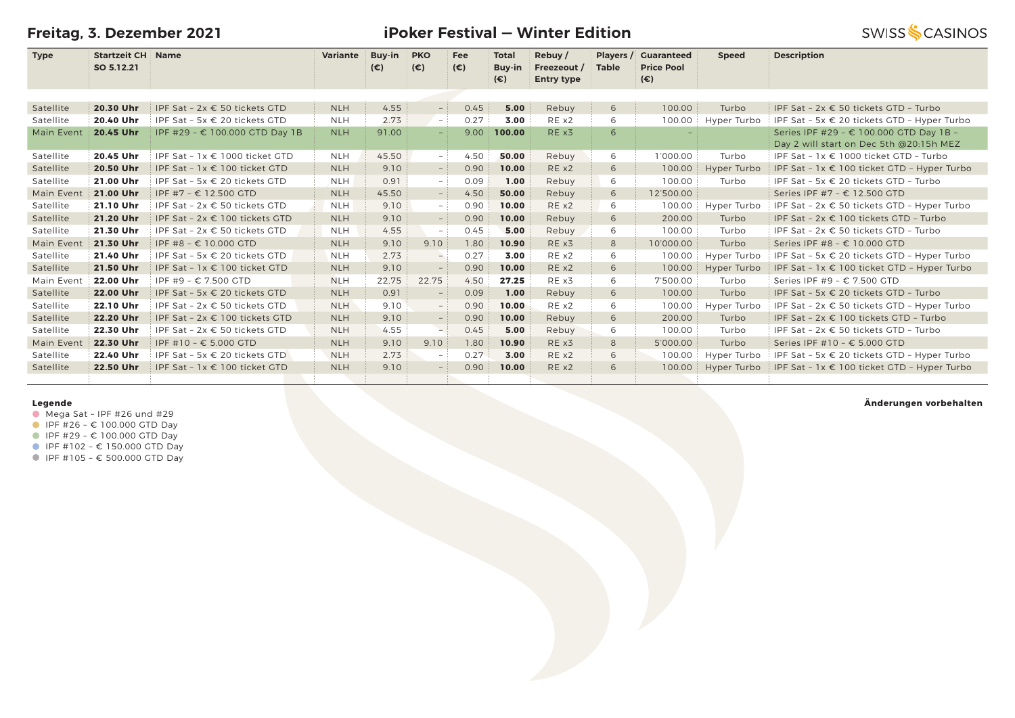**Freitag, 3. Dezember 2021**

### **iPoker Festival — Winter Edition**

**SWISS SCASINOS** 

| <b>Type</b> | <b>Startzeit CH   Name</b> |                                        | <b>Variante</b> | <b>Buy-in</b> | <b>PKO</b>               | <b>Fee</b>   | <b>Total</b> | Rebuy/            | Players /    | <b>Cuaranteed</b> | <b>Speed</b> | <b>Description</b>                                   |
|-------------|----------------------------|----------------------------------------|-----------------|---------------|--------------------------|--------------|--------------|-------------------|--------------|-------------------|--------------|------------------------------------------------------|
|             | SO 5.12.21                 |                                        |                 | $(\epsilon)$  | $(\epsilon)$             | $(\epsilon)$ | Buy-in       | Freezeout /       | <b>Table</b> | <b>Price Pool</b> |              |                                                      |
|             |                            |                                        |                 |               |                          |              | $(\epsilon)$ | <b>Entry type</b> |              | (€)               |              |                                                      |
|             |                            |                                        |                 |               |                          |              |              |                   |              |                   |              |                                                      |
| Satellite   | 20.30 Uhr                  | IPF Sat - 2x € 50 tickets GTD          | <b>NLH</b>      | 4.55          | $\sim$                   | 0.45         | 5.00         | Rebuy             | 6            | 100.00            | Turbo        | IPF Sat - 2x € 50 tickets GTD - Turbo                |
| Satellite   | 20.40 Uhr                  | IPF Sat - 5x $\epsilon$ 20 tickets GTD | <b>NLH</b>      | 2.73          | $-$ :                    | 0.27         | 3.00         | RE x2             | 6            | 100.00            | Hyper Turbo  | IPF Sat - 5x $\epsilon$ 20 tickets GTD - Hyper Turbo |
| Main Event  | 20.45 Uhr                  | IPF #29 - € 100.000 GTD Day 1B         | <b>NLH</b>      | 91.00         | $-1$                     | 9.00         | 100.00       | RE x3             | 6            |                   |              | Series IPF #29 - € 100.000 GTD Day 1B -              |
|             |                            |                                        |                 |               |                          |              |              |                   |              |                   |              | Day 2 will start on Dec 5th @20:15h MEZ              |
| Satellite   | 20.45 Uhr                  | IPF Sat - $1x \in 1000$ ticket GTD     | <b>NLH</b>      | 45.50         | - 1                      | 4.50         | 50.00        | Rebuy             | 6            | 1'000.00          | Turbo        | IPF Sat - $1x \in 1000$ ticket GTD - Turbo           |
| Satellite   | 20.50 Uhr                  | IPF Sat - 1x € 100 ticket GTD          | <b>NLH</b>      | 9.10          | $-$ 1                    | 0.90         | 10.00        | RE x2             | 6            | 100.00            | Hyper Turbo  | IPF Sat - $1x \in 100$ ticket GTD - Hyper Turbo      |
| Satellite   | 21.00 Uhr                  | IPF Sat - 5x € 20 tickets GTD          | <b>NLH</b>      | 0.91          | $-1$                     | 0.09         | 1.00         | Rebuy             | 6            | 100.00            | Turbo        | IPF Sat - 5x € 20 tickets GTD - Turbo                |
| Main Event  | 21.00 Uhr                  | IPF #7 - € 12.500 GTD                  | <b>NLH</b>      | 45.50         | $-$ :                    | 4.50         | 50.00        | Rebuy             | 6            | 12'500.00         |              | Series IPF #7 - € 12.500 GTD                         |
| Satellite   | 21.10 Uhr                  | IPF Sat - $2x \in 50$ tickets GTD      | <b>NLH</b>      | 9.10          | $-$ :                    | 0.90         | 10.00        | REX2              | 6            | 100.00            | Hyper Turbo  | IPF Sat - $2x \in 50$ tickets GTD - Hyper Turbo      |
| Satellite   | 21.20 Uhr                  | IPF Sat - 2x € 100 tickets GTD         | <b>NLH</b>      | 9.10          | $\sim$                   | 0.90         | 10.00        | Rebuy             | 6            | 200.00            | Turbo        | IPF Sat - 2x € 100 tickets GTD - Turbo               |
| Satellite   | 21.30 Uhr                  | IPF Sat - $2x \in 50$ tickets GTD      | <b>NLH</b>      | 4.55          | $-$ :                    | 0.45         | 5.00         | Rebuy             | 6            | 100.00            | Turbo        | IPF Sat - 2x € 50 tickets GTD - Turbo                |
| Main Event  | 21.30 Uhr                  | IPF #8 – € 10.000 GTD                  | <b>NLH</b>      | 9.10          | 9.10                     | 1.80         | 10.90        | RE x3             | 8            | 10'000.00         | Turbo        | Series IPF #8 - € 10.000 GTD                         |
| Satellite   | 21.40 Uhr                  | IPF Sat - 5x € 20 tickets GTD          | <b>NLH</b>      | 2.73          | $\rightarrow$            | 0.27         | 3.00         | RE x2             | 6            | 100.00            | Hyper Turbo  | IPF Sat - 5x € 20 tickets GTD - Hyper Turbo          |
| Satellite   | 21.50 Uhr                  | IPF Sat - 1x € 100 ticket GTD          | <b>NLH</b>      | 9.10          | $\overline{\phantom{a}}$ | 0.90         | 10.00        | RE x2             | 6            | 100.00            | Hyper Turbo  | IPF Sat - $1x \in 100$ ticket GTD - Hyper Turbo      |
| Main Event  | 22.00 Uhr                  | IPF #9 - € 7.500 GTD                   | <b>NLH</b>      | 22.75         | 22.75                    | 4.50         | 27.25        | RE x3             | 6            | 7'500.00          | Turbo        | Series IPF #9 - $\epsilon$ 7.500 GTD                 |
| Satellite   | 22.00 Uhr                  | IPF Sat - 5x € 20 tickets GTD          | <b>NLH</b>      | 0.91          | $\equiv$                 | 0.09         | 1.00         | Rebuy             | 6            | 100.00            | Turbo        | IPF Sat - 5x € 20 tickets GTD - Turbo                |
| Satellite   | 22.10 Uhr                  | IPF Sat - 2x € 50 tickets GTD          | <b>NLH</b>      | 9.10          | $-$ :                    | 0.90         | 10.00        | RE x2             | 6            | 100.00            | Hyper Turbo  | IPF Sat - $2x \in 50$ tickets GTD - Hyper Turbo      |
| Satellite   | 22.20 Uhr                  | IPF Sat - 2x € 100 tickets GTD         | <b>NLH</b>      | 9.10          | $ \,$                    | 0.90         | 10.00        | Rebuy             | 6            | 200.00            | Turbo        | IPF Sat - 2x € 100 tickets GTD - Turbo               |
| Satellite   | 22.30 Uhr                  | IPF Sat - $2x \in 50$ tickets GTD      | <b>NLH</b>      | 4.55          | — i                      | 0.45         | 5.00         | Rebuy             | 6            | 100.00            | Turbo        | IPF Sat - $2x \in 50$ tickets GTD - Turbo            |
| Main Event  | 22.30 Uhr                  | IPF #10 - € 5.000 GTD                  | <b>NLH</b>      | 9.10          | 9.10                     | 1.80         | 10.90        | RE x3             | 8            | 5'000.00          | Turbo        | Series IPF #10 - € 5.000 GTD                         |
| Satellite   | 22.40 Uhr                  | IPF Sat - 5x $\epsilon$ 20 tickets GTD | <b>NLH</b>      | 2.73          | $ \,$                    | 0.27         | 3.00         | RE x2             | 6            | 100.00            | Hyper Turbo  | IPF Sat - 5x $\epsilon$ 20 tickets GTD - Hyper Turbo |
| Satellite   | 22.50 Uhr                  | IPF Sat - 1x € 100 ticket GTD          | <b>NLH</b>      | 9.10          | $-$                      | 0.90         | 10.00        | RE x2             | 6            | 100.00            | Hyper Turbo  | IPF Sat - 1x € 100 ticket GTD - Hyper Turbo          |
|             |                            |                                        |                 |               |                          |              |              |                   |              |                   |              |                                                      |

### **Legende**

- $\bullet$  Mega Sat IPF #26 und #29
- $I$  IPF #26  $\epsilon$  100.000 GTD Day
- IPF #29 € 100.000 GTD Day
- $I$  IPF #102 € 150.000 GTD Day
- IPF #105 € 500.000 GTD Day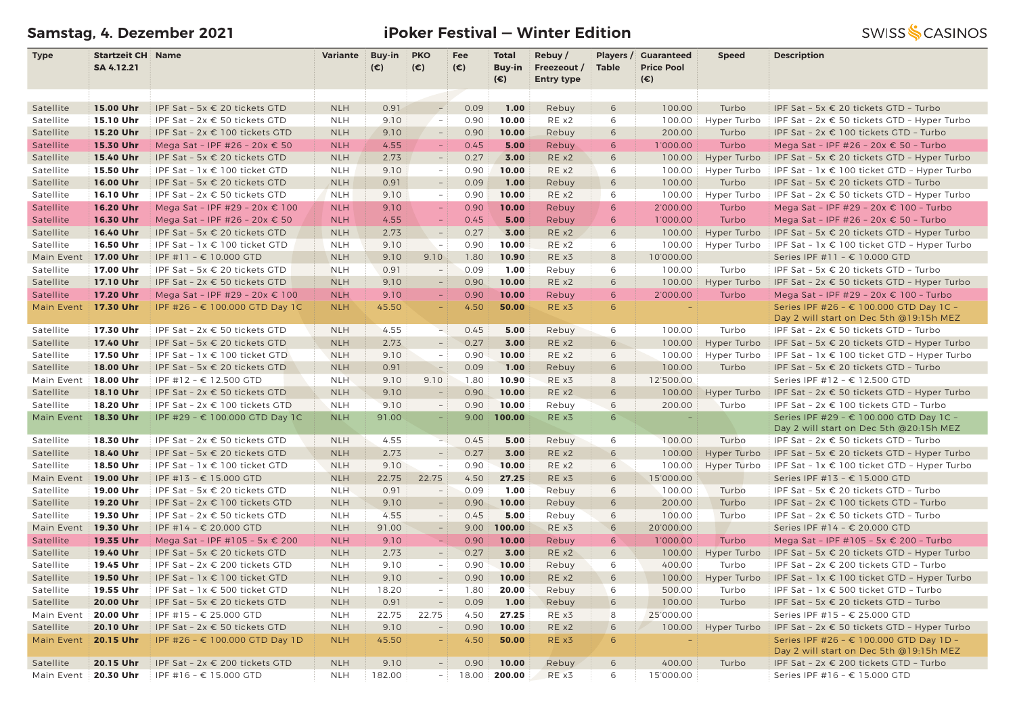# **Samstag, 4. Dezember 2021 iPoker Festival — Winter Edition**

| <b>Type</b>            | <b>Startzeit CH Name</b> |                                                                                         | Variante                 | Buy-in       | <b>PKO</b>                               | Fee                    | <b>Total</b>    | Rebuy/            |                  | <b>Players / Guaranteed</b> | <b>Speed</b>         | <b>Description</b>                                                                                                |
|------------------------|--------------------------|-----------------------------------------------------------------------------------------|--------------------------|--------------|------------------------------------------|------------------------|-----------------|-------------------|------------------|-----------------------------|----------------------|-------------------------------------------------------------------------------------------------------------------|
|                        | SA 4.12.21               |                                                                                         |                          | $(\epsilon)$ | $(\epsilon)$                             | $(\epsilon)$           | <b>Buy-in</b>   | Freezeout /       | <b>Table</b>     | <b>Price Pool</b>           |                      |                                                                                                                   |
|                        |                          |                                                                                         |                          |              |                                          |                        | $(\epsilon)$    | <b>Entry type</b> |                  | $(\epsilon)$                |                      |                                                                                                                   |
|                        |                          |                                                                                         |                          |              |                                          |                        |                 |                   |                  |                             |                      |                                                                                                                   |
| Satellite              | 15.00 Uhr                | IPF Sat - 5x € 20 tickets GTD                                                           | <b>NLH</b>               | 0.91         | $\overline{\phantom{a}}$                 | 0.09                   | 1.00            | Rebuy             | 6                | 100.00                      | Turbo                | IPF Sat - 5x € 20 tickets GTD - Turbo                                                                             |
| Satellite              | 15.10 Uhr                | IPF Sat - 2x € 50 tickets GTD                                                           | <b>NLH</b>               | 9.10         | $\sim$                                   | 0.90                   | 10.00           | RE x2             | 6                | 100.00                      | Hyper Turbo          | IPF Sat - $2x \in 50$ tickets GTD - Hyper Turbo                                                                   |
| Satellite              | 15.20 Uhr                | IPF Sat - 2x € 100 tickets GTD                                                          | <b>NLH</b>               | 9.10         | $\overline{\phantom{a}}$                 | 0.90                   | 10.00           | Rebuy             | 6                | 200.00                      | Turbo                | IPF Sat - 2x € 100 tickets GTD - Turbo                                                                            |
| Satellite              | 15.30 Uhr                | Mega Sat - IPF #26 - 20x € 50                                                           | <b>NLH</b>               | 4.55         | $\overline{\phantom{a}}$                 | 0.45                   | 5.00            | Rebuy             | 6                | 1'000.00                    | Turbo                | Mega Sat - IPF #26 - 20x € 50 - Turbo                                                                             |
| Satellite              | 15.40 Uhr                | IPF Sat - 5x € 20 tickets GTD                                                           | <b>NLH</b>               | 2.73         | $\overline{\phantom{a}}$                 | 0.27                   | 3.00            | RE x2             | 6                | 100.00                      | Hyper Turbo          | IPF Sat - 5x € 20 tickets GTD - Hyper Turbo                                                                       |
| Satellite              | 15.50 Uhr                | IPF Sat - 1x € 100 ticket GTD                                                           | <b>NLH</b>               | 9.10         | $\overline{\phantom{a}}$                 | 0.90                   | 10.00           | RE x2             | 6                | 100.00                      | Hyper Turbo          | IPF Sat - 1x € 100 ticket GTD - Hyper Turbo                                                                       |
| Satellite              | 16.00 Uhr                | IPF Sat - 5x € 20 tickets GTD                                                           | <b>NLH</b>               | 0.91         | $\overline{\phantom{a}}$                 | 0.09                   | 1.00            | Rebuy             | 6                | 100.00                      | Turbo                | IPF Sat - 5x € 20 tickets GTD - Turbo                                                                             |
| Satellite              | 16.10 Uhr                | IPF Sat - 2x € 50 tickets GTD                                                           | <b>NLH</b>               | 9.10         | $\overline{\phantom{a}}$                 | 0.90                   | 10.00           | RE x2             | 6                | 100.00                      | Hyper Turbo          | IPF Sat - $2x \in 50$ tickets GTD - Hyper Turbo                                                                   |
| Satellite              | 16.20 Uhr                | Mega Sat - IPF #29 - 20x € 100                                                          | <b>NLH</b>               | 9.10         | $\equiv$                                 | 0.90                   | 10.00           | Rebuy             | 6                | 2'000.00                    | Turbo                | Mega Sat - IPF #29 - 20x € 100 - Turbo                                                                            |
| Satellite              | 16.30 Uhr                | Mega Sat - IPF #26 - 20x € 50                                                           | <b>NLH</b>               | 4.55         | $\equiv$                                 | 0.45                   | 5.00            | Rebuy             | 6                | 1'000.00                    | Turbo                | Mega Sat - IPF #26 - 20x € 50 - Turbo                                                                             |
| Satellite              | 16.40 Uhr                | IPF Sat - 5x € 20 tickets GTD                                                           | <b>NLH</b>               | 2.73         | $\overline{\phantom{a}}$                 | 0.27                   | 3.00            | RE x2             | 6                | 100.00                      | Hyper Turbo          | IPF Sat - 5x $\epsilon$ 20 tickets GTD - Hyper Turbo                                                              |
| Satellite              | 16.50 Uhr                | IPF Sat - 1x € 100 ticket GTD                                                           | <b>NLH</b>               | 9.10         | $\overline{a}$                           | 0.90                   | 10.00           | RE x2             | 6                | 100.00                      | Hyper Turbo          | IPF Sat - $1x \in 100$ ticket GTD - Hyper Turbo                                                                   |
| Main Event             | 17.00 Uhr                | $IPF$ #11 – € 10.000 GTD                                                                | <b>NLH</b>               | 9.10         | 9.10                                     | 1.80                   | 10.90           | RE x3             | 8                | 10'000.00                   |                      | Series IPF #11 - € 10.000 GTD                                                                                     |
| Satellite              | 17.00 Uhr                | IPF Sat - 5x € 20 tickets GTD                                                           | <b>NLH</b>               | 0.91         | $\overline{\phantom{a}}$                 | 0.09                   | 1.00            | Rebuy             | 6                | 100.00                      | Turbo                | IPF Sat - 5x € 20 tickets GTD - Turbo                                                                             |
| Satellite              | 17.10 Uhr                | IPF Sat - $2x \in 50$ tickets GTD                                                       | <b>NLH</b>               | 9.10         | $\overline{\phantom{a}}$                 | 0.90                   | 10.00           | RE x2             | 6                | 100.00                      | Hyper Turbo          | IPF Sat - $2x \in 50$ tickets GTD - Hyper Turbo                                                                   |
| <b>Satellite</b>       | 17.20 Uhr                | Mega Sat - IPF #29 - 20x € 100                                                          | <b>NLH</b>               | 9.10         |                                          | 0.90                   | 10.00           | Rebuy             | 6                | 2'000.00                    | Turbo                | Mega Sat - IPF #29 - 20x € 100 - Turbo                                                                            |
| Main Event             | 17.30 Uhr                | IPF #26 - € 100.000 GTD Day 1C                                                          | <b>NLH</b>               | 45.50        | $\equiv$                                 | 4.50                   | 50.00           | RE x3             | 6                |                             |                      | Series IPF #26 - € 100.000 GTD Day 1C -                                                                           |
|                        |                          |                                                                                         |                          |              |                                          |                        |                 |                   |                  |                             |                      | Day 2 will start on Dec 5th @19:15h MEZ                                                                           |
| Satellite              | 17.30 Uhr                | IPF Sat - 2x € 50 tickets GTD                                                           | <b>NLH</b>               | 4.55         | $-1$                                     | 0.45                   | 5.00            | Rebuy             | 6                | 100.00                      | Turbo                | IPF Sat - 2x € 50 tickets GTD - Turbo                                                                             |
| Satellite              | 17.40 Uhr                | IPF Sat - 5x € 20 tickets GTD                                                           | <b>NLH</b>               | 2.73         | $\overline{\phantom{a}}$                 | 0.27                   | 3.00            | RE x2             | 6                | 100.00                      | Hyper Turbo          | IPF Sat - 5x $\epsilon$ 20 tickets GTD - Hyper Turbo                                                              |
| Satellite              | 17.50 Uhr                | IPF Sat - 1x € 100 ticket GTD                                                           | <b>NLH</b>               | 9.10         | $\overline{\phantom{a}}$                 | 0.90                   | 10.00           | RE x2             | 6                | 100.00                      | Hyper Turbo          | IPF Sat - $1x \in 100$ ticket GTD - Hyper Turbo                                                                   |
| Satellite              | 18.00 Uhr                | IPF Sat - 5x € 20 tickets GTD                                                           | <b>NLH</b>               | 0.91         | $\overline{\phantom{a}}$                 | 0.09                   | 1.00            | Rebuy             | 6                | 100.00                      | Turbo                | IPF Sat - 5x € 20 tickets GTD - Turbo                                                                             |
| Main Event             | 18.00 Uhr                | IPF #12 - € 12.500 GTD                                                                  | <b>NLH</b>               | 9.10         | 9.10                                     | 1.80                   | 10.90           | RE x3             | 8                | 12'500.00                   |                      | Series IPF #12 - € 12.500 GTD                                                                                     |
| Satellite              | 18.10 Uhr                | IPF Sat - 2x € 50 tickets GTD                                                           | <b>NLH</b>               | 9.10         | $\overline{\phantom{a}}$                 | 0.90                   | 10.00           | RE x2             | 6                | 100.00                      | Hyper Turbo          | IPF Sat - $2x \in 50$ tickets GTD - Hyper Turbo                                                                   |
| Satellite              | 18.20 Uhr                | IPF Sat - 2x € 100 tickets GTD                                                          | <b>NLH</b>               | 9.10         | $\overline{\phantom{a}}$                 | 0.90                   | 10.00           | Rebuy             | 6                | 200.00                      | Turbo                | IPF Sat - 2x € 100 tickets GTD - Turbo                                                                            |
| Main Event 18.30 Uhr   |                          | IPF #29 - € 100.000 GTD Day 1C                                                          | <b>NLH</b>               | 91.00        | $\overline{\phantom{a}}$                 | 9.00                   | 100.00          | RE x3             | $6 \overline{6}$ | $\overline{\phantom{a}}$    |                      | Series IPF #29 - € 100.000 GTD Day 1C -                                                                           |
|                        |                          |                                                                                         |                          |              |                                          |                        |                 |                   |                  |                             |                      | Day 2 will start on Dec 5th @20:15h MEZ                                                                           |
| Satellite              | 18.30 Uhr                | IPF Sat - 2x € 50 tickets GTD                                                           | <b>NLH</b>               | 4.55         | $-1$                                     | 0.45                   | 5.00            | Rebuy             | 6                | 100.00                      | Turbo                | IPF Sat - 2x € 50 tickets GTD - Turbo                                                                             |
| Satellite              | 18.40 Uhr                | IPF Sat - 5x € 20 tickets GTD                                                           | <b>NLH</b>               | 2.73         | $\overline{\phantom{a}}$                 | 0.27                   | 3.00            | RE x2             | 6                | 100.00                      | Hyper Turbo          | IPF Sat - 5x $\epsilon$ 20 tickets GTD - Hyper Turbo                                                              |
| Satellite              | 18.50 Uhr                | IPF Sat - 1x € 100 ticket GTD                                                           | <b>NLH</b>               | 9.10         | $\overline{\phantom{a}}$                 | 0.90                   | 10.00           | RE x2             | 6                | 100.00                      | Hyper Turbo          | IPF Sat - $1x \in 100$ ticket GTD - Hyper Turbo                                                                   |
| Main Event             | 19.00 Uhr                | IPF #13 - € 15.000 GTD                                                                  | <b>NLH</b>               | 22.75        | 22.75                                    | 4.50                   | 27.25           | RE x3             | 6                | 15'000.00                   |                      | Series IPF #13 - € 15.000 GTD                                                                                     |
| Satellite              | 19.00 Uhr                | IPF Sat - 5x € 20 tickets GTD                                                           | <b>NLH</b>               | 0.91         | $\overline{\phantom{a}}$                 | 0.09                   | 1.00            | Rebuy             | 6                | 100.00                      | Turbo                | IPF Sat - 5x € 20 tickets GTD - Turbo                                                                             |
| Satellite              | 19.20 Uhr                | IPF Sat - 2x € 100 tickets GTD                                                          | <b>NLH</b>               | 9.10         | $\overline{\phantom{a}}$<br>$\leftarrow$ | 0.90                   | 10.00           | Rebuy             | 6                | 200.00                      | Turbo                | IPF Sat - 2x € 100 tickets GTD - Turbo                                                                            |
| Satellite              | 19.30 Uhr                | IPF Sat - 2x € 50 tickets GTD                                                           | <b>NLH</b>               | 4.55         |                                          | 0.45                   | 5.00            | Rebuy             | 6                | 100.00                      | Turbo                | IPF Sat - $2x \in 50$ tickets GTD - Turbo                                                                         |
| Main Event             | 19.30 Uhr                | IPF #14 - € 20.000 GTD                                                                  | <b>NLH</b>               | 91.00        | $\overline{\phantom{a}}$<br>$\equiv$     | 9.00<br>0.90           | 100.00<br>10.00 | RE x3             | 6<br>6           | 20'000.00                   |                      | Series IPF #14 - € 20.000 GTD                                                                                     |
| Satellite              | 19.35 Uhr                | Mega Sat - IPF #105 - 5x € 200                                                          | <b>NLH</b>               | 9.10         | $\overline{\phantom{a}}$                 |                        | 3.00            | Rebuy             |                  | 1'000.00                    | Turbo                | Mega Sat - IPF #105 - 5x $\epsilon$ 200 - Turbo<br>IPF Sat - 5x € 20 tickets GTD - Hyper Turbo                    |
| Satellite<br>Satellite | 19.40 Uhr<br>19.45 Uhr   | IPF Sat - 5x € 20 tickets GTD                                                           | <b>NLH</b>               | 2.73<br>9.10 | $\overline{\phantom{a}}$                 | 0.27<br>0.90           | 10.00           | RE x2             | 6<br>6           | 100.00<br>400.00            | Hyper Turbo<br>Turbo | IPF Sat - 2x € 200 tickets GTD - Turbo                                                                            |
|                        |                          | IPF Sat - $2x \in 200$ tickets GTD                                                      | <b>NLH</b><br><b>NLH</b> | 9.10         | $ \,$                                    | 0.90                   | 10.00           | Rebuy<br>RE x2    | 6                |                             |                      |                                                                                                                   |
| Satellite<br>Satellite | 19.50 Uhr                | IPF Sat - $1x \in 100$ ticket GTD<br>19.55 Uhr   IPF Sat - 1x $\epsilon$ 500 ticket GTD | <b>NLH</b>               | 18.20        |                                          | 1.80                   | 20.00           | Rebuy             | $6\overline{6}$  | 100.00<br>500.00            |                      | Hyper Turbo   IPF Sat - 1x $\epsilon$ 100 ticket GTD - Hyper Turbo<br>Turbo IPF Sat - 1x € 500 ticket GTD - Turbo |
| Satellite              | 20.00 Uhr                | IPF Sat - 5x € 20 tickets GTD                                                           | <b>NLH</b>               | 0.91         | $\overline{\phantom{a}}$                 | 0.09                   | 1.00            |                   | 6                |                             | Turbo                | IPF Sat - 5x € 20 tickets GTD - Turbo                                                                             |
| Main Event             | 20.00 Uhr                | IPF #15 - € 25.000 GTD                                                                  | <b>NLH</b>               | 22.75        | 22.75                                    | 4.50                   | 27.25           | Rebuy<br>RE x3    | 8                | 100.00<br>25'000.00         |                      | Series IPF #15 - € 25.000 GTD                                                                                     |
| Satellite              | 20.10 Uhr                | IPF Sat - 2x € 50 tickets GTD                                                           | <b>NLH</b>               | 9.10         | $\sim$                                   | 0.90                   | 10.00           | RE x2             | 6                | 100.00                      | Hyper Turbo          | IPF Sat - $2x \in 50$ tickets GTD - Hyper Turbo                                                                   |
| Main Event 20.15 Uhr   |                          | IPF #26 - € 100.000 GTD Day 1D                                                          | <b>NLH</b>               | 45.50        | $\overline{\phantom{a}}$                 | 4.50                   | 50.00           | RE x3             | 6                |                             |                      | Series IPF #26 - € 100.000 GTD Day 1D -                                                                           |
|                        |                          |                                                                                         |                          |              |                                          |                        |                 |                   |                  |                             |                      | Day 2 will start on Dec 5th @19:15h MEZ                                                                           |
| Satellite              | 20.15 Uhr                | IPF Sat - $2x \in 200$ tickets GTD                                                      | <b>NLH</b>               | 9.10         | $-$ 1                                    | 0.90                   | 10.00           | Rebuy             | 6                | 400.00                      | Turbo                | IPF Sat - 2x € 200 tickets GTD - Turbo                                                                            |
| Main Event             | 20.30 Uhr                | IPF #16 - € 15.000 GTD                                                                  | <b>NLH</b>               | 182.00       |                                          | $-18.00$ <b>200.00</b> |                 | RE x3             | 6                | 15'000.00                   |                      | Series IPF #16 - € 15.000 GTD                                                                                     |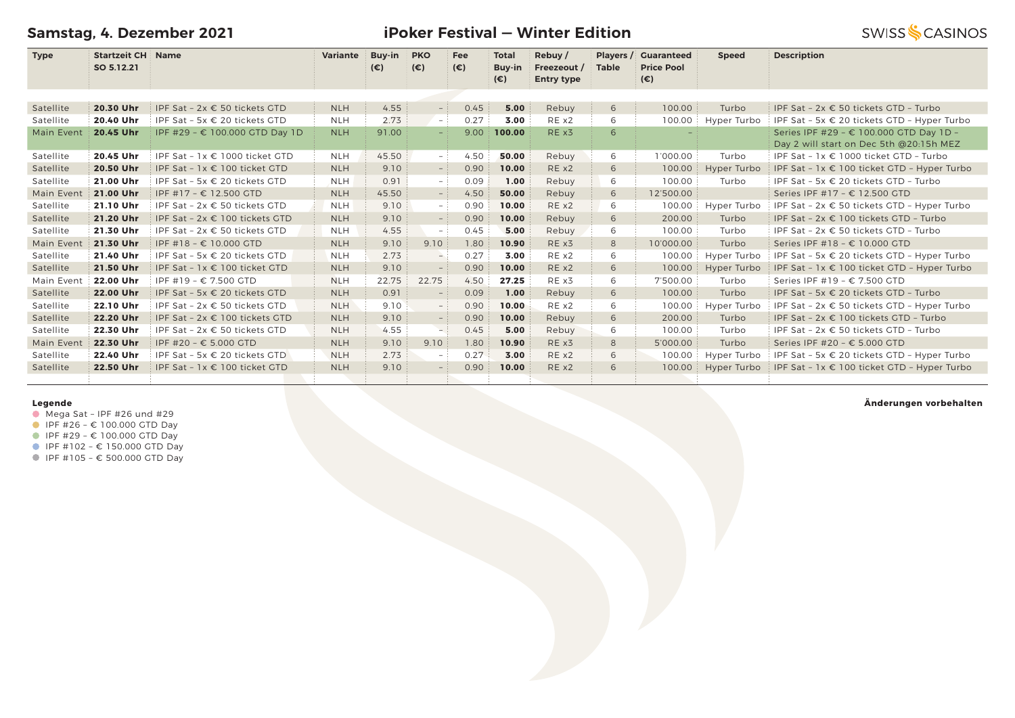**Samstag, 4. Dezember 2021**

**iPoker Festival — Winter Edition**

**SWISS SCASINOS** 

| <b>Type</b> | <b>Startzeit CH Name</b> |                                        | <b>Variante</b> | <b>Buy-in</b> | <b>PKO</b>               | Fee          | <b>Total</b>           | Rebuy /                          | Players /    | <b>Guaranteed</b>                 | <b>Speed</b> | <b>Description</b>                                                                 |
|-------------|--------------------------|----------------------------------------|-----------------|---------------|--------------------------|--------------|------------------------|----------------------------------|--------------|-----------------------------------|--------------|------------------------------------------------------------------------------------|
|             | SO 5.12.21               |                                        |                 | $(\epsilon)$  | $(\epsilon)$             | $(\epsilon)$ | Buy-in<br>$(\epsilon)$ | Freezeout /<br><b>Entry type</b> | <b>Table</b> | <b>Price Pool</b><br>$(\epsilon)$ |              |                                                                                    |
|             |                          |                                        |                 |               |                          |              |                        |                                  |              |                                   |              |                                                                                    |
| Satellite   | 20.30 Uhr                | IPF Sat - 2x € 50 tickets GTD          | <b>NLH</b>      | 4.55          | $-$                      | 0.45         | 5.00                   | Rebuy                            | 6            | 100.00                            | Turbo        | IPF Sat - 2x € 50 tickets GTD - Turbo                                              |
| Satellite   | 20.40 Uhr                | IPF Sat - 5x € 20 tickets GTD          | <b>NLH</b>      | 2.73          | $\overline{\phantom{a}}$ | 0.27         | 3.00                   | RE x2                            | 6            | 100.00                            | Hyper Turbo  | IPF Sat - 5x € 20 tickets GTD - Hyper Turbo                                        |
| Main Event  | 20.45 Uhr                | IPF #29 - € 100.000 GTD Day 1D         | <b>NLH</b>      | 91.00         | ш.                       | 9.00         | 100.00                 | RE x3                            | 6            |                                   |              | Series IPF #29 - € 100.000 GTD Day 1D -<br>Day 2 will start on Dec 5th @20:15h MEZ |
| Satellite   | 20.45 Uhr                | IPF Sat - 1x € 1000 ticket GTD         | <b>NLH</b>      | 45.50         | $-$ :                    | 4.50         | 50.00                  | Rebuy                            | 6            | 1'000.00                          | Turbo        | IPF Sat - 1x € 1000 ticket GTD - Turbo                                             |
| Satellite   | 20.50 Uhr                | IPF Sat - $1x \in 100$ ticket GTD      | <b>NLH</b>      | 9.10          | $-$ :                    | 0.90         | 10.00                  | REX2                             | 6            | 100.00                            | Hyper Turbo  | IPF Sat - $1x \in 100$ ticket GTD - Hyper Turbo                                    |
| Satellite   | 21.00 Uhr                | IPF Sat - 5x € 20 tickets GTD          | <b>NLH</b>      | 0.91          | $-$ :                    | 0.09         | 1.00                   | Rebuy                            | 6            | 100.00                            | Turbo        | IPF Sat - 5x € 20 tickets GTD - Turbo                                              |
| Main Event  | 21.00 Uhr                | IPF #17 - € 12.500 GTD                 | <b>NLH</b>      | 45.50         | $ \,$                    | 4.50         | 50.00                  | Rebuy                            | 6            | 12'500.00                         |              | Series IPF #17 - € 12.500 GTD                                                      |
| Satellite   | 21.10 Uhr                | IPF Sat - $2x \in 50$ tickets GTD      | <b>NLH</b>      | 9.10          | $\sim$                   | 0.90         | 10.00                  | REX2                             | 6            | 100.00                            | Hyper Turbo  | IPF Sat - $2x \in 50$ tickets GTD - Hyper Turbo                                    |
| Satellite   | 21.20 Uhr                | IPF Sat - 2x € 100 tickets GTD         | <b>NLH</b>      | 9.10          | $ \,$                    | 0.90         | 10.00                  | Rebuy                            | 6            | 200.00                            | Turbo        | IPF Sat - 2x € 100 tickets GTD - Turbo                                             |
| Satellite   | 21.30 Uhr                | IPF Sat - $2x \in 50$ tickets GTD      | <b>NLH</b>      | 4.55          | $\overline{\phantom{a}}$ | 0.45         | 5.00                   | Rebuy                            | 6            | 100.00                            | Turbo        | IPF Sat - $2x \in 50$ tickets GTD - Turbo                                          |
| Main Event  | 21.30 Uhr                | IPF #18 - € 10.000 GTD                 | <b>NLH</b>      | 9.10          | 9.10                     | 1.80         | 10.90                  | RE x3                            | 8            | 10'000.00                         | Turbo        | Series IPF #18 - € 10.000 GTD                                                      |
| Satellite   | 21.40 Uhr                | IPF Sat - 5x € 20 tickets GTD          | <b>NLH</b>      | 2.73          | $-$                      | 0.27         | 3.00                   | RE x2                            | 6            | 100.00                            | Hyper Turbo  | IPF Sat - 5x € 20 tickets GTD - Hyper Turbo                                        |
| Satellite   | 21.50 Uhr                | IPF Sat - 1x € 100 ticket GTD          | <b>NLH</b>      | 9.10          |                          | 0.90         | 10.00                  | REX2                             | 6            | 100.00                            | Hyper Turbo  | IPF Sat - $1x \in 100$ ticket GTD - Hyper Turbo                                    |
| Main Event  | 22.00 Uhr                | IPF #19 - € 7.500 GTD                  | <b>NLH</b>      | 22.75         | 22.75                    | 4.50         | 27.25                  | RE x3                            | 6            | 7'500.00                          | Turbo        | Series IPF #19 - € 7.500 GTD                                                       |
| Satellite   | 22.00 Uhr                | IPF Sat - 5x $\epsilon$ 20 tickets GTD | <b>NLH</b>      | 0.91          |                          | 0.09         | 1.00                   | Rebuy                            | 6            | 100.00                            | Turbo        | IPF Sat - 5x $\epsilon$ 20 tickets GTD - Turbo                                     |
| Satellite   | 22.10 Uhr                | IPF Sat - 2x € 50 tickets GTD          | <b>NLH</b>      | 9.10          |                          | 0.90         | 10.00                  | RE x2                            | 6            | 100.00                            | Hyper Turbo  | IPF Sat - 2x € 50 tickets GTD - Hyper Turbo                                        |
| Satellite   | 22.20 Uhr                | IPF Sat - 2x € 100 tickets GTD         | <b>NLH</b>      | 9.10          | $ \,$                    | 0.90         | 10.00                  | Rebuy                            | 6            | 200.00                            | Turbo        | IPF Sat - 2x € 100 tickets GTD - Turbo                                             |
| Satellite   | 22.30 Uhr                | IPF Sat - $2x \in 50$ tickets GTD      | <b>NLH</b>      | 4.55          |                          | 0.45         | 5.00                   | Rebuy                            | 6            | 100.00                            | Turbo        | IPF Sat - $2x \in 50$ tickets GTD - Turbo                                          |
| Main Event  | 22.30 Uhr                | IPF #20 - € 5.000 GTD                  | <b>NLH</b>      | 9.10          | 9.10                     | 1.80         | 10.90                  | RE x3                            | 8            | 5'000.00                          | Turbo        | Series IPF #20 - € 5.000 GTD                                                       |
| Satellite   | 22.40 Uhr                | IPF Sat - 5x $\epsilon$ 20 tickets GTD | <b>NLH</b>      | 2.73          | $\overline{\phantom{a}}$ | 0.27         | 3.00                   | REX2                             | 6            | 100.00                            | Hyper Turbo  | IPF Sat - 5x € 20 tickets GTD - Hyper Turbo                                        |
| Satellite   | 22.50 Uhr                | IPF Sat - 1x € 100 ticket GTD          | <b>NLH</b>      | 9.10          |                          | 0.90         | 10.00                  | RE x2                            | 6            | 100.00                            | Hyper Turbo  | IPF Sat - 1x € 100 ticket GTD - Hyper Turbo                                        |
|             |                          |                                        |                 |               |                          |              |                        |                                  |              |                                   |              |                                                                                    |

### **Legende**

- $\bullet$  Mega Sat IPF #26 und #29
- $I$  IPF #26  $\epsilon$  100.000 GTD Day
- IPF #29 € 100.000 GTD Day
- $I$  IPF #102 € 150.000 GTD Day
- IPF #105 € 500.000 GTD Day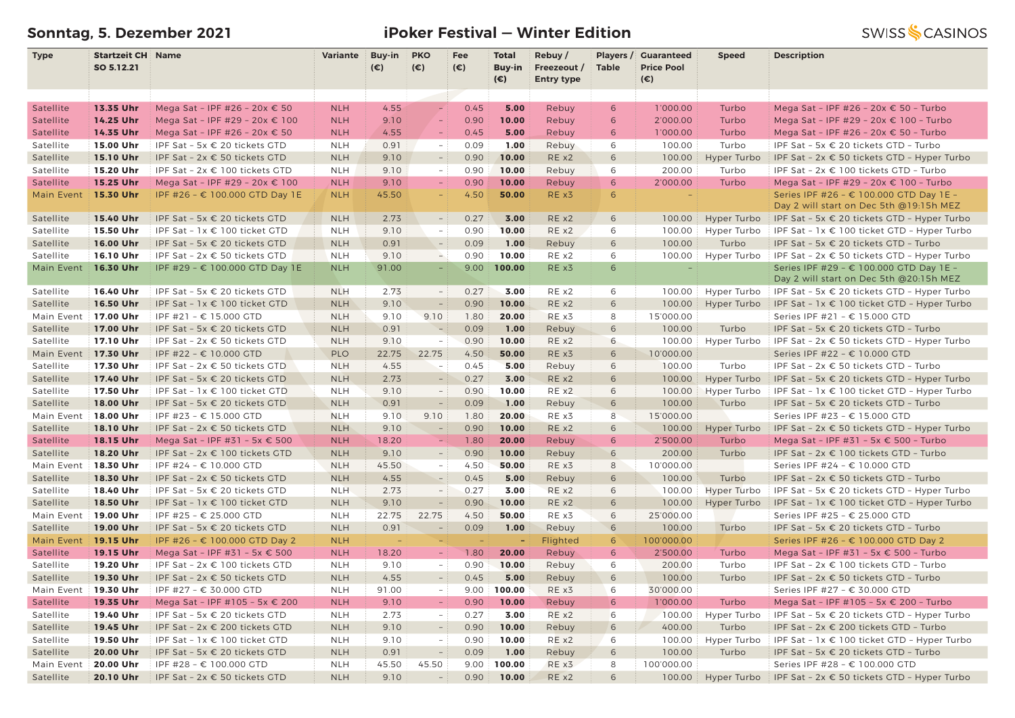# **Sonntag, 5. Dezember 2021 iPoker Festival — Winter Edition**

| <b>Type</b>          | <b>Startzeit CH Name</b> |                                        | Variante   | Buy-in       | <b>PKO</b>               | Fee          | <b>Total</b>                  | Rebuy/                           | Players /    | <b>Guaranteed</b>                 | <b>Speed</b> | <b>Description</b>                                                                 |
|----------------------|--------------------------|----------------------------------------|------------|--------------|--------------------------|--------------|-------------------------------|----------------------------------|--------------|-----------------------------------|--------------|------------------------------------------------------------------------------------|
|                      | SO 5.12.21               |                                        |            | $(\epsilon)$ | $(\epsilon)$             | $(\epsilon)$ | <b>Buy-in</b><br>$(\epsilon)$ | Freezeout /<br><b>Entry type</b> | <b>Table</b> | <b>Price Pool</b><br>$(\epsilon)$ |              |                                                                                    |
|                      |                          |                                        |            |              |                          |              |                               |                                  |              |                                   |              |                                                                                    |
| Satellite            | 13.35 Uhr                | Mega Sat - IPF #26 - 20x € 50          | <b>NLH</b> | 4.55         | $\equiv$                 | 0.45         | 5.00                          | Rebuy                            | 6            | 1'000.00                          | Turbo        | Mega Sat - IPF #26 - 20x € 50 - Turbo                                              |
| Satellite            | 14.25 Uhr                | Mega Sat - IPF #29 - 20x € 100         | <b>NLH</b> | 9.10         | $\equiv$                 | 0.90         | 10.00                         | Rebuy                            | 6            | 2'000.00                          | Turbo        | Mega Sat - IPF #29 - 20x € 100 - Turbo                                             |
| Satellite            | 14.35 Uhr                | Mega Sat - IPF #26 - 20x € 50          | <b>NLH</b> | 4.55         | $\overline{\phantom{m}}$ | 0.45         | 5.00                          | Rebuy                            | 6            | 1'000.00                          | Turbo        | Mega Sat - IPF #26 - 20x € 50 - Turbo                                              |
| Satellite            | 15.00 Uhr                | IPF Sat - 5x € 20 tickets GTD          | <b>NLH</b> | 0.91         | $\sim$                   | 0.09         | 1.00                          | Rebuy                            | 6            | 100.00                            | Turbo        | IPF Sat - 5x € 20 tickets GTD - Turbo                                              |
| Satellite            | 15.10 Uhr                | IPF Sat - $2x \in 50$ tickets GTD      | <b>NLH</b> | 9.10         | $\overline{\phantom{a}}$ | 0.90         | 10.00                         | RE x2                            | 6            | 100.00                            | Hyper Turbo  | IPF Sat - $2x \in 50$ tickets GTD - Hyper Turbo                                    |
| Satellite            | 15.20 Uhr                | IPF Sat - 2x € 100 tickets GTD         | <b>NLH</b> | 9.10         | $\overline{\phantom{a}}$ | 0.90         | 10.00                         | Rebuy                            | 6            | 200.00                            | Turbo        | IPF Sat - 2x € 100 tickets GTD - Turbo                                             |
| Satellite            | 15.25 Uhr                | Mega Sat - IPF #29 - 20x € 100         | <b>NLH</b> | 9.10         | $\equiv$                 | 0.90         | 10.00                         | Rebuy                            | 6            | 2'000.00                          | Turbo        | Mega Sat - IPF #29 - 20x € 100 - Turbo                                             |
| Main Event           | 15.30 Uhr                | IPF #26 - € 100.000 GTD Day 1E         | <b>NLH</b> | 45.50        |                          | 4.50         | 50.00                         | RE x3                            | 6            |                                   |              | Series IPF #26 - € 100.000 GTD Day 1E -                                            |
|                      |                          |                                        |            |              |                          |              |                               |                                  |              |                                   |              | Day 2 will start on Dec 5th @19:15h MEZ                                            |
| Satellite            | 15.40 Uhr                | IPF Sat - 5x $\epsilon$ 20 tickets GTD | <b>NLH</b> | 2.73         | $-$ :                    | 0.27         | 3.00                          | RE x2                            | 6            | 100.00                            | Hyper Turbo  | IPF Sat - 5x $\epsilon$ 20 tickets GTD - Hyper Turbo                               |
| Satellite            | 15.50 Uhr                | IPF Sat - 1x € 100 ticket GTD          | <b>NLH</b> | 9.10         | $-$ :                    | 0.90         | 10.00                         | RE x2                            | 6            | 100.00                            | Hyper Turbo  | IPF Sat - $1x \in 100$ ticket GTD - Hyper Turbo                                    |
| Satellite            | 16.00 Uhr                | IPF Sat - 5x € 20 tickets GTD          | <b>NLH</b> | 0.91         | $ \,$                    | 0.09         | 1.00                          | Rebuy                            | 6            | 100.00                            | Turbo        | IPF Sat - 5x € 20 tickets GTD - Turbo                                              |
| Satellite            | 16.10 Uhr                | IPF Sat - 2x € 50 tickets GTD          | <b>NLH</b> | 9.10         | $\rightarrow$            | 0.90         | 10.00                         | RE x2                            | 6            | 100.00                            | Hyper Turbo  | IPF Sat - 2x € 50 tickets GTD - Hyper Turbo                                        |
| Main Event           | 16.30 Uhr                | IPF #29 - € 100.000 GTD Day 1E         | <b>NLH</b> | 91.00        | $\equiv$                 | 9.00         | 100.00                        | RE x3                            | 6            | $\equiv$                          |              | Series IPF #29 - € 100.000 GTD Day 1E -<br>Day 2 will start on Dec 5th @20:15h MEZ |
| Satellite            | 16.40 Uhr                | IPF Sat - 5x € 20 tickets GTD          | <b>NLH</b> | 2.73         | $\sim$ .                 | 0.27         | 3.00                          | RE x2                            | 6            | 100.00                            | Hyper Turbo  | IPF Sat - 5x $\epsilon$ 20 tickets GTD - Hyper Turbo                               |
| Satellite            | 16.50 Uhr                | IPF Sat - 1x € 100 ticket GTD          | <b>NLH</b> | 9.10         | $\overline{\phantom{a}}$ | 0.90         | 10.00                         | RE x2                            | 6            | 100.00                            | Hyper Turbo  | IPF Sat - 1x € 100 ticket GTD - Hyper Turbo                                        |
| Main Event 17.00 Uhr |                          | IPF #21 - € 15.000 GTD                 | <b>NLH</b> | 9.10         | 9.10                     | 1.80         | 20.00                         | RE x3                            | 8            | 15'000.00                         |              | Series IPF #21 - € 15.000 GTD                                                      |
| Satellite            | 17.00 Uhr                | IPF Sat - 5x € 20 tickets GTD          | <b>NLH</b> | 0.91         | $\overline{\phantom{a}}$ | 0.09         | 1.00                          | Rebuy                            | 6            | 100.00                            | Turbo        | IPF Sat - 5x € 20 tickets GTD - Turbo                                              |
| Satellite            | 17.10 Uhr                | IPF Sat - 2x € 50 tickets GTD          | <b>NLH</b> | 9.10         | $\overline{\phantom{a}}$ | 0.90         | 10.00                         | RE x2                            | 6            | 100.00                            | Hyper Turbo  | IPF Sat - 2x € 50 tickets GTD - Hyper Turbo                                        |
| Main Event           | 17.30 Uhr                | IPF #22 - € 10.000 GTD                 | PLO        | 22.75        | 22.75                    | 4.50         | 50.00                         | RE x3                            | 6            | 10'000.00                         |              | Series IPF #22 - € 10.000 GTD                                                      |
| Satellite            | 17.30 Uhr                | IPF Sat - $2x \in 50$ tickets GTD      | <b>NLH</b> | 4.55         | $\sim$                   | 0.45         | 5.00                          | Rebuy                            | 6            | 100.00                            | Turbo        | IPF Sat - 2x € 50 tickets GTD - Turbo                                              |
| Satellite            | 17.40 Uhr                | IPF Sat - 5x € 20 tickets GTD          | <b>NLH</b> | 2.73         | $ \,$                    | 0.27         | 3.00                          | RE x2                            | 6            | 100.00                            | Hyper Turbo  | IPF Sat - 5x € 20 tickets GTD - Hyper Turbo                                        |
| Satellite            | 17.50 Uhr                | IPF Sat - 1x € 100 ticket GTD          | <b>NLH</b> | 9.10         | $\overline{\phantom{a}}$ | 0.90         | 10.00                         | RE x2                            | 6            | 100.00                            | Hyper Turbo  | IPF Sat - $1x \in 100$ ticket GTD - Hyper Turbo                                    |
| Satellite            | 18.00 Uhr                | IPF Sat - 5x € 20 tickets GTD          | <b>NLH</b> | 0.91         | $\overline{\phantom{a}}$ | 0.09         | 1.00                          | Rebuy                            | 6            | 100.00                            | Turbo        | IPF Sat - 5x € 20 tickets GTD - Turbo                                              |
| Main Event           | 18.00 Uhr                | IPF #23 - € 15.000 GTD                 | <b>NLH</b> | 9.10         | 9.10                     | 1.80         | 20.00                         | RE x3                            | 8            | 15'000.00                         |              | Series IPF #23 - € 15.000 GTD                                                      |
| Satellite            | 18.10 Uhr                | IPF Sat - $2x \in 50$ tickets GTD      | <b>NLH</b> | 9.10         | $\overline{\phantom{a}}$ | 0.90         | 10.00                         | RE x2                            | 6            | 100.00                            | Hyper Turbo  | IPF Sat - $2x \in 50$ tickets GTD - Hyper Turbo                                    |
| Satellite            | 18.15 Uhr                | Mega Sat - IPF #31 - 5x € 500          | <b>NLH</b> | 18.20        | ÷.                       | 1.80         | 20.00                         | Rebuy                            | 6            | 2'500.00                          | Turbo        | Mega Sat - IPF #31 - 5x € 500 - Turbo                                              |
| Satellite            | 18.20 Uhr                | IPF Sat - 2x € 100 tickets GTD         | <b>NLH</b> | 9.10         | $\overline{\phantom{a}}$ | 0.90         | 10.00                         | Rebuy                            | 6            | 200.00                            | Turbo        | IPF Sat - $2x \in 100$ tickets GTD - Turbo                                         |
| Main Event           | 18.30 Uhr                | IPF #24 - € 10.000 GTD                 | <b>NLH</b> | 45.50        | $-1$                     | 4.50         | 50.00                         | RE x3                            | 8            | 10'000.00                         |              | Series IPF #24 - € 10.000 GTD                                                      |
| Satellite            | 18.30 Uhr                | IPF Sat - 2x € 50 tickets GTD          | <b>NLH</b> | 4.55         | $\overline{a}$           | 0.45         | 5.00                          | Rebuy                            | 6            | 100.00                            | Turbo        | IPF Sat - $2x \in 50$ tickets GTD - Turbo                                          |
| Satellite            | 18.40 Uhr                | IPF Sat - 5x € 20 tickets GTD          | <b>NLH</b> | 2.73         | $-$ :                    | 0.27         | 3.00                          | RE x2                            | 6            | 100.00                            | Hyper Turbo  | IPF Sat - 5x $\epsilon$ 20 tickets GTD - Hyper Turbo                               |
| Satellite            | 18.50 Uhr                | IPF Sat - 1x € 100 ticket GTD          | <b>NLH</b> | 9.10         | $\overline{\phantom{a}}$ | 0.90         | 10.00                         | RE x2                            | 6            | 100.00                            | Hyper Turbo  | IPF Sat - $1x \in 100$ ticket GTD - Hyper Turbo                                    |
| Main Event           | 19.00 Uhr                | IPF #25 - € 25.000 GTD                 | <b>NLH</b> | 22.75        | 22.75                    | 4.50         | 50.00                         | RE x3                            | 6            | 25'000.00                         |              | Series IPF #25 - € 25.000 GTD                                                      |
| Satellite            | 19.00 Uhr                | IPF Sat - 5x € 20 tickets GTD          | <b>NLH</b> | 0.91         | $\overline{\phantom{a}}$ | 0.09         | 1.00                          | Rebuy                            | 6            | 100.00                            | Turbo        | IPF Sat - 5x € 20 tickets GTD - Turbo                                              |
| Main Event           | <b>19.15 Uhr</b>         | IPF #26 - € 100.000 GTD Day 2          | <b>NLH</b> |              | ÷,                       | $\equiv$     | $\sim$                        | Flighted                         | 6            | 100'000.00                        |              | Series IPF #26 - € 100.000 GTD Day 2                                               |
| Satellite            | 19.15 Uhr                | Mega Sat - IPF #31 - 5x € 500          | <b>NLH</b> | 18.20        | $\equiv$                 | 1.80         | 20.00                         | Rebuy                            | 6            | 2'500.00                          | Turbo        | Mega Sat - IPF #31 - 5x € 500 - Turbo                                              |
| Satellite            | 19.20 Uhr                | IPF Sat - 2x € 100 tickets GTD         | <b>NLH</b> | 9.10         | $\sim$                   | 0.90         | 10.00                         | Rebuy                            | 6            | 200.00                            | Turbo        | IPF Sat - 2x € 100 tickets GTD - Turbo                                             |
| Satellite            | 19.30 Uhr                | IPF Sat - $2x \in 50$ tickets GTD      | <b>NLH</b> | 4.55         | $-$ 1                    | 0.45         | 5.00                          | Rebuy                            | 6            | 100.00                            | Turbo        | IPF Sat - $2x \in 50$ tickets GTD - Turbo                                          |
| Main Event 19.30 Uhr |                          | $I$ IPF #27 - € 30.000 GTD             | <b>NLH</b> | 91.00        |                          |              | $9.00$ 100.00                 | RE x3                            | 6            | 30'000.00                         |              | Series IPF #27 - € 30.000 GTD                                                      |
| Satellite            | 19.35 Uhr                | Mega Sat - IPF #105 - 5x € 200         | <b>NLH</b> | 9.10         | $-$ :                    | 0.90         | 10.00                         | Rebuy                            | 6            | 1'000.00                          | Turbo        | Mega Sat - IPF #105 - 5x € 200 - Turbo                                             |
| Satellite            | 19.40 Uhr                | IPF Sat - 5x € 20 tickets GTD          | <b>NLH</b> | 2.73         | $-$ :                    | 0.27         | 3.00                          | RE x2                            | 6            | 100.00                            | Hyper Turbo  | IPF Sat - 5x $\epsilon$ 20 tickets GTD - Hyper Turbo                               |
| Satellite            | 19.45 Uhr                | IPF Sat - 2x € 200 tickets GTD         | <b>NLH</b> | 9.10         | $\overline{\phantom{a}}$ | 0.90         | 10.00                         | Rebuy                            | 6            | 400.00                            | Turbo        | IPF Sat - 2x € 200 tickets GTD - Turbo                                             |
| Satellite            | 19.50 Uhr                | IPF Sat - 1x € 100 ticket GTD          | <b>NLH</b> | 9.10         | $\equiv$                 | 0.90         | 10.00                         | RE x2                            | 6            | 100.00                            | Hyper Turbo  | IPF Sat - $1x \in 100$ ticket GTD - Hyper Turbo                                    |
| Satellite            | 20.00 Uhr                | IPF Sat - 5x $\epsilon$ 20 tickets GTD | <b>NLH</b> | 0.91         | $\overline{\phantom{a}}$ | 0.09         | 1.00                          | Rebuy                            | 6            | 100.00                            | Turbo        | IPF Sat - 5x € 20 tickets GTD - Turbo                                              |
| Main Event           | 20.00 Uhr                | IPF #28 - € 100.000 GTD                | <b>NLH</b> | 45.50        | 45.50                    | 9.00         | 100.00                        | RE x3                            | 8            | 100'000.00                        |              | Series IPF #28 - € 100.000 GTD                                                     |
| Satellite            | 20.10 Uhr                | IPF Sat - $2x \in 50$ tickets GTD      | <b>NLH</b> | 9.10         | $\sim$ 1                 | 0.90         | 10.00                         | RE x2                            | 6            | 100.00                            |              | Hyper Turbo   IPF Sat - $2x \in 50$ tickets GTD - Hyper Turbo                      |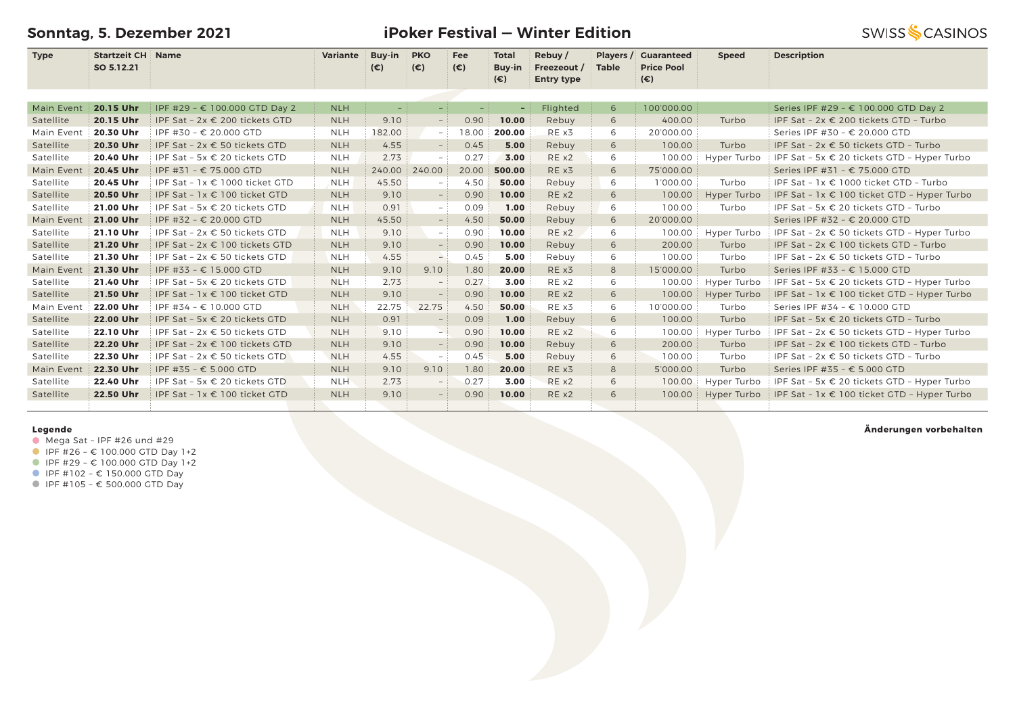**Sonntag, 5. Dezember 2021**

### **iPoker Festival — Winter Edition**

**SWISS SCASINOS** 

| <b>Type</b> | <b>Startzeit CH Name</b><br>SO 5.12.21 |                                    | <b>Variante</b> | Buy-in<br>$(\epsilon)$ | <b>PKO</b><br>$(\epsilon)$ | Fee<br>$(\epsilon)$ | <b>Total</b><br>Buy-in | Rebuy/<br>Freezeout / | Players /<br><b>Table</b> | <b>Guaranteed</b><br><b>Price Pool</b> | <b>Speed</b> | <b>Description</b>                              |
|-------------|----------------------------------------|------------------------------------|-----------------|------------------------|----------------------------|---------------------|------------------------|-----------------------|---------------------------|----------------------------------------|--------------|-------------------------------------------------|
|             |                                        |                                    |                 |                        |                            |                     | (€)                    | <b>Entry type</b>     |                           | $(\epsilon)$                           |              |                                                 |
|             |                                        |                                    |                 |                        |                            |                     |                        |                       |                           |                                        |              |                                                 |
| Main Event  | 20.15 Uhr                              | IPF #29 - € 100.000 GTD Day 2      | <b>NLH</b>      | $\sim$                 | $\sim$                     | $\sim$              | ٠                      | Flighted              | 6                         | 100'000.00                             |              | Series IPF #29 - € 100.000 GTD Day 2            |
| Satellite   | 20.15 Uhr                              | IPF Sat - 2x € 200 tickets GTD     | <b>NLH</b>      | 9.10                   | $-$ :                      | 0.90                | 10.00                  | Rebuy                 | 6                         | 400.00                                 | Turbo        | IPF Sat - 2x € 200 tickets GTD - Turbo          |
| Main Event  | 20.30 Uhr                              | IPF #30 - € 20.000 GTD             | <b>NLH</b>      | 182.00                 | $-1$                       | 18.00               | 200.00                 | RE x3                 | 6                         | 20'000.00                              |              | Series IPF #30 - € 20.000 GTD                   |
| Satellite   | 20.30 Uhr                              | IPF Sat - 2x € 50 tickets GTD      | <b>NLH</b>      | 4.55                   | $-$ :                      | 0.45                | 5.00                   | Rebuy                 | 6                         | 100.00                                 | Turbo        | IPF Sat - 2x € 50 tickets GTD - Turbo           |
| Satellite   | 20.40 Uhr                              | IPF Sat - 5x € 20 tickets GTD      | <b>NLH</b>      | 2.73                   | $-$ :                      | 0.27                | 3.00                   | REX2                  | 6                         | 100.00                                 | Hyper Turbo  | IPF Sat - 5x € 20 tickets GTD - Hyper Turbo     |
| Main Event  | 20.45 Uhr                              | IPF #31 - € 75.000 GTD             | <b>NLH</b>      | 240.00                 | 240.00                     | 20.00               | 500.00                 | RE x3                 | 6                         | 75'000.00                              |              | Series IPF #31 - € 75.000 GTD                   |
| Satellite   | 20.45 Uhr                              | IPF Sat - $1x \in 1000$ ticket GTD | <b>NLH</b>      | 45.50                  | $-$ :                      | 4.50                | 50.00                  | Rebuy                 | 6                         | 1'000.00                               | Turbo        | IPF Sat - $1x \in 1000$ ticket GTD - Turbo      |
| Satellite   | 20.50 Uhr                              | IPF Sat - 1x € 100 ticket GTD      | <b>NLH</b>      | 9.10                   | $ \,$                      | 0.90                | 10.00                  | RE x2                 | 6                         | 100.00                                 | Hyper Turbo  | IPF Sat - 1x € 100 ticket GTD - Hyper Turbo     |
| Satellite   | 21.00 Uhr                              | IPF Sat - 5x € 20 tickets GTD      | <b>NLH</b>      | 0.91                   | $ \,$                      | 0.09                | 1.00                   | Rebuy                 | 6                         | 100.00                                 | Turbo        | IPF Sat - 5x € 20 tickets GTD - Turbo           |
| Main Event  | 21.00 Uhr                              | IPF #32 - € 20.000 GTD             | <b>NLH</b>      | 45.50                  | $-1$                       | 4.50                | 50.00                  | Rebuy                 | 6                         | 20'000.00                              |              | Series IPF #32 - € 20.000 GTD                   |
| Satellite   | 21.10 Uhr                              | IPF Sat - $2x \in 50$ tickets GTD  | <b>NLH</b>      | 9.10                   | $-$ :                      | 0.90                | 10.00                  | REX2                  | 6                         | 100.00                                 | Hyper Turbo  | IPF Sat - $2x \in 50$ tickets GTD - Hyper Turbo |
| Satellite   | 21.20 Uhr                              | IPF Sat - 2x € 100 tickets GTD     | <b>NLH</b>      | 9.10                   | $\sim$                     | 0.90                | 10.00                  | Rebuy                 | 6                         | 200.00                                 | Turbo        | IPF Sat - 2x € 100 tickets GTD - Turbo          |
| Satellite   | 21.30 Uhr                              | IPF Sat - 2x € 50 tickets GTD      | <b>NLH</b>      | 4.55                   | $ \overline{\phantom{a}}$  | 0.45                | 5.00                   | Rebuy                 | 6                         | 100.00                                 | Turbo        | IPF Sat - $2x \in 50$ tickets GTD - Turbo       |
| Main Event  | 21.30 Uhr                              | IPF #33 - € 15.000 GTD             | <b>NLH</b>      | 9.10                   | 9.10                       | 1.80                | 20.00                  | RE x3                 | 8                         | 15'000.00                              | Turbo        | Series IPF #33 - € 15.000 GTD                   |
| Satellite   | 21.40 Uhr                              | IPF Sat - 5x € 20 tickets GTD      | <b>NLH</b>      | 2.73                   |                            | 0.27                | 3.00                   | RE x2                 | 6                         | 100.00                                 | Hyper Turbo  | IPF Sat - 5x € 20 tickets GTD - Hyper Turbo     |
| Satellite   | 21.50 Uhr                              | IPF Sat - $1x \in 100$ ticket GTD  | <b>NLH</b>      | 9.10                   |                            | 0.90                | 10.00                  | RE x2                 | 6                         | 100.00                                 | Hyper Turbo  | IPF Sat - 1x € 100 ticket GTD - Hyper Turbo     |
| Main Event  | 22.00 Uhr                              | IPF #34 - € 10.000 GTD             | <b>NLH</b>      | 22.75                  | 22.75                      | 4.50                | 50.00                  | RE x3                 | 6                         | 10'000.00                              | Turbo        | Series IPF #34 - € 10.000 GTD                   |
| Satellite   | 22.00 Uhr                              | IPF Sat - 5x € 20 tickets GTD      | <b>NLH</b>      | 0.91                   |                            | 0.09                | 1.00                   | Rebuy                 | 6                         | 100.00                                 | Turbo        | IPF Sat - 5x € 20 tickets GTD - Turbo           |
| Satellite   | 22.10 Uhr                              | IPF Sat - $2x \in 50$ tickets GTD  | <b>NLH</b>      | 9.10                   | $\sim$                     | 0.90                | 10.00                  | RE x2                 | 6                         | 100.00                                 | Hyper Turbo  | IPF Sat - 2x € 50 tickets GTD - Hyper Turbo     |
| Satellite   | 22.20 Uhr                              | IPF Sat - 2x € 100 tickets GTD     | <b>NLH</b>      | 9.10                   | $-$ 1                      | 0.90                | 10.00                  | Rebuy                 | 6                         | 200.00                                 | Turbo        | IPF Sat - 2x € 100 tickets GTD - Turbo          |
| Satellite   | 22.30 Uhr                              | IPF Sat - $2x \in 50$ tickets GTD  | <b>NLH</b>      | 4.55                   | $-$                        | 0.45                | 5.00                   | Rebuy                 | 6                         | 100.00                                 | Turbo        | IPF Sat - $2x \in 50$ tickets GTD - Turbo       |
| Main Event  | 22.30 Uhr                              | IPF #35 - € 5.000 GTD              | <b>NLH</b>      | 9.10                   | 9.10                       | 1.80                | 20.00                  | RE x3                 | 8                         | 5'000.00                               | Turbo        | Series IPF #35 - € 5.000 GTD                    |
| Satellite   | 22.40 Uhr                              | IPF Sat - 5x € 20 tickets GTD      | <b>NLH</b>      | 2.73                   |                            | 0.27                | 3.00                   | RE x2                 | 6                         | 100.00                                 | Hyper Turbo  | IPF Sat - 5x € 20 tickets GTD - Hyper Turbo     |
| Satellite   | 22.50 Uhr                              | IPF Sat - 1x € 100 ticket GTD      | <b>NLH</b>      | 9.10                   |                            | 0.90                | 10.00                  | RE x2                 | 6                         | 100.00                                 | Hyper Turbo  | IPF Sat - 1x € 100 ticket GTD - Hyper Turbo     |
|             |                                        |                                    |                 |                        |                            |                     |                        |                       |                           |                                        |              |                                                 |

#### **Legende**

 $\bullet$  Mega Sat - IPF #26 und #29

- $I$  IPF #26 € 100.000 GTD Day 1+2
- IPF #29 € 100.000 GTD Day 1+2
- $I$  IPF #102 € 150.000 GTD Day
- IPF #105 € 500.000 GTD Day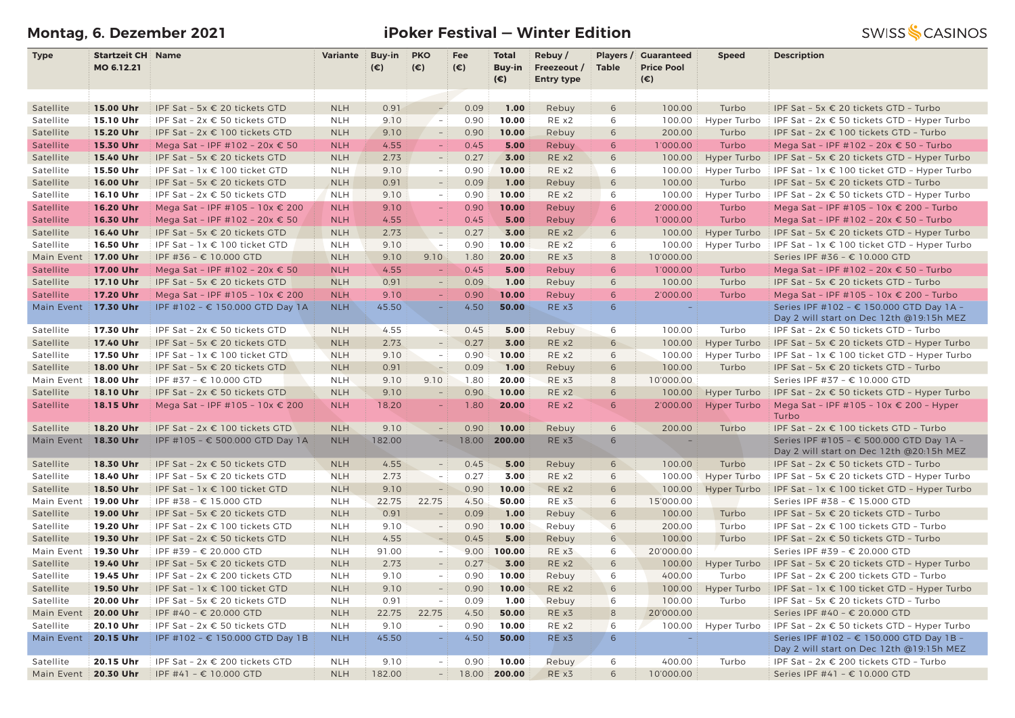# **Montag, 6. Dezember 2021 iPoker Festival — Winter Edition**

| <b>Type</b> | <b>Startzeit CH Name</b> |                                   | <b>Variante</b> | <b>Buy-in</b> | <b>PKO</b>               | Fee          | <b>Total</b> | Rebuy /           | Players /    | <b>Guaranteed</b> | <b>Speed</b> | <b>Description</b>                                   |
|-------------|--------------------------|-----------------------------------|-----------------|---------------|--------------------------|--------------|--------------|-------------------|--------------|-------------------|--------------|------------------------------------------------------|
|             | MO 6.12.21               |                                   |                 | $(\epsilon)$  | $(\epsilon)$             | $(\epsilon)$ | Buy-in       | Freezeout /       | <b>Table</b> | <b>Price Pool</b> |              |                                                      |
|             |                          |                                   |                 |               |                          |              | $(\epsilon)$ | <b>Entry type</b> |              | $(\epsilon)$      |              |                                                      |
|             |                          |                                   |                 |               |                          |              |              |                   |              |                   |              |                                                      |
| Satellite   | 15.00 Uhr                | IPF Sat - 5x € 20 tickets GTD     | <b>NLH</b>      | 0.91          | $\overline{a}$           | 0.09         | 1.00         | Rebuy             | 6            | 100.00            | Turbo        | IPF Sat - 5x € 20 tickets GTD - Turbo                |
| Satellite   | 15.10 Uhr                | IPF Sat - 2x € 50 tickets GTD     | <b>NLH</b>      | 9.10          | $\sim$                   | 0.90         | 10.00        | RE x2             | 6            | 100.00            | Hyper Turbo  | IPF Sat - 2x € 50 tickets GTD - Hyper Turbo          |
| Satellite   | 15.20 Uhr                | IPF Sat - 2x € 100 tickets GTD    | <b>NLH</b>      | 9.10          | $\overline{\phantom{a}}$ | 0.90         | 10.00        | Rebuy             | 6            | 200.00            | Turbo        | IPF Sat - 2x € 100 tickets GTD - Turbo               |
| Satellite   | 15.30 Uhr                | Mega Sat - IPF #102 - 20x € 50    | <b>NLH</b>      | 4.55          | $\equiv$                 | 0.45         | 5.00         | Rebuy             | 6            | 1'000.00          | Turbo        | Mega Sat - IPF #102 - 20x € 50 - Turbo               |
| Satellite   | 15.40 Uhr                | IPF Sat - 5x € 20 tickets GTD     | <b>NLH</b>      | 2.73          |                          | 0.27         | 3.00         | RE x2             | 6            | 100.00            | Hyper Turbo  | IPF Sat - 5x $\epsilon$ 20 tickets GTD - Hyper Turbo |
| Satellite   | 15.50 Uhr                | IPF Sat - $1x \in 100$ ticket GTD | <b>NLH</b>      | 9.10          | $\overline{\phantom{a}}$ | 0.90         | 10.00        | REX2              | 6            | 100.00            | Hyper Turbo  | IPF Sat - $1x \in 100$ ticket GTD - Hyper Turbo      |
| Satellite   | 16.00 Uhr                | IPF Sat - 5x € 20 tickets GTD     | <b>NLH</b>      | 0.91          | $\sim$                   | 0.09         | 1.00         | Rebuy             | 6            | 100.00            | Turbo        | IPF Sat - 5x € 20 tickets GTD - Turbo                |
| Satellite   | 16.10 Uhr                | IPF Sat - $2x \in 50$ tickets GTD | <b>NLH</b>      | 9.10          | $\sim$                   | 0.90         | 10.00        | RE x2             | 6            | 100.00            | Hyper Turbo  | IPF Sat - $2x \in 50$ tickets GTD - Hyper Turbo      |
| Satellite   | 16.20 Uhr                | Mega Sat - IPF #105 - 10x € 200   | <b>NLH</b>      | 9.10          | $\equiv$                 | 0.90         | 10.00        | Rebuy             | 6            | 2'000.00          | Turbo        | Mega Sat - IPF #105 - 10x € 200 - Turbo              |
| Satellite   | 16.30 Uhr                | Mega Sat - IPF #102 - 20x € 50    | <b>NLH</b>      | 4.55          |                          | 0.45         | 5.00         | Rebuy             | 6            | 1'000.00          | Turbo        | Mega Sat - IPF #102 - 20x € 50 - Turbo               |
| Satellite   | 16.40 Uhr                | IPF Sat - 5x € 20 tickets GTD     | <b>NLH</b>      | 2.73          | $\equiv$                 | 0.27         | 3.00         | RE x2             | 6            | 100.00            | Hyper Turbo  | IPF Sat - 5x € 20 tickets GTD - Hyper Turbo          |
| Satellite   | 16.50 Uhr                | IPF Sat - 1x € 100 ticket GTD     | <b>NLH</b>      | 9.10          | $\sim$ $-$               | 0.90         | 10.00        | RE x2             | 6            | 100.00            | Hyper Turbo  | IPF Sat - 1x € 100 ticket GTD - Hyper Turbo          |
| Main Event  | 17.00 Uhr                | IPF #36 - € 10.000 GTD            | <b>NLH</b>      | 9.10          | 9.10                     | 1.80         | 20.00        | RE x3             | 8            | 10'000.00         |              | Series IPF #36 - € 10.000 GTD                        |
| Satellite   | 17.00 Uhr                | Mega Sat - IPF #102 - 20x € 50    | <b>NLH</b>      | 4.55          |                          | 0.45         | 5.00         | Rebuy             | 6            | 1'000.00          | Turbo        | Mega Sat - IPF #102 - 20x € 50 - Turbo               |
| Satellite   | 17.10 Uhr                | IPF Sat - 5x € 20 tickets GTD     | <b>NLH</b>      | 0.91          | $\overline{\phantom{0}}$ | 0.09         | 1.00         | Rebuy             | 6            | 100.00            | Turbo        | IPF Sat - 5x € 20 tickets GTD - Turbo                |
| Satellite   | 17.20 Uhr                | Mega Sat - IPF #105 - 10x € 200   | <b>NLH</b>      | 9.10          |                          | 0.90         | 10.00        | Rebuy             | 6            | 2'000.00          | Turbo        | Mega Sat - IPF #105 - 10x € 200 - Turbo              |
| Main Event  | 17.30 Uhr                | IPF #102 - € 150.000 GTD Day 1A   | <b>NLH</b>      | 45.50         |                          | 4.50         | 50.00        | RE x3             | 6            |                   |              | Series IPF #102 - € 150.000 GTD Day 1A -             |
|             |                          |                                   |                 |               |                          |              |              |                   |              |                   |              | Day 2 will start on Dec 12th @19:15h MEZ             |
| Satellite   | 17.30 Uhr                | IPF Sat - 2x € 50 tickets GTD     | <b>NLH</b>      | 4.55          | $-1$                     | 0.45         | 5.00         | Rebuy             | 6            | 100.00            | Turbo        | IPF Sat - 2x € 50 tickets GTD - Turbo                |
| Satellite   | 17.40 Uhr                | IPF Sat - 5x € 20 tickets GTD     | <b>NLH</b>      | 2.73          | $\overline{a}$           | 0.27         | 3.00         | RE x2             | 6            | 100.00            | Hyper Turbo  | IPF Sat - 5x $\epsilon$ 20 tickets GTD - Hyper Turbo |
| Satellite   | 17.50 Uhr                | IPF Sat - 1x € 100 ticket GTD     | <b>NLH</b>      | 9.10          | $\overline{\phantom{a}}$ | 0.90         | 10.00        | RE x2             | 6            | 100.00            | Hyper Turbo  | IPF Sat - 1x € 100 ticket GTD - Hyper Turbo          |
| Satellite   | 18.00 Uhr                | IPF Sat - 5x € 20 tickets GTD     | <b>NLH</b>      | 0.91          |                          | 0.09         | 1.00         | Rebuy             | 6            | 100.00            | Turbo        | IPF Sat - 5x € 20 tickets GTD - Turbo                |
| Main Event  | 18.00 Uhr                | IPF #37 - € 10.000 GTD            | <b>NLH</b>      | 9.10          | 9.10                     | 1.80         | 20.00        | RE x3             | 8            | 10'000.00         |              | Series IPF #37 - € 10.000 GTD                        |
| Satellite   | 18.10 Uhr                | IPF Sat - 2x € 50 tickets GTD     | <b>NLH</b>      | 9.10          | $\overline{a}$           | 0.90         | 10.00        | RE x2             | 6            | 100.00            | Hyper Turbo  | IPF Sat - 2x € 50 tickets GTD - Hyper Turbo          |
| Satellite   | 18.15 Uhr                | Mega Sat - IPF #105 - 10x € 200   | <b>NLH</b>      | 18.20         |                          | 1.80         | 20.00        | RE x2             | 6            | 2'000.00          | Hyper Turbo  | Mega Sat - IPF #105 - 10x € 200 - Hyper              |
|             |                          |                                   |                 |               |                          |              |              |                   |              |                   |              | Turbo                                                |
| Satellite   | 18.20 Uhr                | IPF Sat - 2x € 100 tickets GTD    | <b>NLH</b>      | 9.10          | $\sim$                   | 0.90         | 10.00        | Rebuy             | 6            | 200.00            | Turbo        | IPF Sat - 2x € 100 tickets GTD - Turbo               |
| Main Event  | 18.30 Uhr                | IPF #105 - € 500.000 GTD Day 1A   | <b>NLH</b>      | 182.00        |                          | 18.00        | 200.00       | RE x3             | 6            | ÷,                |              | Series IPF #105 - € 500.000 GTD Day 1A -             |
|             |                          |                                   |                 |               |                          |              |              |                   |              |                   |              | Day 2 will start on Dec 12th @20:15h MEZ             |
| Satellite   | 18.30 Uhr                | IPF Sat - 2x € 50 tickets GTD     | <b>NLH</b>      | 4.55          | $\sim$                   | 0.45         | 5.00         | Rebuy             | 6            | 100.00            | Turbo        | IPF Sat - 2x € 50 tickets GTD - Turbo                |
| Satellite   | 18.40 Uhr                | IPF Sat - 5x € 20 tickets GTD     | <b>NLH</b>      | 2.73          | $\equiv$                 | 0.27         | 3.00         | RE x2             | 6            | 100.00            | Hyper Turbo  | IPF Sat - 5x € 20 tickets GTD - Hyper Turbo          |
| Satellite   | 18.50 Uhr                | IPF Sat - 1x € 100 ticket GTD     | <b>NLH</b>      | 9.10          | $\equiv$                 | 0.90         | 10.00        | RE x2             | 6            | 100.00            | Hyper Turbo  | IPF Sat - 1x € 100 ticket GTD - Hyper Turbo          |
| Main Event  | 19.00 Uhr                | IPF #38 - € 15.000 GTD            | <b>NLH</b>      | 22.75         | 22.75                    | 4.50         | 50.00        | RE x3             | 6            | 15'000.00         |              | Series IPF #38 - € 15.000 GTD                        |
| Satellite   | 19.00 Uhr                | IPF Sat - 5x € 20 tickets GTD     | <b>NLH</b>      | 0.91          |                          | 0.09         | 1.00         | Rebuy             | 6            | 100.00            | Turbo        | IPF Sat - 5x € 20 tickets GTD - Turbo                |
| Satellite   | 19.20 Uhr                | IPF Sat - 2x € 100 tickets GTD    | <b>NLH</b>      | 9.10          | $\sim$                   | 0.90         | 10.00        | Rebuy             | 6            | 200.00            | Turbo        | IPF Sat - 2x € 100 tickets GTD - Turbo               |
| Satellite   | 19.30 Uhr                | IPF Sat - 2x € 50 tickets GTD     | <b>NLH</b>      | 4.55          | $\sim$                   | 0.45         | 5.00         | Rebuy             | 6            | 100.00            | Turbo        | IPF Sat - 2x € 50 tickets GTD - Turbo                |
| Main Event  | 19.30 Uhr                | IPF #39 - € 20.000 GTD            | <b>NLH</b>      | 91.00         | $\sim$                   | 9.00         | 100.00       | RE x3             | 6            | 20'000.00         |              | Series IPF #39 - € 20.000 GTD                        |
| Satellite   | 19.40 Uhr                | IPF Sat - 5x € 20 tickets GTD     | <b>NLH</b>      | 2.73          | $\overline{\phantom{a}}$ | 0.27         | 3.00         | RE x2             | 6            | 100.00            | Hyper Turbo  | IPF Sat - 5x $\epsilon$ 20 tickets GTD - Hyper Turbo |
| Satellite   | 19.45 Uhr                | IPF Sat - 2x € 200 tickets GTD    | <b>NLH</b>      | 9.10          | $\sim$                   | 0.90         | 10.00        | Rebuy             | 6            | 400.00            | Turbo        | IPF Sat - 2x € 200 tickets GTD - Turbo               |
| Satellite   | 19.50 Uhr                | IPF Sat - 1x € 100 ticket GTD     | <b>NLH</b>      | 9.10          | $\overline{\phantom{a}}$ | 0.90         | 10.00        | RE x2             | 6            | 100.00            | Hyper Turbo  | IPF Sat - 1x € 100 ticket GTD - Hyper Turbo          |
| Satellite   | 20.00 Uhr                | IPF Sat - 5x € 20 tickets GTD     | <b>NLH</b>      | 0.91          | $\equiv$                 | 0.09         | 1.00         | Rebuy             | 6            | 100.00            | Turbo        | IPF Sat - 5x € 20 tickets GTD - Turbo                |
| Main Event  | 20.00 Uhr                | IPF #40 - € 20.000 GTD            | <b>NLH</b>      | 22.75         | 22.75                    | 4.50         | 50.00        | RE x3             | 8            | 20'000.00         |              | Series IPF #40 - € 20.000 GTD                        |
| Satellite   | 20.10 Uhr                | IPF Sat - 2x € 50 tickets GTD     | <b>NLH</b>      | 9.10          | $\overline{\phantom{a}}$ | 0.90         | 10.00        | REX2              | 6            | 100.00            | Hyper Turbo  | IPF Sat - 2x € 50 tickets GTD - Hyper Turbo          |
| Main Event  | 20.15 Uhr                | IPF #102 - € 150.000 GTD Day 1B   | <b>NLH</b>      | 45.50         | $\sim$                   | 4.50         | 50.00        | REX3              | 6            | $\equiv$          |              | Series IPF #102 - € 150.000 GTD Day 1B -             |
|             |                          |                                   |                 |               |                          |              |              |                   |              |                   |              | Day 2 will start on Dec 12th @19:15h MEZ             |
| Satellite   | 20.15 Uhr                | IPF Sat - 2x € 200 tickets GTD    | <b>NLH</b>      | 9.10          | $-1$                     | 0.90         | 10.00        | Rebuy             | 6            | 400.00            | Turbo        | IPF Sat - 2x € 200 tickets GTD - Turbo               |
| Main Event  | 20.30 Uhr                | IPF #41 - € 10.000 GTD            | <b>NLH</b>      | 182.00        | $-1$                     | 18.00        | 200.00       | RE x3             | 6            | 10'000.00         |              | Series IPF #41 - € 10.000 GTD                        |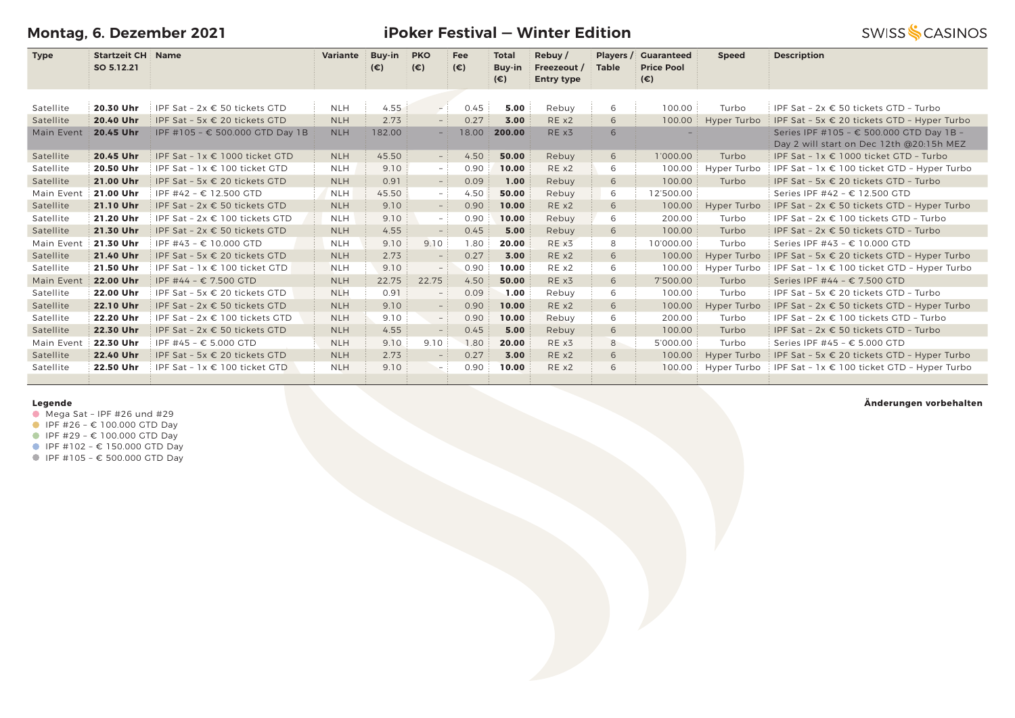**Montag, 6. Dezember 2021**

**iPoker Festival — Winter Edition**

|             |                          |                               |  |  | _________________                |                             |
|-------------|--------------------------|-------------------------------|--|--|----------------------------------|-----------------------------|
| <b>Type</b> | <b>Startzeit CH Name</b> | Variante Buy-in PKO Fee Total |  |  | $\overline{\phantom{a}}$ Rebuv / | <b>Players / Guaranteed</b> |

|            | SO 5.12.21 |                                        |            | $(\epsilon)$ | $(\epsilon)$             | $(\epsilon)$ | <b>Buy-in</b><br>$(\epsilon)$ | Freezeout /<br><b>Entry type</b> | <b>Table</b> | <b>Price Pool</b><br>(€) |             |                                                                                      |
|------------|------------|----------------------------------------|------------|--------------|--------------------------|--------------|-------------------------------|----------------------------------|--------------|--------------------------|-------------|--------------------------------------------------------------------------------------|
|            |            |                                        |            |              |                          |              |                               |                                  |              |                          |             |                                                                                      |
| Satellite  | 20.30 Uhr  | IPF Sat - 2x € 50 tickets GTD          | <b>NLH</b> | 4.55         | $-1$                     | 0.45         | 5.00                          | Rebuy                            | 6            | 100.00                   | Turbo       | IPF Sat - $2x \in 50$ tickets GTD - Turbo                                            |
| Satellite  | 20.40 Uhr  | IPF Sat - 5x € 20 tickets GTD          | <b>NLH</b> | 2.73         | $-$ :                    | 0.27         | 3.00                          | RE x2                            | 6            | 100.00                   | Hyper Turbo | IPF Sat - 5x € 20 tickets GTD - Hyper Turbo                                          |
| Main Event | 20.45 Uhr  | IPF #105 - € 500.000 GTD Day 1B        | <b>NLH</b> | 182.00       | $-$                      | 18.00        | 200.00                        | RE x3                            | 6            |                          |             | Series IPF #105 - € 500.000 GTD Day 1B -<br>Day 2 will start on Dec 12th @20:15h MEZ |
| Satellite  | 20.45 Uhr  | IPF Sat - $1x \in 1000$ ticket GTD     | <b>NLH</b> | 45.50        | $-$ :                    | 4.50         | 50.00                         | Rebuy                            | 6            | 1'000.00                 | Turbo       | IPF Sat - $1x \in 1000$ ticket GTD - Turbo                                           |
| Satellite  | 20.50 Uhr  | IPF Sat - $1x \in 100$ ticket GTD      | <b>NLH</b> | 9.10         | $-1$                     | 0.90         | 10.00                         | RE x2                            | 6            | 100.00                   | Hyper Turbo | IPF Sat - 1x € 100 ticket GTD - Hyper Turbo                                          |
| Satellite  | 21.00 Uhr  | IPF Sat - 5x € 20 tickets GTD          | <b>NLH</b> | 0.91         | $-$ :                    | 0.09         | 1.00                          | Rebuy                            | 6            | 100.00                   | Turbo       | IPF Sat - 5x € 20 tickets GTD - Turbo                                                |
| Main Event | 21.00 Uhr  | IPF #42 - € 12.500 GTD                 | <b>NLH</b> | 45.50        | $-$ :                    | 4.50         | 50.00                         | Rebuy                            | 6            | 12'500.00                |             | Series IPF #42 - € 12.500 GTD                                                        |
| Satellite  | 21.10 Uhr  | IPF Sat - 2x $\epsilon$ 50 tickets GTD | <b>NLH</b> | 9.10         | - 1                      | 0.90         | 10.00                         | RE x2                            | 6            | 100.00                   | Hyper Turbo | IPF Sat - $2x \in 50$ tickets GTD - Hyper Turbo                                      |
| Satellite  | 21.20 Uhr  | IPF Sat - 2x € 100 tickets GTD         | <b>NLH</b> | 9.10         | $-$ :                    | 0.90         | 10.00                         | Rebuy                            | 6            | 200.00                   | Turbo       | IPF Sat - 2x € 100 tickets GTD - Turbo                                               |
| Satellite  | 21.30 Uhr  | IPF Sat - $2x \in 50$ tickets GTD      | <b>NLH</b> | 4.55         | $-$                      | 0.45         | 5.00                          | Rebuy                            | 6            | 100.00                   | Turbo       | IPF Sat - $2x \in 50$ tickets GTD - Turbo                                            |
| Main Event | 21.30 Uhr  | IPF #43 - € 10.000 GTD                 | <b>NLH</b> | 9.10         | 9.10                     | 1.80         | 20.00                         | RE x3                            | 8            | 10'000.00                | Turbo       | Series IPF #43 - € 10.000 GTD                                                        |
| Satellite  | 21.40 Uhr  | IPF Sat - 5x € 20 tickets GTD          | <b>NLH</b> | 2.73         |                          | 0.27         | 3.00                          | RE x2                            | 6            | 100.00                   | Hyper Turbo | IPF Sat - 5x € 20 tickets GTD - Hyper Turbo                                          |
| Satellite  | 21.50 Uhr  | IPF Sat - $1x \in 100$ ticket GTD      | <b>NLH</b> | 9.10         | $-$                      | 0.90         | 10.00                         | RE x2                            | 6            | 100.00                   | Hyper Turbo | IPF Sat - 1x € 100 ticket GTD - Hyper Turbo                                          |
| Main Event | 22.00 Uhr  | IPF #44 - € 7.500 GTD                  | <b>NLH</b> | 22.75        | 22.75                    | 4.50         | 50.00                         | RE x3                            | 6            | 7'500.00                 | Turbo       | Series IPF #44 - € 7.500 GTD                                                         |
| Satellite  | 22.00 Uhr  | IPF Sat - 5x $\epsilon$ 20 tickets GTD | <b>NLH</b> | 0.91         |                          | 0.09         | 1.00                          | Rebuy                            | 6            | 100.00                   | Turbo       | IPF Sat - 5x $\in$ 20 tickets GTD - Turbo                                            |
| Satellite  | 22.10 Uhr  | IPF Sat - 2x € 50 tickets GTD          | <b>NLH</b> | 9.10         |                          | 0.90         | 10.00                         | RE x2                            | 6            | 100.00                   | Hyper Turbo | IPF Sat - $2x \in 50$ tickets GTD - Hyper Turbo                                      |
| Satellite  | 22.20 Uhr  | IPF Sat - $2x \in 100$ tickets GTD     | <b>NLH</b> | 9.10         | $-$ :                    | 0.90         | 10.00                         | Rebuy                            | 6            | 200.00                   | Turbo       | IPF Sat - $2x \in 100$ tickets GTD - Turbo                                           |
| Satellite  | 22.30 Uhr  | IPF Sat - 2x € 50 tickets GTD          | <b>NLH</b> | 4.55         |                          | 0.45         | 5.00                          | Rebuy                            | 6            | 100.00                   | Turbo       | IPF Sat - 2x € 50 tickets GTD - Turbo                                                |
| Main Event | 22.30 Uhr  | IPF #45 - € 5.000 GTD                  | <b>NLH</b> | 9.10         | 9.10                     | 1.80         | 20.00                         | RE x3                            | 8            | 5'000.00                 | Turbo       | Series IPF #45 - € 5.000 GTD                                                         |
| Satellite  | 22.40 Uhr  | IPF Sat - 5x € 20 tickets GTD          | <b>NLH</b> | 2.73         | $-$                      | 0.27         | 3.00                          | RE x2                            | 6            | 100.00                   | Hyper Turbo | IPF Sat - 5x € 20 tickets GTD - Hyper Turbo                                          |
| Satellite  | 22.50 Uhr  | IPF Sat - $1x \in 100$ ticket GTD      | <b>NLH</b> | 9.10         | $\overline{\phantom{0}}$ | 0.90         | 10.00                         | RE x2                            | 6            | 100.00                   | Hyper Turbo | IPF Sat - $1x \in 100$ ticket GTD - Hyper Turbo                                      |
|            |            |                                        |            |              |                          |              |                               |                                  |              |                          |             |                                                                                      |

### **Legende**

- $\bullet$  Mega Sat IPF #26 und #29
- $I$  IPF #26 € 100.000 GTD Day
- IPF #29 € 100.000 GTD Day
- IPF #102 € 150.000 GTD Day
- IPF #105 € 500.000 GTD Day

### **Änderungen vorbehalten**

**SWISS SCASINOS** 

 **Speed Description**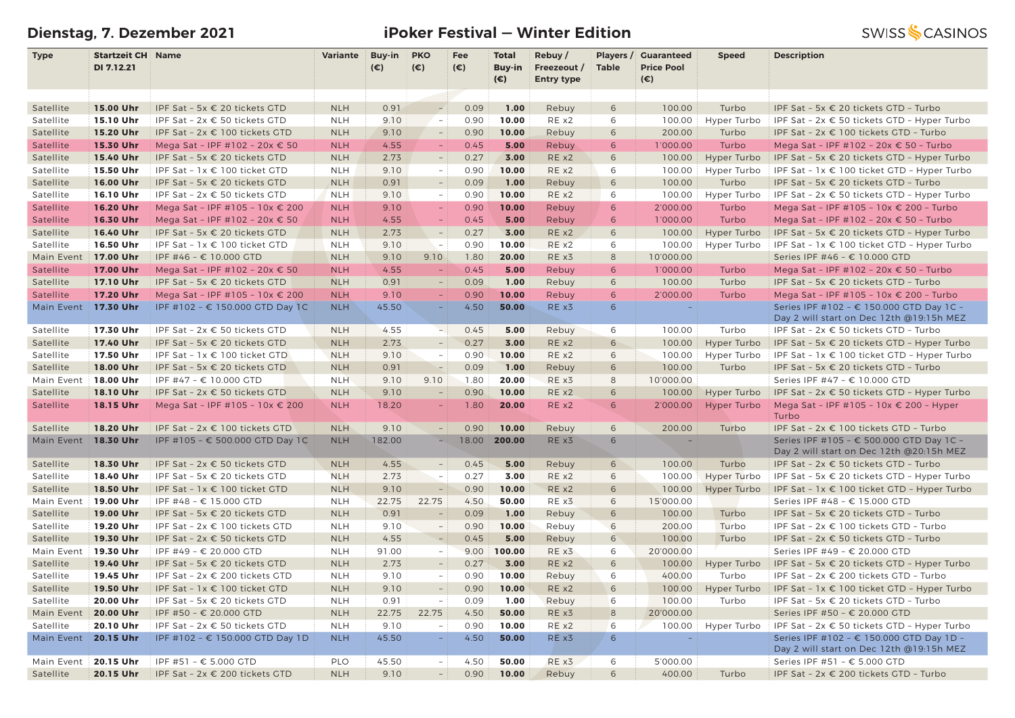# **Dienstag, 7. Dezember 2021 iPoker Festival — Winter Edition**

| <b>Type</b> | <b>Startzeit CH Name</b> |                                    | <b>Variante</b> | Buy-in       | <b>PKO</b>               | Fee          | <b>Total</b>           | Rebuy/                           |                 | Players / Guaranteed              | <b>Speed</b> | <b>Description</b>                                                                   |
|-------------|--------------------------|------------------------------------|-----------------|--------------|--------------------------|--------------|------------------------|----------------------------------|-----------------|-----------------------------------|--------------|--------------------------------------------------------------------------------------|
|             | DI 7.12.21               |                                    |                 | $(\epsilon)$ | $(\epsilon)$             | $(\epsilon)$ | Buy-in<br>$(\epsilon)$ | Freezeout /<br><b>Entry type</b> | <b>Table</b>    | <b>Price Pool</b><br>$(\epsilon)$ |              |                                                                                      |
|             |                          |                                    |                 |              |                          |              |                        |                                  |                 |                                   |              |                                                                                      |
| Satellite   | 15.00 Uhr                | IPF Sat - 5x € 20 tickets GTD      | <b>NLH</b>      | 0.91         |                          | 0.09         | 1.00                   | Rebuy                            | 6               | 100.00                            | Turbo        | IPF Sat - 5x € 20 tickets GTD - Turbo                                                |
| Satellite   | 15.10 Uhr                | IPF Sat - 2x € 50 tickets GTD      | <b>NLH</b>      | 9.10         | $\sim$                   | 0.90         | 10.00                  | RE x2                            | 6               | 100.00                            | Hyper Turbo  | IPF Sat - $2x \in 50$ tickets GTD - Hyper Turbo                                      |
| Satellite   | 15.20 Uhr                | IPF Sat - $2x \in 100$ tickets GTD | <b>NLH</b>      | 9.10         | $\overline{\phantom{a}}$ | 0.90         | 10.00                  | Rebuy                            | 6               | 200.00                            | Turbo        | IPF Sat - 2x € 100 tickets GTD - Turbo                                               |
| Satellite   | 15.30 Uhr                | Mega Sat - IPF #102 - 20x € 50     | <b>NLH</b>      | 4.55         | $\equiv$                 | 0.45         | 5.00                   | Rebuy                            | 6               | 1'000.00                          | Turbo        | Mega Sat - IPF #102 - 20x € 50 - Turbo                                               |
| Satellite   | 15.40 Uhr                | IPF Sat - 5x € 20 tickets GTD      | <b>NLH</b>      | 2.73         | $\overline{\phantom{0}}$ | 0.27         | 3.00                   | RE x2                            | 6               | 100.00                            | Hyper Turbo  | IPF Sat - 5x $\epsilon$ 20 tickets GTD - Hyper Turbo                                 |
| Satellite   | 15.50 Uhr                | IPF Sat - 1x € 100 ticket GTD      | <b>NLH</b>      | 9.10         | $\sim$                   | 0.90         | 10.00                  | RE x2                            | 6               | 100.00                            | Hyper Turbo  | IPF Sat - $1x \in 100$ ticket GTD - Hyper Turbo                                      |
| Satellite   | 16.00 Uhr                | IPF Sat - 5x € 20 tickets GTD      | <b>NLH</b>      | 0.91         | $\overline{a}$           | 0.09         | 1.00                   | Rebuy                            | 6               | 100.00                            | Turbo        | IPF Sat - 5x € 20 tickets GTD - Turbo                                                |
| Satellite   | 16.10 Uhr                | IPF Sat - 2x € 50 tickets GTD      | <b>NLH</b>      | 9.10         | $\sim$                   | 0.90         | 10.00                  | RE x2                            | 6               | 100.00                            | Hyper Turbo  | IPF Sat - 2x € 50 tickets GTD - Hyper Turbo                                          |
| Satellite   | 16.20 Uhr                | Mega Sat - IPF #105 - 10x € 200    | <b>NLH</b>      | 9.10         | $\equiv$                 | 0.90         | 10.00                  | Rebuy                            | 6               | 2'000.00                          | Turbo        | Mega Sat - IPF #105 - 10x € 200 - Turbo                                              |
| Satellite   | 16.30 Uhr                | Mega Sat - IPF #102 - 20x € 50     | <b>NLH</b>      | 4.55         |                          | 0.45         | 5.00                   | Rebuy                            | 6               | 1'000.00                          | Turbo        | Mega Sat - IPF #102 - 20x € 50 - Turbo                                               |
| Satellite   | 16.40 Uhr                | IPF Sat - 5x € 20 tickets GTD      | <b>NLH</b>      | 2.73         | $\overline{a}$           | 0.27         | 3.00                   | RE x2                            | 6               | 100.00                            | Hyper Turbo  | IPF Sat - 5x $\epsilon$ 20 tickets GTD - Hyper Turbo                                 |
| Satellite   | 16.50 Uhr                | IPF Sat - 1x € 100 ticket GTD      | <b>NLH</b>      | 9.10         | $\sim$ $-$               | 0.90         | 10.00                  | RE x2                            | 6               | 100.00                            | Hyper Turbo  | IPF Sat - $1x \in 100$ ticket GTD - Hyper Turbo                                      |
| Main Event  | 17.00 Uhr                | IPF #46 - € 10.000 GTD             | <b>NLH</b>      | 9.10         | 9.10                     | 1.80         | 20.00                  | RE x3                            | 8               | 10'000.00                         |              | Series IPF #46 - € 10.000 GTD                                                        |
| Satellite   | 17.00 Uhr                | Mega Sat - IPF #102 - 20x € 50     | <b>NLH</b>      | 4.55         |                          | 0.45         | 5.00                   | Rebuy                            | 6               | 1'000.00                          | Turbo        | Mega Sat - IPF #102 - 20x € 50 - Turbo                                               |
| Satellite   | 17.10 Uhr                | IPF Sat - 5x € 20 tickets GTD      | <b>NLH</b>      | 0.91         | $\qquad \qquad -$        | 0.09         | 1.00                   | Rebuy                            | 6               | 100.00                            | Turbo        | IPF Sat - 5x € 20 tickets GTD - Turbo                                                |
| Satellite   | 17.20 Uhr                | Mega Sat - IPF #105 - 10x € 200    | <b>NLH</b>      | 9.10         |                          | 0.90         | 10.00                  | Rebuy                            | 6               | 2'000.00                          | Turbo        | Mega Sat - IPF #105 - 10x € 200 - Turbo                                              |
| Main Event  | 17.30 Uhr                | IPF #102 - € 150.000 GTD Day 1C    | <b>NLH</b>      | 45.50        |                          | 4.50         | 50.00                  | RE x3                            | 6               | ÷,                                |              | Series IPF #102 - € 150.000 GTD Day 1C -                                             |
|             |                          |                                    |                 |              |                          |              |                        |                                  |                 |                                   |              | Day 2 will start on Dec 12th @19:15h MEZ                                             |
| Satellite   | 17.30 Uhr                | IPF Sat - $2x \in 50$ tickets GTD  | <b>NLH</b>      | 4.55         | Жł                       | 0.45         | 5.00                   | Rebuy                            | 6               | 100.00                            | Turbo        | IPF Sat - 2x € 50 tickets GTD - Turbo                                                |
| Satellite   | 17.40 Uhr                | IPF Sat - 5x € 20 tickets GTD      | <b>NLH</b>      | 2.73         | $\equiv$                 | 0.27         | 3.00                   | RE x2                            | 6               | 100.00                            | Hyper Turbo  | IPF Sat - 5x $\epsilon$ 20 tickets GTD - Hyper Turbo                                 |
| Satellite   | 17.50 Uhr                | IPF Sat - 1x € 100 ticket GTD      | <b>NLH</b>      | 9.10         | $\overline{\phantom{a}}$ | 0.90         | 10.00                  | RE x2                            | 6               | 100.00                            | Hyper Turbo  | IPF Sat - $1x \in 100$ ticket GTD - Hyper Turbo                                      |
| Satellite   | 18.00 Uhr                | IPF Sat - 5x € 20 tickets GTD      | <b>NLH</b>      | 0.91         | $\overline{\phantom{a}}$ | 0.09         | 1.00                   | Rebuy                            | 6               | 100.00                            | Turbo        | IPF Sat - 5x € 20 tickets GTD - Turbo                                                |
| Main Event  | 18.00 Uhr                | IPF #47 - € 10.000 GTD             | <b>NLH</b>      | 9.10         | 9.10                     | 1.80         | 20.00                  | RE x3                            | 8               | 10'000.00                         |              | Series IPF #47 - € 10.000 GTD                                                        |
| Satellite   | 18.10 Uhr                | IPF Sat - 2x € 50 tickets GTD      | <b>NLH</b>      | 9.10         | $\overline{a}$           | 0.90         | 10.00                  | RE x2                            | 6               | 100.00                            | Hyper Turbo  | IPF Sat - 2x € 50 tickets GTD - Hyper Turbo                                          |
| Satellite   | 18.15 Uhr                | Mega Sat - IPF #105 - 10x € 200    | <b>NLH</b>      | 18.20        |                          | 1.80         | 20.00                  | REX2                             | 6               | 2'000.00                          | Hyper Turbo  | Mega Sat - IPF #105 - 10x € 200 - Hyper<br>Turbo                                     |
| Satellite   | 18.20 Uhr                | IPF Sat - 2x € 100 tickets GTD     | <b>NLH</b>      | 9.10         | $\sim$                   | 0.90         | 10.00                  | Rebuy                            | 6               | 200.00                            | Turbo        | IPF Sat - 2x € 100 tickets GTD - Turbo                                               |
| Main Event  | 18.30 Uhr                | IPF #105 - € 500.000 GTD Day 1C    | <b>NLH</b>      | 182.00       |                          | 18.00        | 200.00                 | RE x3                            | 6               | L.                                |              | Series IPF #105 - € 500,000 GTD Day 1C -<br>Day 2 will start on Dec 12th @20:15h MEZ |
| Satellite   | 18.30 Uhr                | IPF Sat - $2x \in 50$ tickets GTD  | <b>NLH</b>      | 4.55         | $\sim$                   | 0.45         | 5.00                   | Rebuy                            | 6               | 100.00                            | Turbo        | IPF Sat - 2x € 50 tickets GTD - Turbo                                                |
| Satellite   | 18.40 Uhr                | IPF Sat - 5x € 20 tickets GTD      | <b>NLH</b>      | 2.73         | $\overline{\phantom{a}}$ | 0.27         | 3.00                   | RE x2                            | 6               | 100.00                            | Hyper Turbo  | IPF Sat - 5x € 20 tickets GTD - Hyper Turbo                                          |
| Satellite   | 18.50 Uhr                | IPF Sat - 1x € 100 ticket GTD      | <b>NLH</b>      | 9.10         | $\overline{\phantom{a}}$ | 0.90         | 10.00                  | RE x2                            | 6               | 100.00                            | Hyper Turbo  | IPF Sat - 1x € 100 ticket GTD - Hyper Turbo                                          |
| Main Event  | 19.00 Uhr                | IPF #48 - € 15.000 GTD             | <b>NLH</b>      | 22.75        | 22.75                    | 4.50         | 50.00                  | RE x3                            | 6               | 15'000.00                         |              | Series IPF #48 - € 15.000 GTD                                                        |
| Satellite   | 19.00 Uhr                | IPF Sat - 5x € 20 tickets GTD      | <b>NLH</b>      | 0.91         |                          | 0.09         | 1.00                   | Rebuy                            | 6               | 100.00                            | Turbo        | IPF Sat - 5x € 20 tickets GTD - Turbo                                                |
| Satellite   | 19.20 Uhr                | IPF Sat - 2x € 100 tickets GTD     | <b>NLH</b>      | 9.10         | $\sim$                   | 0.90         | 10.00                  | Rebuy                            | 6               | 200.00                            | Turbo        | IPF Sat - 2x € 100 tickets GTD - Turbo                                               |
| Satellite   | 19.30 Uhr                | IPF Sat - 2x € 50 tickets GTD      | <b>NLH</b>      | 4.55         | $\overline{\phantom{a}}$ | 0.45         | 5.00                   | Rebuy                            | 6               | 100.00                            | Turbo        | IPF Sat - 2x € 50 tickets GTD - Turbo                                                |
| Main Event  | 19.30 Uhr                | IPF #49 - € 20.000 GTD             | <b>NLH</b>      | 91.00        | $\sim$ 1                 | 9.00         | 100.00                 | RE x3                            | 6               | 20'000.00                         |              | Series IPF #49 - € 20.000 GTD                                                        |
| Satellite   | 19.40 Uhr                | IPF Sat - 5x € 20 tickets GTD      | <b>NLH</b>      | 2.73         | $\overline{\phantom{a}}$ | 0.27         | 3.00                   | RE x2                            | 6               | 100.00                            | Hyper Turbo  | IPF Sat - 5x $\epsilon$ 20 tickets GTD - Hyper Turbo                                 |
| Satellite   | 19.45 Uhr                | IPF Sat - 2x € 200 tickets GTD     | <b>NLH</b>      | 9.10         | $\sim$                   | 0.90         | 10.00                  | Rebuy                            | 6               | 400.00                            | Turbo        | IPF Sat - 2x € 200 tickets GTD - Turbo                                               |
| Satellite   | 19.50 Uhr                | IPF Sat - 1x € 100 ticket GTD      | <b>NLH</b>      | 9.10         | $\overline{\phantom{a}}$ | 0.90         | 10.00                  | RE x2                            | 6               | 100.00                            | Hyper Turbo  | IPF Sat - $1x \in 100$ ticket GTD - Hyper Turbo                                      |
| Satellite   | 20.00 Uhr                | IPF Sat - 5x € 20 tickets GTD      | <b>NLH</b>      | 0.91         | $\overline{\phantom{a}}$ | 0.09         | 1.00                   | Rebuy                            | 6               | 100.00                            | Turbo        | IPF Sat - 5x € 20 tickets GTD - Turbo                                                |
| Main Event  | 20.00 Uhr                | IPF #50 - € 20.000 GTD             | <b>NLH</b>      | 22.75        | 22.75                    | 4.50         | 50.00                  | RE x3                            | 8               | 20'000.00                         |              | Series IPF #50 - € 20.000 GTD                                                        |
| Satellite   | 20.10 Uhr                | IPF Sat - 2x € 50 tickets GTD      | <b>NLH</b>      | 9.10         | $\overline{\phantom{a}}$ | 0.90         | 10.00                  | REX2                             | 6               | 100.00                            | Hyper Turbo  | IPF Sat - 2x € 50 tickets GTD - Hyper Turbo                                          |
| Main Event  | 20.15 Uhr                | IPF #102 - € 150.000 GTD Day 1D    | <b>NLH</b>      | 45.50        | $\equiv$                 | 4.50         | 50.00                  | RE x3                            | 6               | $\equiv$                          |              | Series IPF #102 - € 150.000 GTD Day 1D -<br>Day 2 will start on Dec 12th @19:15h MEZ |
| Main Event  | 20.15 Uhr                | IPF #51 - € 5.000 GTD              | <b>PLO</b>      | 45.50        | $\sim$                   | 4.50         | 50.00                  | RE x3                            | 6               | 5'000.00                          |              | Series IPF #51 - € 5.000 GTD                                                         |
| Satellite   | 20.15 Uhr                | IPF Sat - 2x € 200 tickets GTD     | <b>NLH</b>      | 9.10         | $ \,$                    | 0.90         | 10.00                  | Rebuy                            | $6\overline{6}$ | 400.00                            | Turbo        | IPF Sat - 2x € 200 tickets GTD - Turbo                                               |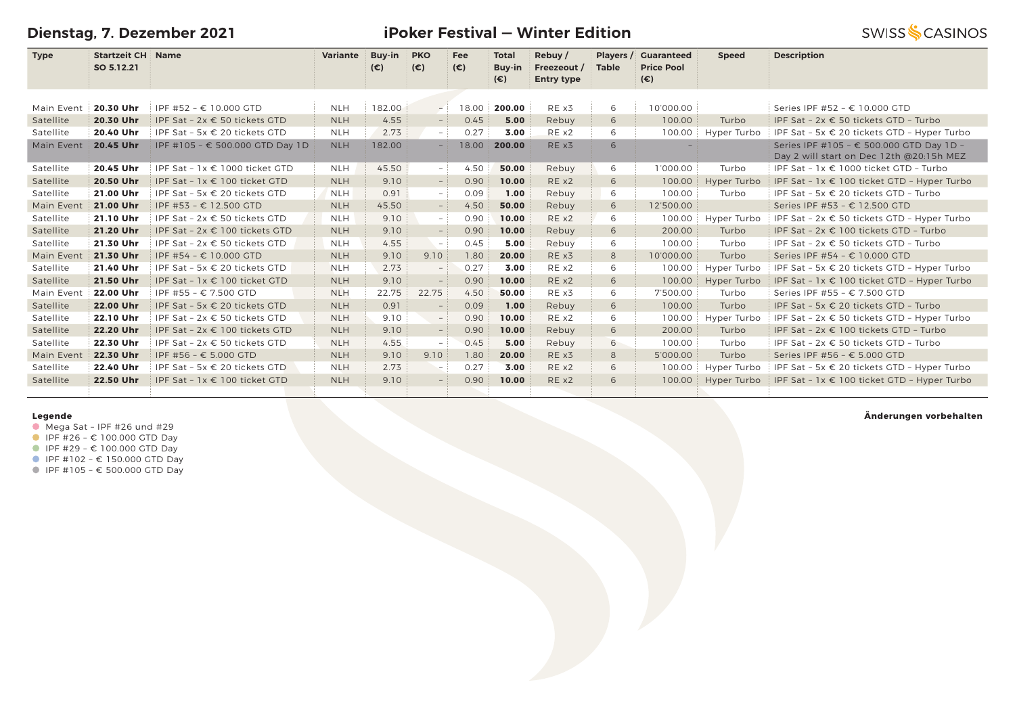**Dienstag, 7. Dezember 2021**

**Name Variante Buy-in PKO**

**Type Startzeit CH Name SO 5.12.21**

**iPoker Festival — Winter Edition Total** 

**Fee**

**Players / Guaranteed** 

 **Speed Description**

**Rebuy /** 

|            | SO 5.12.21 |                                        |            | $(\epsilon)$ | $(\epsilon)$             | $(\epsilon)$ | Buy-in<br>(€) | Freezeout /<br><b>Entry type</b> | <b>Table</b> | <b>Price Pool</b><br>(€) |             |                                                                                      |
|------------|------------|----------------------------------------|------------|--------------|--------------------------|--------------|---------------|----------------------------------|--------------|--------------------------|-------------|--------------------------------------------------------------------------------------|
|            |            |                                        |            |              |                          |              |               |                                  |              |                          |             |                                                                                      |
| Main Event | 20.30 Uhr  | IPF #52 - € 10.000 GTD                 | <b>NLH</b> | 182.00       | $-1$                     | 18.00        | 200.00        | RE x3                            | 6            | 10'000.00                |             | Series IPF #52 - € 10.000 GTD                                                        |
| Satellite  | 20.30 Uhr  | IPF Sat - $2x \in 50$ tickets GTD      | <b>NLH</b> | 4.55         |                          | 0.45         | 5.00          | Rebuy                            | 6            | 100.00                   | Turbo       | IPF Sat - 2x € 50 tickets GTD - Turbo                                                |
| Satellite  | 20.40 Uhr  | IPF Sat - 5x $\epsilon$ 20 tickets GTD | <b>NLH</b> | 2.73         | $-1$                     | 0.27         | 3.00          | RE x2                            | 6            | 100.00                   | Hyper Turbo | IPF Sat - 5x $\epsilon$ 20 tickets GTD - Hyper Turbo                                 |
| Main Event | 20.45 Uhr  | IPF #105 - € 500.000 GTD Day 1D        | <b>NLH</b> | 182.00       |                          | 18.00        | 200.00        | RE x3                            | 6            |                          |             | Series IPF #105 - € 500.000 GTD Day 1D -<br>Day 2 will start on Dec 12th @20:15h MEZ |
| Satellite  | 20.45 Uhr  | IPF Sat - $1x \in 1000$ ticket GTD     | <b>NLH</b> | 45.50        | $-1$                     | 4.50         | 50.00         | Rebuy                            | 6            | 1'000.00                 | Turbo       | IPF Sat - $1x \in 1000$ ticket GTD - Turbo                                           |
| Satellite  | 20.50 Uhr  | IPF Sat - $1x \in 100$ ticket GTD      | <b>NLH</b> | 9.10         | $-$ :                    | 0.90         | 10.00         | RE x2                            | 6            | 100.00                   | Hyper Turbo | IPF Sat - $1x \in 100$ ticket GTD - Hyper Turbo                                      |
| Satellite  | 21.00 Uhr  | IPF Sat - 5x $\epsilon$ 20 tickets GTD | <b>NLH</b> | 0.91         | $-$ :                    | 0.09         | 1.00          | Rebuy                            | 6            | 100.00                   | Turbo       | IPF Sat - 5x $\epsilon$ 20 tickets GTD - Turbo                                       |
| Main Event | 21.00 Uhr  | IPF #53 - € 12.500 GTD                 | <b>NLH</b> | 45.50        | $-$ :                    | 4.50         | 50.00         | Rebuy                            | 6            | 12'500.00                |             | Series IPF #53 - € 12.500 GTD                                                        |
| Satellite  | 21.10 Uhr  | IPF Sat - $2x \in 50$ tickets GTD      | <b>NLH</b> | 9.10         | $ \,$                    | 0.90         | 10.00         | RE x2                            | 6            | 100.00                   | Hyper Turbo | IPF Sat - 2x € 50 tickets GTD - Hyper Turbo                                          |
| Satellite  | 21.20 Uhr  | IPF Sat - $2x \in 100$ tickets GTD     | <b>NLH</b> | 9.10         | $\sim$                   | 0.90         | 10.00         | Rebuy                            | 6            | 200.00                   | Turbo       | IPF Sat - $2x \in 100$ tickets GTD - Turbo                                           |
| Satellite  | 21.30 Uhr  | IPF Sat - $2x \in 50$ tickets GTD      | <b>NLH</b> | 4.55         | $\overline{\phantom{a}}$ | 0.45         | 5.00          | Rebuy                            | 6            | 100.00                   | Turbo       | IPF Sat - $2x \in 50$ tickets GTD - Turbo                                            |
| Main Event | 21.30 Uhr  | IPF #54 - € 10.000 GTD                 | <b>NLH</b> | 9.10         | 9.10                     | 1.80         | 20.00         | RE x3                            | 8            | 10'000.00                | Turbo       | Series IPF #54 - € 10.000 GTD                                                        |
| Satellite  | 21.40 Uhr  | IPF Sat - 5x $\epsilon$ 20 tickets GTD | <b>NLH</b> | 2.73         |                          | 0.27         | 3.00          | RE x2                            | 6            | 100.00                   | Hyper Turbo | IPF Sat - $5x \in 20$ tickets GTD - Hyper Turbo                                      |
| Satellite  | 21.50 Uhr  | IPF Sat - $1x \in 100$ ticket GTD      | <b>NLH</b> | 9.10         |                          | 0.90         | 10.00         | RE x2                            | 6            | 100.00                   | Hyper Turbo | IPF Sat - $1x \in 100$ ticket GTD - Hyper Turbo                                      |
| Main Event | 22.00 Uhr  | IPF #55 - € 7.500 GTD                  | <b>NLH</b> | 22.75        | 22.75                    | 4.50         | 50.00         | RE x3                            | 6            | 7'500.00                 | Turbo       | Series IPF #55 - € 7.500 GTD                                                         |
| Satellite  | 22.00 Uhr  | IPF Sat - 5x $\epsilon$ 20 tickets GTD | <b>NLH</b> | 0.91         |                          | 0.09         | 1.00          | Rebuy                            | 6            | 100.00                   | Turbo       | IPF Sat - 5x € 20 tickets GTD - Turbo                                                |
| Satellite  | 22.10 Uhr  | IPF Sat - $2x \in 50$ tickets GTD      | <b>NLH</b> | 9.10         | $-$                      | 0.90         | 10.00         | REX2                             | 6            | 100.00                   | Hyper Turbo | IPF Sat - 2x € 50 tickets GTD - Hyper Turbo                                          |
| Satellite  | 22.20 Uhr  | IPF Sat - $2x \in 100$ tickets GTD     | <b>NLH</b> | 9.10         |                          | 0.90         | 10.00         | Rebuy                            | 6            | 200.00                   | Turbo       | IPF Sat - $2x \in 100$ tickets GTD - Turbo                                           |
| Satellite  | 22.30 Uhr  | IPF Sat - $2x \in 50$ tickets GTD      | <b>NLH</b> | 4.55         | $\sim$                   | 0.45         | 5.00          | Rebuy                            | 6            | 100.00                   | Turbo       | IPF Sat - 2x € 50 tickets GTD - Turbo                                                |
| Main Event | 22.30 Uhr  | IPF #56 - € 5.000 GTD                  | <b>NLH</b> | 9.10         | 9.10                     | 1.80         | 20.00         | RE x3                            | 8            | 5'000.00                 | Turbo       | Series IPF #56 - € 5.000 GTD                                                         |
| Satellite  | 22.40 Uhr  | IPF Sat - 5x $\epsilon$ 20 tickets GTD | <b>NLH</b> | 2.73         |                          | 0.27         | 3.00          | RE x2                            | 6            | 100.00                   | Hyper Turbo | IPF Sat - 5x $\epsilon$ 20 tickets GTD - Hyper Turbo                                 |

Satellite **22.50 Uhr** IPF Sat – 1x € 100 ticket GTD NLH 9.10 – 0.90 **10.00** RE x2 6 100.00 Hyper Turbo IPF Sat – 1x € 100 ticket GTD – Hyper Turbo

### **Legende**

 $\bullet$  Mega Sat - IPF #26 und #29

IPF #26 – € 100.000 GTD Day

- IPF #29 € 100.000 GTD Day
- IPF #102 € 150.000 GTD Day

IPF #105 – € 500.000 GTD Day

**Änderungen vorbehalten**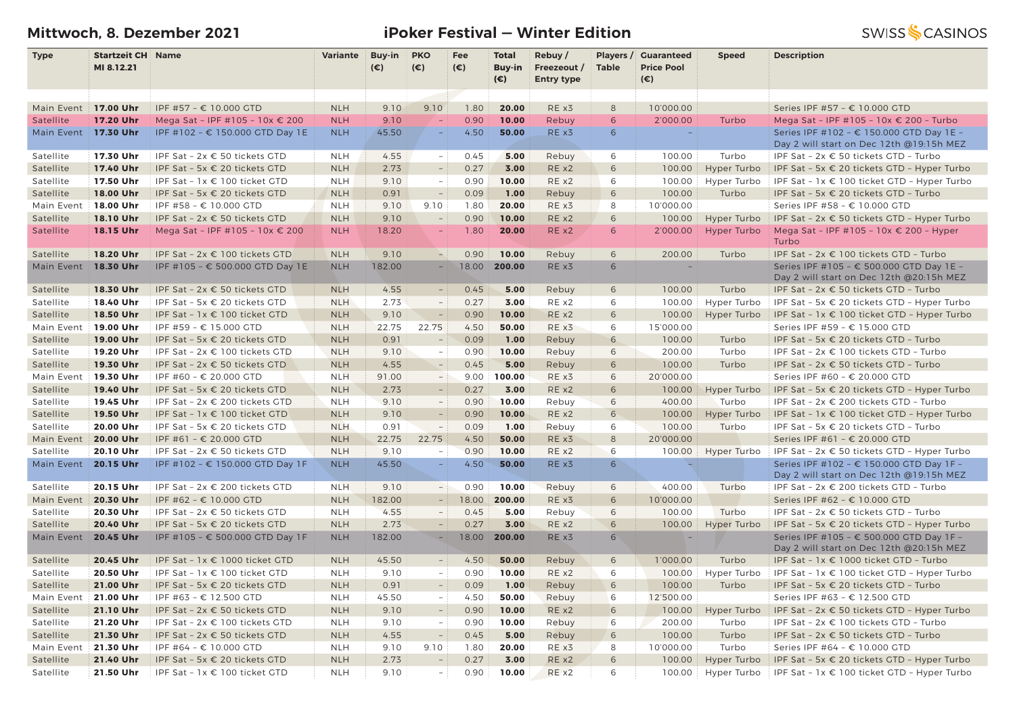# **Mittwoch, 8. Dezember 2021 iPoker Festival — Winter Edition**

| <b>Type</b>          | <b>Startzeit CH Name</b> |                                    | Variante   | <b>Buy-in</b> | <b>PKO</b>               | Fee          | <b>Total</b>           | Rebuy/                           | Players /<br><b>Table</b> | <b>Guaranteed</b>                 | <b>Speed</b> | <b>Description</b>                                                                   |
|----------------------|--------------------------|------------------------------------|------------|---------------|--------------------------|--------------|------------------------|----------------------------------|---------------------------|-----------------------------------|--------------|--------------------------------------------------------------------------------------|
|                      | MI 8.12.21               |                                    |            | $(\epsilon)$  | $(\epsilon)$             | $(\epsilon)$ | Buy-in<br>$(\epsilon)$ | Freezeout /<br><b>Entry type</b> |                           | <b>Price Pool</b><br>$(\epsilon)$ |              |                                                                                      |
|                      |                          |                                    |            |               |                          |              |                        |                                  |                           |                                   |              |                                                                                      |
| Main Event           | 17.00 Uhr                | IPF #57 - € 10.000 GTD             | <b>NLH</b> | 9.10          | 9.10                     | 1.80         | 20.00                  | RE x3                            | 8                         | 10'000.00                         |              | Series IPF #57 - € 10.000 GTD                                                        |
| Satellite            | 17.20 Uhr                | Mega Sat - IPF #105 - 10x € 200    | <b>NLH</b> | 9.10          |                          | 0.90         | 10.00                  | Rebuy                            | 6                         | 2'000.00                          | Turbo        | Mega Sat - IPF #105 - 10x € 200 - Turbo                                              |
| Main Event 17.30 Uhr |                          | IPF #102 - € 150.000 GTD Day 1E    | <b>NLH</b> | 45.50         | $\equiv$                 | 4.50         | 50.00                  | RE x3                            | 6                         |                                   |              | Series IPF #102 - € 150.000 GTD Day 1E -<br>Day 2 will start on Dec 12th @19:15h MEZ |
| Satellite            | 17.30 Uhr                | IPF Sat - 2x € 50 tickets GTD      | <b>NLH</b> | 4.55          | $\sim$                   | 0.45         | 5.00                   | Rebuy                            | 6                         | 100.00                            | Turbo        | IPF Sat - 2x € 50 tickets GTD - Turbo                                                |
| Satellite            | 17.40 Uhr                | IPF Sat - 5x € 20 tickets GTD      | <b>NLH</b> | 2.73          | $\frac{1}{2}$            | 0.27         | 3.00                   | RE x2                            | 6                         | 100.00                            | Hyper Turbo  | IPF Sat - 5x € 20 tickets GTD - Hyper Turbo                                          |
| Satellite            | 17.50 Uhr                | IPF Sat - 1x € 100 ticket GTD      | <b>NLH</b> | 9.10          | $\overline{\phantom{a}}$ | 0.90         | 10.00                  | RE x2                            | 6                         | 100.00                            | Hyper Turbo  | IPF Sat - 1x € 100 ticket GTD - Hyper Turbo                                          |
| Satellite            | 18.00 Uhr                | IPF Sat - 5x € 20 tickets GTD      | <b>NLH</b> | 0.91          |                          | 0.09         | 1.00                   | Rebuy                            | 6                         | 100.00                            | Turbo        | IPF Sat - 5x € 20 tickets GTD - Turbo                                                |
| Main Event           | 18.00 Uhr                | IPF #58 - € 10.000 GTD             | <b>NLH</b> | 9.10          | 9.10                     | 1.80         | 20.00                  | RE x3                            | 8                         | 10'000.00                         |              | Series IPF #58 - € 10.000 GTD                                                        |
| Satellite            | 18.10 Uhr                | IPF Sat - 2x € 50 tickets GTD      | <b>NLH</b> | 9.10          | $\overline{a}$           | 0.90         | 10.00                  | RE x2                            | 6                         | 100.00                            | Hyper Turbo  | IPF Sat - $2x \in 50$ tickets GTD - Hyper Turbo                                      |
| Satellite            | 18.15 Uhr                | Mega Sat - IPF #105 - 10x € 200    | <b>NLH</b> | 18.20         |                          | 1.80         | 20.00                  | RE x2                            | 6                         | 2'000.00                          | Hyper Turbo  | Mega Sat - IPF #105 - 10x € 200 - Hyper<br>Turbo                                     |
| Satellite            | 18.20 Uhr                | IPF Sat - 2x € 100 tickets GTD     | <b>NLH</b> | 9.10          |                          | 0.90         | 10.00                  | Rebuy                            | 6                         | 200.00                            | Turbo        | IPF Sat - $2x \in 100$ tickets GTD - Turbo                                           |
| Main Event           | 18.30 Uhr                | IPF #105 - € 500.000 GTD Day 1E    | <b>NLH</b> | 182.00        | $-$                      | 18.00        | 200.00                 | RE x3                            | 6                         |                                   |              | Series IPF #105 - € 500.000 GTD Day 1E -<br>Day 2 will start on Dec 12th @20:15h MEZ |
| Satellite            | 18.30 Uhr                | IPF Sat - $2x \in 50$ tickets GTD  | <b>NLH</b> | 4.55          | $\equiv$                 | 0.45         | 5.00                   | Rebuy                            | 6                         | 100.00                            | Turbo        | IPF Sat - 2x € 50 tickets GTD - Turbo                                                |
| Satellite            | 18.40 Uhr                | IPF Sat - 5x € 20 tickets GTD      | <b>NLH</b> | 2.73          | $\overline{\phantom{a}}$ | 0.27         | 3.00                   | RE x2                            | 6                         | 100.00                            | Hyper Turbo  | IPF Sat - 5x € 20 tickets GTD - Hyper Turbo                                          |
| Satellite            | 18.50 Uhr                | IPF Sat - 1x € 100 ticket GTD      | <b>NLH</b> | 9.10          | $\overline{a}$           | 0.90         | 10.00                  | RE x2                            | 6                         | 100.00                            | Hyper Turbo  | IPF Sat - 1x € 100 ticket GTD - Hyper Turbo                                          |
| Main Event           | 19.00 Uhr                | IPF #59 - € 15.000 GTD             | <b>NLH</b> | 22.75         | 22.75                    | 4.50         | 50.00                  | RE x3                            | 6                         | 15'000.00                         |              | Series IPF #59 - € 15.000 GTD                                                        |
| Satellite            | 19.00 Uhr                | IPF Sat - 5x € 20 tickets GTD      | <b>NLH</b> | 0.91          | $\frac{1}{2}$            | 0.09         | 1.00                   | Rebuy                            | 6                         | 100.00                            | Turbo        | IPF Sat - 5x € 20 tickets GTD - Turbo                                                |
| Satellite            | 19.20 Uhr                | IPF Sat - 2x € 100 tickets GTD     | <b>NLH</b> | 9.10          | $\overline{\phantom{a}}$ | 0.90         | 10.00                  | Rebuy                            | 6                         | 200.00                            | Turbo        | IPF Sat - 2x € 100 tickets GTD - Turbo                                               |
| Satellite            | 19.30 Uhr                | IPF Sat - 2x € 50 tickets GTD      | <b>NLH</b> | 4.55          | $\overline{\phantom{a}}$ | 0.45         | 5.00                   | Rebuy                            | 6                         | 100.00                            | Turbo        | IPF Sat - 2x € 50 tickets GTD - Turbo                                                |
| Main Event           | 19.30 Uhr                | IPF #60 - € 20.000 GTD             | <b>NLH</b> | 91.00         | $\overline{\phantom{a}}$ | 9.00         | 100.00                 | RE x3                            | 6                         | 20'000.00                         |              | Series IPF #60 - € 20.000 GTD                                                        |
| Satellite            | 19.40 Uhr                | IPF Sat - 5x € 20 tickets GTD      | <b>NLH</b> | 2.73          |                          | 0.27         | 3.00                   | REX2                             | 6                         | 100.00                            | Hyper Turbo  | IPF Sat - 5x $\epsilon$ 20 tickets GTD - Hyper Turbo                                 |
| Satellite            | 19.45 Uhr                | IPF Sat - $2x \in 200$ tickets GTD | <b>NLH</b> | 9.10          | $\overline{\phantom{a}}$ | 0.90         | 10.00                  | Rebuy                            | 6                         | 400.00                            | Turbo        | IPF Sat - 2x € 200 tickets GTD - Turbo                                               |
| Satellite            | 19.50 Uhr                | IPF Sat - 1x € 100 ticket GTD      | <b>NLH</b> | 9.10          |                          | 0.90         | 10.00                  | RE x2                            | 6                         | 100.00                            | Hyper Turbo  | IPF Sat - 1x € 100 ticket GTD - Hyper Turbo                                          |
| Satellite            | 20.00 Uhr                | IPF Sat - 5x € 20 tickets GTD      | <b>NLH</b> | 0.91          | $\overline{\phantom{a}}$ | 0.09         | 1.00                   | Rebuy                            | 6                         | 100.00                            | Turbo        | IPF Sat - 5x € 20 tickets GTD - Turbo                                                |
| Main Event           | 20.00 Uhr                | IPF #61 - € 20.000 GTD             | <b>NLH</b> | 22.75         | 22.75                    | 4.50         | 50.00                  | RE x3                            | 8                         | 20'000.00                         |              | Series IPF #61 - € 20.000 GTD                                                        |
| Satellite            | 20.10 Uhr                | IPF Sat - 2x € 50 tickets GTD      | <b>NLH</b> | 9.10          | $\overline{\phantom{0}}$ | 0.90         | 10.00                  | RE x2                            | 6                         | 100.00                            | Hyper Turbo  | IPF Sat - 2x € 50 tickets GTD - Hyper Turbo                                          |
| Main Event           | 20.15 Uhr                | IPF #102 - € 150.000 GTD Day 1F    | <b>NLH</b> | 45.50         | $\equiv$                 | 4.50         | 50.00                  | RE x3                            | 6                         |                                   |              | Series IPF #102 - € 150.000 GTD Day 1F -<br>Day 2 will start on Dec 12th @19:15h MEZ |
| Satellite            | 20.15 Uhr                | IPF Sat - 2x € 200 tickets GTD     | <b>NLH</b> | 9.10          | $-$ 1                    | 0.90         | 10.00                  | Rebuy                            | 6                         | 400.00                            | Turbo        | IPF Sat - 2x € 200 tickets GTD - Turbo                                               |
| Main Event           | 20.30 Uhr                | IPF #62 - € 10.000 GTD             | <b>NLH</b> | 182.00        | - 1                      | 18.00        | 200.00                 | RE x3                            | 6                         | 10'000.00                         |              | Series IPF #62 - € 10.000 GTD                                                        |
| Satellite            | 20.30 Uhr                | IPF Sat - $2x \in 50$ tickets GTD  | <b>NLH</b> | 4.55          | $\overline{\phantom{a}}$ | 0.45         | 5.00                   | Rebuy                            | 6                         | 100.00                            | Turbo        | IPF Sat - 2x € 50 tickets GTD - Turbo                                                |
| Satellite            | 20.40 Uhr                | IPF Sat - 5x € 20 tickets GTD      | <b>NLH</b> | 2.73          | $ \,$                    | 0.27         | 3.00                   | RE x2                            | 6                         | 100.00                            | Hyper Turbo  | IPF Sat - 5x $\epsilon$ 20 tickets GTD - Hyper Turbo                                 |
| Main Event           | 20.45 Uhr                | IPF #105 - € 500.000 GTD Day 1F    | <b>NLH</b> | 182.00        | $\overline{\phantom{a}}$ | 18.00        | 200.00                 | RE x3                            | 6                         |                                   |              | Series IPF #105 - € 500.000 GTD Day 1F -<br>Day 2 will start on Dec 12th @20:15h MEZ |
| Satellite            | 20.45 Uhr                | IPF Sat - 1x € 1000 ticket GTD     | <b>NLH</b> | 45.50         | $\overline{\phantom{a}}$ | 4.50         | 50.00                  | Rebuy                            | 6                         | 1'000.00                          | Turbo        | IPF Sat - 1x € 1000 ticket GTD - Turbo                                               |
| Satellite            | 20.50 Uhr                | IPF Sat - $1x \in 100$ ticket GTD  | <b>NLH</b> | 9.10          | $\overline{\phantom{a}}$ | 0.90         | 10.00                  | RE x2                            | 6                         | 100.00                            | Hyper Turbo  | IPF Sat - $1x \in 100$ ticket GTD - Hyper Turbo                                      |
| Satellite            | 21.00 Uhr                | IPF Sat - 5x € 20 tickets GTD      | <b>NLH</b> | 0.91          | $\overline{\phantom{0}}$ | 0.09         | 1.00                   | Rebuy                            | 6                         | 100.00                            | Turbo        | IPF Sat - 5x € 20 tickets GTD - Turbo                                                |
| Main Event           | 21.00 Uhr                | IPF #63 - € 12.500 GTD             | <b>NLH</b> | 45.50         | $\overline{\phantom{a}}$ | 4.50         | 50.00                  | Rebuy                            | 6                         | 12'500.00                         |              | Series IPF #63 - € 12.500 GTD                                                        |
| Satellite            | 21.10 Uhr                | IPF Sat - 2x € 50 tickets GTD      | <b>NLH</b> | 9.10          | $\overline{\phantom{a}}$ | 0.90         | 10.00                  | RE x2                            | 6                         | 100.00                            | Hyper Turbo  | IPF Sat - $2x \in 50$ tickets GTD - Hyper Turbo                                      |
| Satellite            | 21.20 Uhr                | IPF Sat - 2x € 100 tickets GTD     | <b>NLH</b> | 9.10          | $\overline{\phantom{a}}$ | 0.90         | 10.00                  | Rebuy                            | 6                         | 200.00                            | Turbo        | IPF Sat - 2x € 100 tickets GTD - Turbo                                               |
| Satellite            | 21.30 Uhr                | IPF Sat - $2x \in 50$ tickets GTD  | <b>NLH</b> | 4.55          | $\equiv$                 | 0.45         | 5.00                   | Rebuy                            | 6                         | 100.00                            | Turbo        | IPF Sat - 2x € 50 tickets GTD - Turbo                                                |
| Main Event           | 21.30 Uhr                | IPF #64 - € 10.000 GTD             | <b>NLH</b> | 9.10          | 9.10                     | 1.80         | 20.00                  | RE x3                            | 8                         | 10'000.00                         | Turbo        | Series IPF #64 - € 10.000 GTD                                                        |
| Satellite            | 21.40 Uhr                | IPF Sat - 5x € 20 tickets GTD      | <b>NLH</b> | 2.73          | $\overline{\phantom{0}}$ | 0.27         | 3.00                   | RE x2                            | 6                         | 100.00                            | Hyper Turbo  | IPF Sat - 5x € 20 tickets GTD - Hyper Turbo                                          |
| Satellite            | 21.50 Uhr                | IPF Sat - 1x € 100 ticket GTD      | <b>NLH</b> | 9.10          | $\overline{\phantom{a}}$ | 0.90         | 10.00                  | RE x2                            | 6                         | 100.00                            | Hyper Turbo  | IPF Sat - 1x € 100 ticket GTD - Hyper Turbo                                          |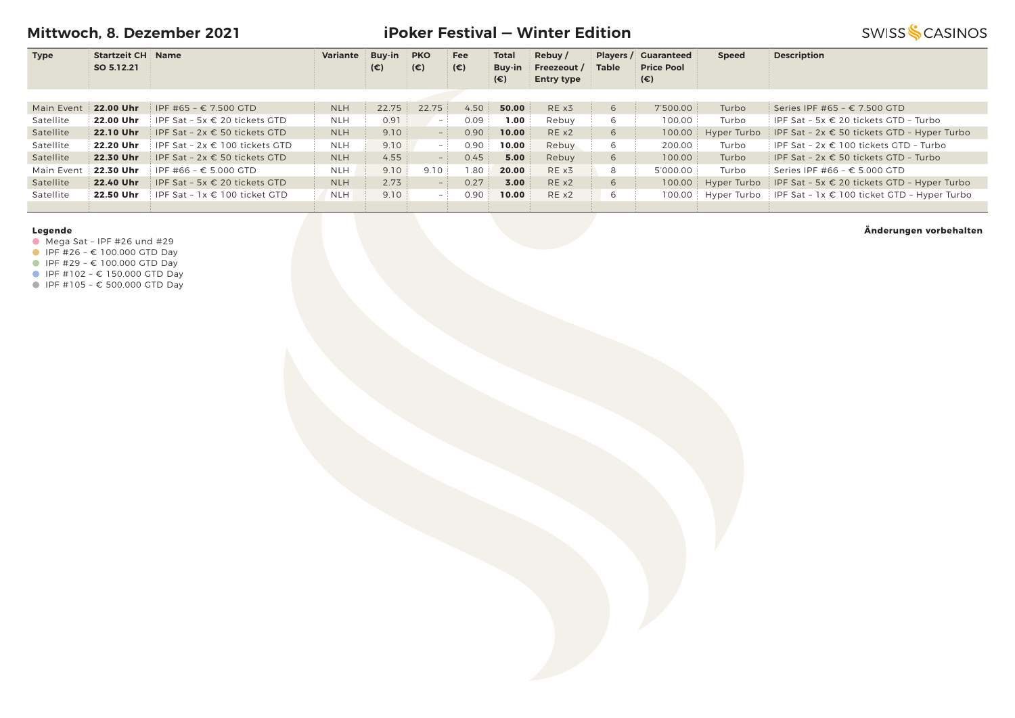**Mittwoch, 8. Dezember 2021**

# **iPoker Festival — Winter Edition**

**SWISS SCASINOS** 

| <b>Type</b> | <b>Startzeit CH Name</b> |                                    | Variante   | Buy-in       | <b>PKO</b>   | Fee  | Total  | Rebuy /           |              | <b>Players / Guaranteed</b> | <b>Speed</b> | <b>Description</b>                                                 |
|-------------|--------------------------|------------------------------------|------------|--------------|--------------|------|--------|-------------------|--------------|-----------------------------|--------------|--------------------------------------------------------------------|
|             | SO 5.12.21               |                                    |            | $(\epsilon)$ | $(\epsilon)$ | (€)  | Buy-in | Freezeout /       | <b>Table</b> | <b>Price Pool</b>           |              |                                                                    |
|             |                          |                                    |            |              |              |      | (€)    | <b>Entry type</b> |              | (€)                         |              |                                                                    |
|             |                          |                                    |            |              |              |      |        |                   |              |                             |              |                                                                    |
| Main Event  | 22.00 Uhr                | IPF #65 – € 7.500 GTD              | <b>NLH</b> | 22.75        | 22.75        | 4.50 | 50.00  | RE x3             | 6            | 7'500.00                    | Turbo        | Series IPF #65 - € 7.500 GTD                                       |
| Satellite   | 22.00 Uhr                | FIPF Sat - 5x € 20 tickets GTD     | <b>NLH</b> | 0.91         | $-$ :        | 0.09 | 1.00   | Rebuy             | 6            | 100.00                      | Turbo        | $\vdash$ IPF Sat - 5x € 20 tickets GTD - Turbo                     |
| Satellite   | 22.10 Uhr                | IPF Sat - $2x \in 50$ tickets GTD  | <b>NLH</b> | 9.10         | $ V$         | 0.90 | 10.00  | RE x2             | 6            | 100.00                      | Hyper Turbo  | IPF Sat - $2x \in 50$ tickets GTD - Hyper Turbo                    |
| Satellite   | 22.20 Uhr                | IPF Sat - $2x \in 100$ tickets GTD | <b>NLH</b> | 9.10         | $-1$         | 0.90 | 10.00  | Rebuy             | 6            | 200.00                      | Turbo        | IPF Sat - $2x \in 100$ tickets GTD - Turbo                         |
| Satellite   | 22.30 Uhr                | IPF Sat - $2x \in 50$ tickets GTD  | <b>NLH</b> | 4.55         | $-1$         | 0.45 | 5.00   | Rebuy             | 6            | 100.00                      | Turbo        | IPF Sat - $2x \in 50$ tickets GTD - Turbo                          |
| Main Event  | 22.30 Uhr                | $IPF$ #66 – € 5.000 GTD            | <b>NLH</b> | 9.10         | 9.10         | 1.80 | 20.00  | RE x3             | 8            | 5'000.00                    | Turbo        | Series IPF #66 - $\epsilon$ 5.000 GTD                              |
| Satellite   | 22.40 Uhr                | IPF Sat - 5x $\in$ 20 tickets GTD  | <b>NLH</b> | 2.73         | $-$ 1        | 0.27 | 3.00   | RE x2             | 6            | 100.00                      |              | Hyper Turbo   IPF Sat - 5x $\epsilon$ 20 tickets GTD - Hyper Turbo |
| Satellite   | 22.50 Uhr                | IPF Sat - $1x \in 100$ ticket GTD  | <b>NLH</b> | 9.10         | $-$ :        | 0.90 | 10.00  | REX2              | 6            | 100.00                      |              | Hyper Turbo   IPF Sat - $1x \in 100$ ticket GTD - Hyper Turbo      |
|             |                          |                                    |            |              |              |      |        |                   |              |                             |              |                                                                    |

#### **Legende**

- Mega Sat IPF #26 und #29
- $I = \{100.000 \text{ GTD} \}$
- IPF #29 € 100.000 GTD Day
- $I$  IPF #102 € 150.000 GTD Day
- IPF #105 € 500.000 GTD Day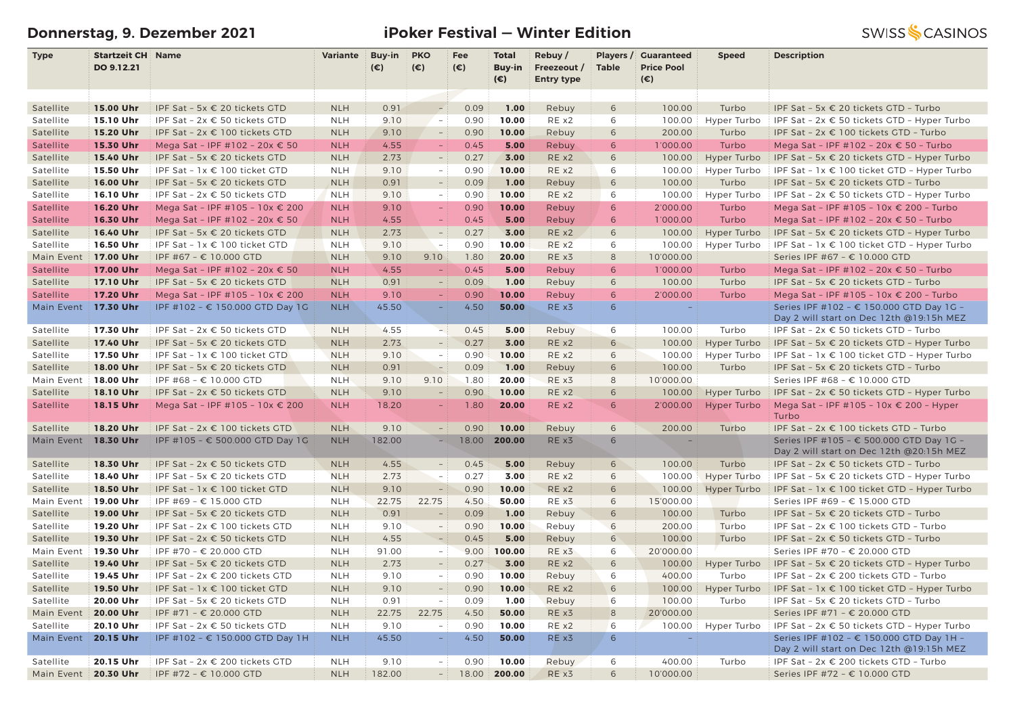# **Donnerstag, 9. Dezember 2021 iPoker Festival — Winter Edition**

| <b>Type</b>             | <b>Startzeit CH: Name</b> |                                                          | <b>Variante</b>          | <b>Buy-in</b>  | <b>PKO</b>               | Fee           | <b>Total</b>           | Rebuy/            |                      | Players / Guaranteed              | <b>Speed</b> | <b>Description</b>                                                                   |
|-------------------------|---------------------------|----------------------------------------------------------|--------------------------|----------------|--------------------------|---------------|------------------------|-------------------|----------------------|-----------------------------------|--------------|--------------------------------------------------------------------------------------|
|                         | DO 9.12.21                |                                                          |                          | $(\epsilon)$   | $(\epsilon)$             | $(\epsilon)$  | Buy-in<br>$(\epsilon)$ | Freezeout /       | <b>Table</b>         | <b>Price Pool</b><br>$(\epsilon)$ |              |                                                                                      |
|                         |                           |                                                          |                          |                |                          |               |                        | <b>Entry type</b> |                      |                                   |              |                                                                                      |
| Satellite               | 15.00 Uhr                 | IPF Sat - 5x € 20 tickets GTD                            | <b>NLH</b>               | 0.91           |                          | 0.09          | 1.00                   | Rebuy             | 6                    | 100.00                            | Turbo        | IPF Sat - 5x € 20 tickets GTD - Turbo                                                |
| Satellite               | 15.10 Uhr                 | IPF Sat - 2x € 50 tickets GTD                            | <b>NLH</b>               | 9.10           | $\sim$                   | 0.90          | 10.00                  | RE x2             | 6                    | 100.00                            | Hyper Turbo  | IPF Sat - $2x \in 50$ tickets GTD - Hyper Turbo                                      |
| Satellite               | 15.20 Uhr                 | IPF Sat - 2x € 100 tickets GTD                           | <b>NLH</b>               | 9.10           | $\overline{\phantom{a}}$ | 0.90          | 10.00                  | Rebuy             | 6                    | 200.00                            | Turbo        | IPF Sat - 2x € 100 tickets GTD - Turbo                                               |
| Satellite               | 15.30 Uhr                 | Mega Sat - IPF #102 - 20x € 50                           | <b>NLH</b>               | 4.55           | $\equiv$                 | 0.45          | 5.00                   | Rebuy             | 6                    | 1'000.00                          | Turbo        | Mega Sat - IPF #102 - 20x € 50 - Turbo                                               |
| Satellite               | 15.40 Uhr                 | IPF Sat - 5x € 20 tickets GTD                            | <b>NLH</b>               | 2.73           | $\overline{a}$           | 0.27          | 3.00                   | RE x2             | 6                    | 100.00                            | Hyper Turbo  | IPF Sat - 5x € 20 tickets GTD - Hyper Turbo                                          |
| Satellite               | 15.50 Uhr                 | IPF Sat - 1x € 100 ticket GTD                            | <b>NLH</b>               | 9.10           | $\sim$                   | 0.90          | 10.00                  | RE x2             | 6                    | 100.00                            | Hyper Turbo  | IPF Sat - 1x € 100 ticket GTD - Hyper Turbo                                          |
| Satellite               | 16.00 Uhr                 | IPF Sat - 5x € 20 tickets GTD                            | <b>NLH</b>               | 0.91           | $\equiv$                 | 0.09          | 1.00                   | Rebuy             | 6                    | 100.00                            | Turbo        | IPF Sat - 5x € 20 tickets GTD - Turbo                                                |
| Satellite               | 16.10 Uhr                 | IPF Sat - 2x € 50 tickets GTD                            | <b>NLH</b>               | 9.10           | $\sim$                   | 0.90          | 10.00                  | RE x2             | 6                    | 100.00                            | Hyper Turbo  | IPF Sat - 2x € 50 tickets GTD - Hyper Turbo                                          |
| Satellite               | 16.20 Uhr                 | Mega Sat - IPF #105 - 10x € 200                          | <b>NLH</b>               | 9.10           | $\equiv$                 | 0.90          | 10.00                  | Rebuy             | 6                    | 2'000.00                          | Turbo        | Mega Sat - IPF #105 - 10x € 200 - Turbo                                              |
| Satellite               | 16.30 Uhr                 | Mega Sat - IPF #102 - 20x € 50                           | <b>NLH</b>               | 4.55           |                          | 0.45          | 5.00                   | Rebuy             | 6                    | 1'000.00                          | Turbo        | Mega Sat - IPF #102 - 20x € 50 - Turbo                                               |
| Satellite               | 16.40 Uhr                 | IPF Sat - 5x € 20 tickets GTD                            | <b>NLH</b>               | 2.73           | $\overline{\phantom{a}}$ | 0.27          | 3.00                   | RE x2             | 6                    | 100.00                            | Hyper Turbo  | IPF Sat - 5x € 20 tickets GTD - Hyper Turbo                                          |
| Satellite               | 16.50 Uhr                 | IPF Sat - 1x € 100 ticket GTD                            | <b>NLH</b>               | 9.10           | $\overline{a}$           | 0.90          | 10.00                  | RE x2             | 6                    | 100.00                            | Hyper Turbo  | IPF Sat - $1x \in 100$ ticket GTD - Hyper Turbo                                      |
| Main Event              | 17.00 Uhr                 | IPF #67 - € 10.000 GTD                                   | <b>NLH</b>               | 9.10           | 9.10                     | 1.80          | 20.00                  | RE x3             | 8                    | 10'000.00                         |              | Series IPF #67 - € 10.000 GTD                                                        |
| Satellite               | 17.00 Uhr                 | Mega Sat - IPF #102 - 20x € 50                           | <b>NLH</b>               | 4.55           |                          | 0.45          | 5.00                   | Rebuy             | 6                    | 1'000.00                          | Turbo        | Mega Sat - IPF #102 - 20x € 50 - Turbo                                               |
| Satellite               | 17.10 Uhr                 | IPF Sat - 5x € 20 tickets GTD                            | <b>NLH</b>               | 0.91           | $\overline{\phantom{a}}$ | 0.09          | 1.00                   | Rebuy             | 6                    | 100.00                            | Turbo        | IPF Sat - 5x € 20 tickets GTD - Turbo                                                |
| Satellite               | 17.20 Uhr                 | Mega Sat - IPF #105 - 10x € 200                          | <b>NLH</b>               | 9.10           |                          | 0.90          | 10.00                  | Rebuy             | 6                    | 2'000.00                          | Turbo        | Mega Sat - IPF #105 - 10x € 200 - Turbo                                              |
| Main Event              | 17.30 Uhr                 | IPF #102 - € 150.000 GTD Day 1G                          | <b>NLH</b>               | 45.50          |                          | 4.50          | 50.00                  | RE x3             | 6                    | $\equiv$                          |              | Series IPF #102 - € 150.000 GTD Day 1G -                                             |
|                         |                           |                                                          |                          |                |                          |               |                        |                   |                      |                                   |              | Day 2 will start on Dec 12th @19:15h MEZ                                             |
| Satellite               | 17.30 Uhr                 | IPF Sat - 2x € 50 tickets GTD                            | <b>NLH</b>               | 4.55           | ъi                       | 0.45          | 5.00                   | Rebuy             | 6                    | 100.00                            | Turbo        | IPF Sat - 2x € 50 tickets GTD - Turbo                                                |
| Satellite               | 17.40 Uhr                 | IPF Sat - 5x € 20 tickets GTD                            | <b>NLH</b>               | 2.73           | $\equiv$                 | 0.27          | 3.00                   | RE x2             | 6                    | 100.00                            | Hyper Turbo  | IPF Sat - 5x € 20 tickets GTD - Hyper Turbo                                          |
| Satellite               | 17.50 Uhr                 | IPF Sat - 1x € 100 ticket GTD                            | <b>NLH</b>               | 9.10           | $\sim$                   | 0.90          | 10.00                  | RE x2             | 6                    | 100.00                            | Hyper Turbo  | IPF Sat - 1x € 100 ticket GTD - Hyper Turbo                                          |
| Satellite               | 18.00 Uhr                 | IPF Sat - 5x € 20 tickets GTD                            | <b>NLH</b>               | 0.91           |                          | 0.09          | 1.00                   | Rebuy             | 6                    | 100.00                            | Turbo        | IPF Sat - 5x € 20 tickets GTD - Turbo                                                |
| Main Event              | 18.00 Uhr                 | IPF #68 - € 10.000 GTD                                   | <b>NLH</b>               | 9.10           | 9.10                     | 1.80          | 20.00                  | RE x3             | 8                    | 10'000.00                         |              | Series IPF #68 - € 10.000 GTD                                                        |
| Satellite               | 18.10 Uhr                 | IPF Sat - 2x € 50 tickets GTD                            | <b>NLH</b>               | 9.10           | $\equiv$                 | 0.90          | 10.00                  | REX2              | 6                    | 100.00                            | Hyper Turbo  | IPF Sat - 2x € 50 tickets GTD - Hyper Turbo                                          |
| Satellite               | 18.15 Uhr                 | Mega Sat - IPF #105 - 10x € 200                          | <b>NLH</b>               | 18.20          |                          | 1.80          | 20.00                  | RE x2             | 6                    | 2'000.00                          | Hyper Turbo  | Mega Sat - IPF #105 - 10x € 200 - Hyper                                              |
|                         |                           |                                                          |                          |                |                          |               |                        |                   |                      |                                   |              | Turbo                                                                                |
| Satellite               | 18.20 Uhr                 | IPF Sat - 2x € 100 tickets GTD                           | <b>NLH</b>               | 9.10           | $\sim$                   | 0.90          | 10.00                  | Rebuy             | 6                    | 200.00                            | Turbo        | IPF Sat - 2x € 100 tickets GTD - Turbo                                               |
| Main Event              | 18.30 Uhr                 | IPF #105 - € 500.000 GTD Day 1G                          | <b>NLH</b>               | 182.00         |                          | 18.00         | 200.00                 | RE x3             | 6                    |                                   |              | Series IPF #105 - € 500.000 GTD Day 1G -<br>Day 2 will start on Dec 12th @20:15h MEZ |
| Satellite               | 18.30 Uhr                 | IPF Sat - 2x € 50 tickets GTD                            | <b>NLH</b>               | 4.55           | $\sim$ 1                 | 0.45          | 5.00                   | Rebuy             | 6                    | 100.00                            | Turbo        | IPF Sat - 2x € 50 tickets GTD - Turbo                                                |
| Satellite               | 18.40 Uhr                 | IPF Sat - 5x € 20 tickets GTD                            | <b>NLH</b>               | 2.73           | $\overline{\phantom{a}}$ | 0.27          | 3.00                   | RE x2             | 6                    | 100.00                            | Hyper Turbo  | IPF Sat - 5x € 20 tickets GTD - Hyper Turbo                                          |
| Satellite               | 18.50 Uhr                 | IPF Sat - 1x € 100 ticket GTD                            | <b>NLH</b>               | 9.10           |                          | 0.90          | 10.00                  | RE x2             | 6                    | 100.00                            | Hyper Turbo  | IPF Sat - $1x \in 100$ ticket GTD - Hyper Turbo                                      |
| Main Event              | 19.00 Uhr                 | IPF #69 - € 15.000 GTD                                   | <b>NLH</b>               | 22.75          | 22.75                    | 4.50          | 50.00                  | RE x3             | 6                    | 15'000.00                         |              | Series IPF #69 - € 15.000 GTD                                                        |
| Satellite               | 19.00 Uhr                 | IPF Sat - 5x € 20 tickets GTD                            | <b>NLH</b>               | 0.91           |                          | 0.09          | 1.00                   | Rebuy             | 6                    | 100.00                            | Turbo        | IPF Sat - 5x € 20 tickets GTD - Turbo                                                |
| Satellite               | 19.20 Uhr                 | IPF Sat - 2x € 100 tickets GTD                           | <b>NLH</b>               | 9.10           | $\sim$                   | 0.90          | 10.00                  | Rebuy             | 6                    | 200.00                            | Turbo        | IPF Sat - 2x € 100 tickets GTD - Turbo                                               |
| Satellite               | 19.30 Uhr                 | IPF Sat - 2x € 50 tickets GTD                            | <b>NLH</b>               | 4.55           | $\overline{\phantom{a}}$ | 0.45          | 5.00                   | Rebuy             | 6                    | 100.00                            | Turbo        | IPF Sat - $2x \in 50$ tickets GTD - Turbo                                            |
| Main Event              | 19.30 Uhr                 | IPF #70 - € 20.000 GTD                                   | <b>NLH</b>               | 91.00          | $\sim$ 1                 | 9.00          | 100.00                 | RE x3             | 6                    | 20'000.00                         |              | Series IPF #70 - € 20.000 GTD                                                        |
| Satellite               | 19.40 Uhr                 | IPF Sat - 5x € 20 tickets GTD                            | <b>NLH</b>               | 2.73           | $\overline{\phantom{a}}$ | 0.27          | 3.00                   | REX2              | 6                    | 100.00                            | Hyper Turbo  | IPF Sat - 5x $\epsilon$ 20 tickets GTD - Hyper Turbo                                 |
| Satellite               | 19.45 Uhr                 | IPF Sat - 2x € 200 tickets GTD                           | <b>NLH</b>               | 9.10           | $\sim$                   | 0.90          | 10.00                  | Rebuy             | 6                    | 400.00                            | Turbo        | IPF Sat - 2x € 200 tickets GTD - Turbo                                               |
| Satellite               | 19.50 Uhr                 | IPF Sat - 1x € 100 ticket GTD                            | <b>NLH</b>               | 9.10           |                          | 0.90          | 10.00                  | RE x2             | 6                    | 100.00                            | Hyper Turbo  | IPF Sat - 1x € 100 ticket GTD - Hyper Turbo                                          |
| Satellite               | 20.00 Uhr                 | IPF Sat - 5x € 20 tickets GTD                            | <b>NLH</b>               | 0.91           | $\overline{\phantom{a}}$ | 0.09          | 1.00                   | Rebuy             | 6                    | 100.00                            | Turbo        | IPF Sat - 5x € 20 tickets GTD - Turbo                                                |
| Main Event              | 20.00 Uhr                 | IPF #71 - € 20.000 GTD                                   | <b>NLH</b>               | 22.75          | 22.75                    | 4.50          | 50.00                  | RE x3             | 8                    | 20'000.00                         |              | Series IPF #71 - € 20.000 GTD                                                        |
| Satellite               | 20.10 Uhr                 | IPF Sat - 2x € 50 tickets GTD                            | <b>NLH</b>               | 9.10           | $\overline{\phantom{a}}$ | 0.90          | 10.00                  | REX2              | 6                    | 100.00                            | Hyper Turbo  | IPF Sat - 2x € 50 tickets GTD - Hyper Turbo                                          |
| Main Event              | 20.15 Uhr                 | IPF #102 - € 150.000 GTD Day 1H                          | <b>NLH</b>               | 45.50          | $\equiv$                 | 4.50          | 50.00                  | RE x3             | 6                    | $\equiv$                          |              | Series IPF #102 - € 150,000 GTD Day 1H -                                             |
|                         |                           |                                                          |                          |                | $-1$                     |               |                        |                   |                      |                                   |              | Day 2 will start on Dec 12th @19:15h MEZ                                             |
| Satellite<br>Main Event | 20.15 Uhr<br>20.30 Uhr    | IPF Sat - 2x € 200 tickets GTD<br>IPF #72 - € 10.000 GTD | <b>NLH</b><br><b>NLH</b> | 9.10<br>182.00 | $-$ 1                    | 0.90<br>18.00 | 10.00<br>200.00        | Rebuy<br>RE x3    | 6<br>$6\overline{6}$ | 400.00<br>10'000.00               | Turbo        | IPF Sat - 2x € 200 tickets GTD - Turbo<br>Series IPF #72 - € 10.000 GTD              |
|                         |                           |                                                          |                          |                |                          |               |                        |                   |                      |                                   |              |                                                                                      |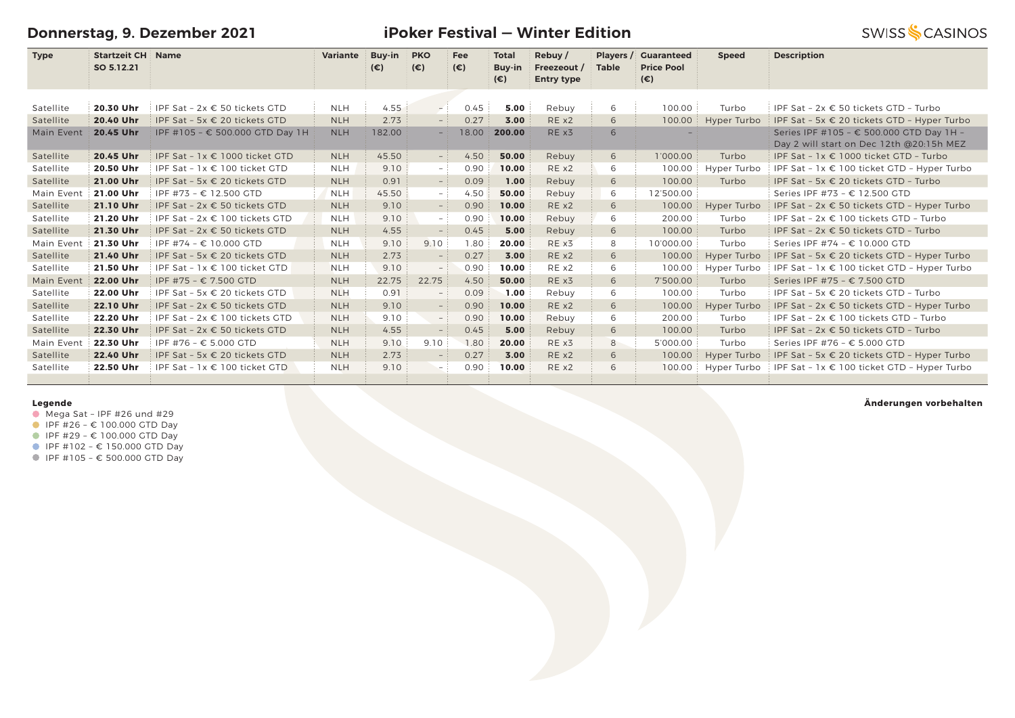**Donnerstag, 9. Dezember 2021**

**iPoker Festival — Winter Edition**

| <b>Type</b> | Startzeit CH Name |  |  |  | Variante Buy-in PKO Fee Total Rebuy / Players / Cuaranteed |  |
|-------------|-------------------|--|--|--|------------------------------------------------------------|--|

|            | SO 5.12.21 |                                        |            | $(\epsilon)$ | $(\epsilon)$             | $(\epsilon)$ | <b>Buy-in</b><br>$(\epsilon)$ | <b>Freezeout</b> /<br><b>Entry type</b> | <b>Table</b> | <b>Price Pool</b><br>$(\epsilon)$ |             |                                                                                      |
|------------|------------|----------------------------------------|------------|--------------|--------------------------|--------------|-------------------------------|-----------------------------------------|--------------|-----------------------------------|-------------|--------------------------------------------------------------------------------------|
|            |            |                                        |            |              |                          |              |                               |                                         |              |                                   |             |                                                                                      |
| Satellite  | 20.30 Uhr  | IPF Sat - $2x \in 50$ tickets GTD      | <b>NLH</b> | 4.55         | $-1$                     | 0.45         | 5.00                          | Rebuy                                   | 6            | 100.00                            | Turbo       | IPF Sat - 2x € 50 tickets GTD - Turbo                                                |
| Satellite  | 20.40 Uhr  | IPF Sat - 5x € 20 tickets GTD          | <b>NLH</b> | 2.73         | $-$ :                    | 0.27         | 3.00                          | RE x2                                   | 6            | 100.00                            | Hyper Turbo | IPF Sat - 5x € 20 tickets GTD - Hyper Turbo                                          |
| Main Event | 20.45 Uhr  | IPF #105 - € 500.000 GTD Day 1H        | <b>NLH</b> | 182.00       | - 1                      | 18.00        | 200.00                        | RE x3                                   | 6            |                                   |             | Series IPF #105 - € 500.000 GTD Day 1H -<br>Day 2 will start on Dec 12th @20:15h MEZ |
| Satellite  | 20.45 Uhr  | IPF Sat - $1x \in 1000$ ticket GTD     | <b>NLH</b> | 45.50        | $-$ :                    | 4.50         | 50.00                         | Rebuy                                   | 6            | 1'000.00                          | Turbo       | IPF Sat - $1x \in 1000$ ticket GTD - Turbo                                           |
| Satellite  | 20.50 Uhr  | IPF Sat - $1x \in 100$ ticket GTD      | <b>NLH</b> | 9.10         | - 1                      | 0.90         | 10.00                         | RE x2                                   | 6            | 100.00                            | Hyper Turbo | IPF Sat - $1x \in 100$ ticket GTD - Hyper Turbo                                      |
| Satellite  | 21.00 Uhr  | IPF Sat - 5x € 20 tickets GTD          | <b>NLH</b> | 0.91         | $ \,$                    | 0.09         | 1.00                          | Rebuy                                   | 6            | 100.00                            | Turbo       | IPF Sat - 5x € 20 tickets GTD - Turbo                                                |
| Main Event | 21.00 Uhr  | IPF #73 - € 12.500 GTD                 | <b>NLH</b> | 45.50        | - 1                      | 4.50         | 50.00                         | Rebuy                                   | 6            | 12'500.00                         |             | Series IPF #73 - € 12.500 GTD                                                        |
| Satellite  | 21.10 Uhr  | IPF Sat - 2x € 50 tickets GTD          | <b>NLH</b> | 9.10         | $-$ :                    | 0.90         | 10.00                         | RE x2                                   | 6            | 100.00                            | Hyper Turbo | IPF Sat - $2x \in 50$ tickets GTD - Hyper Turbo                                      |
| Satellite  | 21.20 Uhr  | IPF Sat - 2x € 100 tickets GTD         | <b>NLH</b> | 9.10         | $ \,$                    | 0.90         | 10.00                         | Rebuy                                   | 6            | 200.00                            | Turbo       | IPF Sat - $2x \in 100$ tickets GTD - Turbo                                           |
| Satellite  | 21.30 Uhr  | IPF Sat - 2x € 50 tickets GTD          | <b>NLH</b> | 4.55         | $-$                      | 0.45         | 5.00                          | Rebuy                                   | 6            | 100.00                            | Turbo       | IPF Sat - $2x \in 50$ tickets GTD - Turbo                                            |
| Main Event | 21.30 Uhr  | IPF #74 - € 10.000 GTD                 | <b>NLH</b> | 9.10         | 9.10                     | 1.80         | 20.00                         | RE x3                                   | 8            | 10'000.00                         | Turbo       | Series IPF #74 - € 10.000 GTD                                                        |
| Satellite  | 21.40 Uhr  | IPF Sat - 5x € 20 tickets GTD          | <b>NLH</b> | 2.73         |                          | 0.27         | 3.00                          | RE x2                                   | 6            | 100.00                            | Hyper Turbo | IPF Sat - 5x € 20 tickets GTD - Hyper Turbo                                          |
| Satellite  | 21.50 Uhr  | IPF Sat - $1x \in 100$ ticket GTD      | <b>NLH</b> | 9.10         | $-$                      | 0.90         | 10.00                         | RE x2                                   | 6            | 100.00                            | Hyper Turbo | IPF Sat - $1x \in 100$ ticket GTD - Hyper Turbo                                      |
| Main Event | 22.00 Uhr  | IPF #75 - € 7.500 GTD                  | <b>NLH</b> | 22.75        | 22.75                    | 4.50         | 50.00                         | RE x3                                   | 6            | 7'500.00                          | Turbo       | Series IPF #75 - € 7.500 GTD                                                         |
| Satellite  | 22.00 Uhr  | IPF Sat - 5x $\epsilon$ 20 tickets GTD | <b>NLH</b> | 0.91         |                          | 0.09         | 1.00                          | Rebuy                                   | 6            | 100.00                            | Turbo       | IPF Sat - 5x $\in$ 20 tickets GTD - Turbo                                            |
| Satellite  | 22.10 Uhr  | IPF Sat - 2x € 50 tickets GTD          | <b>NLH</b> | 9.10         |                          | 0.90         | 10.00                         | RE x2                                   | 6            | 100.00                            | Hyper Turbo | IPF Sat - $2x \in 50$ tickets GTD - Hyper Turbo                                      |
| Satellite  | 22.20 Uhr  | IPF Sat - 2x € 100 tickets GTD         | <b>NLH</b> | 9.10         | - 1                      | 0.90         | 10.00                         | Rebuy                                   | 6            | 200.00                            | Turbo       | IPF Sat - 2x € 100 tickets GTD - Turbo                                               |
| Satellite  | 22.30 Uhr  | IPF Sat - 2x € 50 tickets GTD          | <b>NLH</b> | 4.55         |                          | 0.45         | 5.00                          | Rebuy                                   | 6            | 100.00                            | Turbo       | IPF Sat - $2x \in 50$ tickets GTD - Turbo                                            |
| Main Event | 22.30 Uhr  | IPF #76 - € 5.000 GTD                  | <b>NLH</b> | 9.10         | 9.10                     | 1.80         | 20.00                         | RE x3                                   | 8            | 5'000.00                          | Turbo       | Series IPF #76 - € 5.000 GTD                                                         |
| Satellite  | 22.40 Uhr  | IPF Sat - 5x € 20 tickets GTD          | <b>NLH</b> | 2.73         | $-$                      | 0.27         | 3.00                          | RE x2                                   | 6            | 100.00                            | Hyper Turbo | IPF Sat - 5x € 20 tickets GTD - Hyper Turbo                                          |
| Satellite  | 22.50 Uhr  | IPF Sat - $1x \in 100$ ticket GTD      | <b>NLH</b> | 9.10         | $\overline{\phantom{0}}$ | 0.90         | 10.00                         | RE x2                                   | 6            | 100.00                            | Hyper Turbo | IPF Sat - $1x \in 100$ ticket GTD - Hyper Turbo                                      |
|            |            |                                        |            |              |                          |              |                               |                                         |              |                                   |             |                                                                                      |

### **Legende**

- $\bullet$  Mega Sat IPF #26 und #29
- $I$  IPF #26 € 100.000 GTD Day
- IPF #29 € 100.000 GTD Day
- IPF #102 € 150.000 GTD Day
- IPF #105 € 500.000 GTD Day

#### **Änderungen vorbehalten**

**SWISS SCASINOS** 

 **Speed Description**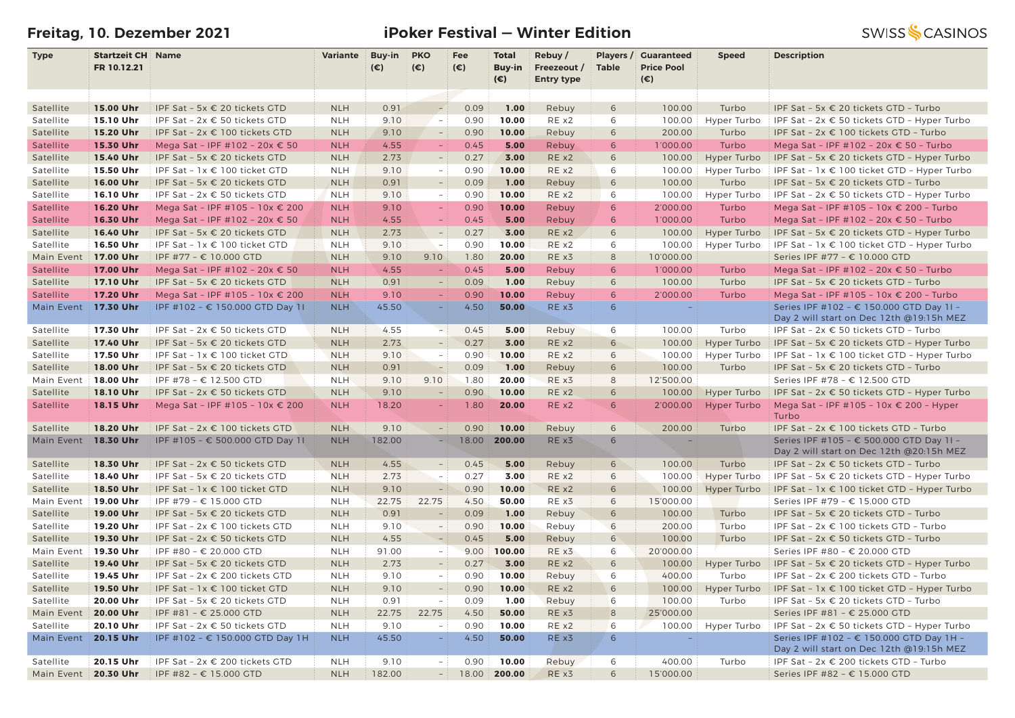# **Freitag, 10. Dezember 2021 iPoker Festival — Winter Edition**

| <b>Startzeit CH Name</b><br><b>PKO</b><br><b>Guaranteed</b><br><b>Type</b><br>Buy-in<br>Fee<br><b>Total</b><br>Rebuy/<br>Players /<br>Variante<br><b>Speed</b>    | <b>Description</b>                                                                   |
|-------------------------------------------------------------------------------------------------------------------------------------------------------------------|--------------------------------------------------------------------------------------|
| $(\epsilon)$<br>$(\epsilon)$<br>Freezeout /<br><b>Price Pool</b><br>FR 10.12.21<br>$(\epsilon)$<br><b>Buy-in</b><br><b>Table</b>                                  |                                                                                      |
| $(\epsilon)$<br><b>Entry type</b><br>$(\epsilon)$                                                                                                                 |                                                                                      |
|                                                                                                                                                                   |                                                                                      |
| 15.00 Uhr<br><b>NLH</b><br>0.91<br>0.09<br>1.00<br>6<br>100.00<br>Turbo<br>Satellite<br>IPF Sat - 5x € 20 tickets GTD<br>Rebuy<br>$\sim$                          | IPF Sat - 5x € 20 tickets GTD - Turbo                                                |
| 15.10 Uhr<br>10.00<br>Satellite<br>IPF Sat - 2x € 50 tickets GTD<br><b>NLH</b><br>9.10<br>$\sim$<br>0.90<br>RE x2<br>6<br>100.00<br>Hyper Turbo                   | IPF Sat - 2x € 50 tickets GTD - Hyper Turbo                                          |
| 0.90<br>10.00<br>Satellite<br>15.20 Uhr<br>IPF Sat - 2x € 100 tickets GTD<br><b>NLH</b><br>9.10<br>Rebuy<br>6<br>200.00<br>Turbo<br>$\overline{\phantom{a}}$      | IPF Sat - 2x € 100 tickets GTD - Turbo                                               |
| 15.30 Uhr<br>Mega Sat - IPF #102 - 20x € 50<br>4.55<br>0.45<br>5.00<br>Rebuy<br>6<br>1'000.00<br>Turbo<br>Satellite<br><b>NLH</b><br>$\sim$                       | Mega Sat - IPF #102 - 20x € 50 - Turbo                                               |
| Satellite<br>15.40 Uhr<br>IPF Sat - 5x € 20 tickets GTD<br>2.73<br>0.27<br>3.00<br>RE x2<br>100.00<br>Hyper Turbo<br><b>NLH</b><br>6<br>$\overline{\phantom{0}}$  | IPF Sat - 5x € 20 tickets GTD - Hyper Turbo                                          |
| 15.50 Uhr<br>IPF Sat - 1x € 100 ticket GTD<br><b>NLH</b><br>9.10<br>0.90<br>10.00<br>RE x2<br>6<br>100.00<br>Hyper Turbo<br>Satellite<br>$\sim$                   | IPF Sat - 1x € 100 ticket GTD - Hyper Turbo                                          |
| 16.00 Uhr<br><b>NLH</b><br>0.09<br>1.00<br>100.00<br>Satellite<br>IPF Sat - 5x € 20 tickets GTD<br>0.91<br>Rebuy<br>6<br>Turbo                                    | IPF Sat - 5x € 20 tickets GTD - Turbo                                                |
| 0.90<br>10.00<br>6<br>Satellite<br>16.10 Uhr<br>IPF Sat - 2x € 50 tickets GTD<br><b>NLH</b><br>9.10<br>RE x2<br>100.00<br>Hyper Turbo<br>$\sim$ 1                 | IPF Sat - 2x € 50 tickets GTD - Hyper Turbo                                          |
| 0.90<br>10.00<br>Satellite<br>16.20 Uhr<br>Mega Sat - IPF #105 - 10x € 200<br><b>NLH</b><br>9.10<br>$\equiv$<br>Rebuy<br>6<br>2'000.00<br>Turbo                   | Mega Sat - IPF #105 - 10x € 200 - Turbo                                              |
| 0.45<br>5.00<br>Satellite<br>16.30 Uhr<br>Mega Sat - IPF #102 - 20x € 50<br><b>NLH</b><br>4.55<br>Rebuy<br>6<br>1'000.00<br>Turbo<br>$\equiv$                     | Mega Sat - IPF #102 - 20x € 50 - Turbo                                               |
| 0.27<br>3.00<br>16.40 Uhr<br><b>NLH</b><br>2.73<br>RE x2<br>6<br>100.00<br>Satellite<br>IPF Sat - 5x € 20 tickets GTD<br>Hyper Turbo<br>$\overline{a}$            | IPF Sat - 5x $\epsilon$ 20 tickets GTD - Hyper Turbo                                 |
| 10.00<br>16.50 Uhr<br>9.10<br>0.90<br>RE x2<br>6<br>Satellite<br>IPF Sat - 1x € 100 ticket GTD<br><b>NLH</b><br>100.00<br>Hyper Turbo<br>$\sim$ $-$               | IPF Sat - $1x \in 100$ ticket GTD - Hyper Turbo                                      |
| 20.00<br>17.00 Uhr<br>IPF #77 - € 10.000 GTD<br><b>NLH</b><br>9.10<br>9.10<br>1.80<br>RE x3<br>8<br>10'000.00<br>Main Event                                       | Series IPF #77 - € 10.000 GTD                                                        |
| 17.00 Uhr<br><b>NLH</b><br>4.55<br>0.45<br>5.00<br>Rebuy<br>6<br>1'000.00<br>Turbo<br>Satellite<br>Mega Sat - IPF #102 - 20x € 50                                 | Mega Sat - IPF #102 - 20x € 50 - Turbo                                               |
| 17.10 Uhr<br>0.09<br>1.00<br>Satellite<br>IPF Sat - 5x € 20 tickets GTD<br><b>NLH</b><br>0.91<br>Rebuy<br>6<br>100.00<br>Turbo<br>$\overline{a}$                  | IPF Sat - 5x € 20 tickets GTD - Turbo                                                |
| 17.20 Uhr<br>Mega Sat - IPF #105 - 10x € 200<br>9.10<br>0.90<br>10.00<br>Rebuy<br>2'000.00<br>Satellite<br><b>NLH</b><br>6<br>Turbo                               | Mega Sat - IPF #105 - 10x € 200 - Turbo                                              |
| 4.50<br>50.00<br>Main Event<br>17.30 Uhr<br>IPF #102 - € 150.000 GTD Day 1I<br><b>NLH</b><br>45.50<br>RE x3<br>6<br>÷                                             | Series IPF #102 - € 150.000 GTD Day 1I -                                             |
|                                                                                                                                                                   | Day 2 will start on Dec 12th @19:15h MEZ                                             |
| 17.30 Uhr<br>4.55<br>0.45<br>5.00<br>100.00<br>Turbo<br>Satellite<br>IPF Sat - 2x € 50 tickets GTD<br><b>NLH</b><br>$-1$<br>Rebuy<br>6                            | IPF Sat - 2x € 50 tickets GTD - Turbo                                                |
| 17.40 Uhr<br>2.73<br>0.27<br>RE x2<br>Satellite<br>IPF Sat - 5x € 20 tickets GTD<br><b>NLH</b><br>3.00<br>6<br>100.00<br>Hyper Turbo                              | IPF Sat - 5x € 20 tickets GTD - Hyper Turbo                                          |
| 17.50 Uhr<br>10.00<br>RE x2<br>Satellite<br>IPF Sat - 1x € 100 ticket GTD<br><b>NLH</b><br>9.10<br>0.90<br>6<br>100.00<br>Hyper Turbo<br>$\sim$                   | IPF Sat - 1x € 100 ticket GTD - Hyper Turbo                                          |
| <b>NLH</b><br>0.09<br>1.00<br>Satellite<br>18.00 Uhr<br>0.91<br>Rebuy<br>6<br>100.00<br>Turbo<br>IPF Sat - 5x € 20 tickets GTD                                    | IPF Sat - 5x $\epsilon$ 20 tickets GTD - Turbo                                       |
| 20.00<br>8<br>18.00 Uhr<br>IPF #78 - € 12.500 GTD<br><b>NLH</b><br>9.10<br>9.10<br>1.80<br>RE x3<br>12'500.00<br>Main Event                                       | Series IPF #78 - € 12.500 GTD                                                        |
| <b>NLH</b><br>10.00<br>Satellite<br>18.10 Uhr<br>IPF Sat - 2x € 50 tickets GTD<br>9.10<br>0.90<br>REX2<br>6<br>100.00<br>Hyper Turbo<br>$\frac{1}{2}$             | IPF Sat - 2x € 50 tickets GTD - Hyper Turbo                                          |
| 20.00<br>RE x2<br>18.15 Uhr<br><b>NLH</b><br>18.20<br>1.80<br>6<br>2'000.00<br><b>Hyper Turbo</b><br>Satellite<br>Mega Sat - IPF #105 - 10x € 200                 | Mega Sat - IPF #105 - 10x € 200 - Hyper                                              |
| Turbo                                                                                                                                                             |                                                                                      |
| 0.90<br>10.00<br>18.20 Uhr<br>IPF Sat - 2x € 100 tickets GTD<br><b>NLH</b><br>9.10<br>Rebuy<br>6<br>200.00<br>Turbo<br>Satellite<br>$\sim$                        | IPF Sat - 2x € 100 tickets GTD - Turbo                                               |
| 18.30 Uhr<br>IPF #105 - € 500.000 GTD Day 11<br><b>NLH</b><br>182.00<br>18.00<br>200.00<br>RE x3<br>6<br>Main Event<br>Ξ.                                         | Series IPF #105 - € 500.000 GTD Day 11 -                                             |
|                                                                                                                                                                   | Day 2 will start on Dec 12th @20:15h MEZ                                             |
| 0.45<br>18.30 Uhr<br><b>NLH</b><br>4.55<br>5.00<br>Rebuy<br>6<br>100.00<br>Turbo<br>Satellite<br>IPF Sat - $2x \in 50$ tickets GTD<br>$-$                         | IPF Sat - 2x € 50 tickets GTD - Turbo                                                |
| 18.40 Uhr<br>0.27<br>3.00<br>Satellite<br>IPF Sat - 5x € 20 tickets GTD<br><b>NLH</b><br>2.73<br>RE x2<br>6<br>100.00<br>Hyper Turbo<br>$\overline{\phantom{a}}$  | IPF Sat - 5x $\epsilon$ 20 tickets GTD - Hyper Turbo                                 |
| 18.50 Uhr<br><b>NLH</b><br>9.10<br>0.90<br>10.00<br>RE x2<br>IPF Sat - 1x € 100 ticket GTD<br>÷.<br>6<br>100.00<br>Hyper Turbo<br>Satellite                       | IPF Sat - 1x € 100 ticket GTD - Hyper Turbo                                          |
| 19.00 Uhr<br>50.00<br>Main Event<br>IPF #79 - € 15.000 GTD<br><b>NLH</b><br>22.75<br>22.75<br>4.50<br>RE x3<br>6<br>15'000.00                                     | Series IPF #79 - € 15.000 GTD                                                        |
| 1.00<br>19.00 Uhr<br>IPF Sat - 5x € 20 tickets GTD<br><b>NLH</b><br>0.91<br>0.09<br>Rebuy<br>6<br>100.00<br>Turbo<br>Satellite<br>$\equiv$                        | IPF Sat - 5x € 20 tickets GTD - Turbo                                                |
| 19.20 Uhr<br>IPF Sat - 2x € 100 tickets GTD<br>9.10<br>0.90<br>10.00<br>Rebuy<br>6<br>200.00<br>Turbo<br>Satellite<br><b>NLH</b><br>$\equiv$                      | IPF Sat - 2x € 100 tickets GTD - Turbo                                               |
| 19.30 Uhr<br>IPF Sat - 2x € 50 tickets GTD<br><b>NLH</b><br>4.55<br>0.45<br>5.00<br>Rebuy<br>6<br>100.00<br>Satellite<br>$\equiv$<br>Turbo<br>100.00              | IPF Sat - 2x € 50 tickets GTD - Turbo                                                |
| 9.00<br>RE x3<br>Main Event<br>19.30 Uhr<br>IPF #80 - € 20.000 GTD<br><b>NLH</b><br>91.00<br>6<br>20'000.00<br>$\sim$                                             | Series IPF #80 - € 20.000 GTD                                                        |
| <b>NLH</b><br>3.00<br>RE x2<br>Satellite<br>19.40 Uhr<br>IPF Sat - 5x € 20 tickets GTD<br>2.73<br>0.27<br>6<br>100.00<br>Hyper Turbo<br>$\overline{\phantom{a}}$  | IPF Sat - 5x € 20 tickets GTD - Hyper Turbo                                          |
| 0.90<br>10.00<br>19.45 Uhr<br>IPF Sat - 2x € 200 tickets GTD<br>9.10<br>Rebuy<br>6<br>400.00<br>Turbo<br>Satellite<br><b>NLH</b><br>$\sim$                        | IPF Sat - 2x € 200 tickets GTD - Turbo                                               |
| <b>NLH</b><br>10.00<br>RE x2<br>19.50 Uhr<br>IPF Sat - 1x € 100 ticket GTD<br>9.10<br>0.90<br>6<br>100.00<br>Hyper Turbo<br>Satellite<br>$\overline{\phantom{0}}$ | IPF Sat - 1x € 100 ticket GTD - Hyper Turbo                                          |
| 0.09<br>1.00<br>20.00 Uhr<br>0.91<br>6<br>100.00<br>Turbo<br>Satellite<br>IPF Sat - 5x € 20 tickets GTD<br><b>NLH</b><br>Rebuy<br>$ \,$                           | IPF Sat - 5x € 20 tickets GTD - Turbo                                                |
| 4.50<br>50.00<br>25'000.00<br>20.00 Uhr<br>IPF #81 - € 25.000 GTD<br><b>NLH</b><br>22.75<br>22.75<br>RE x3<br>8<br>Main Event                                     | Series IPF #81 - € 25.000 GTD                                                        |
| 0.90<br>10.00<br>Satellite<br>20.10 Uhr<br>IPF Sat - 2x € 50 tickets GTD<br><b>NLH</b><br>9.10<br>REX2<br>6<br>100.00<br>$\sim$<br>Hyper Turbo<br>$\sim$          | IPF Sat - $2x \in 50$ tickets GTD - Hyper Turbo                                      |
| 45.50<br>50.00<br>Main Event<br>20.15 Uhr<br>IPF #102 - € 150.000 GTD Day 1H<br><b>NLH</b><br>4.50<br>RE x3<br>6<br>$\equiv$                                      | Series IPF #102 - € 150.000 GTD Day 1H -<br>Day 2 will start on Dec 12th @19:15h MEZ |
| 20.15 Uhr<br>0.90<br>10.00<br>IPF Sat - 2x € 200 tickets GTD<br><b>NLH</b><br>9.10<br>6<br>400.00<br>Turbo<br>Satellite<br>Rebuy<br>$-1$                          | IPF Sat - 2x € 200 tickets GTD - Turbo                                               |
| 20.30 Uhr<br>IPF #82 - € 15.000 GTD<br><b>NLH</b><br>182.00<br>18.00<br>200.00<br>RE x3<br>6<br>15'000.00<br>Main Event<br>$-1$                                   | Series IPF #82 - € 15.000 GTD                                                        |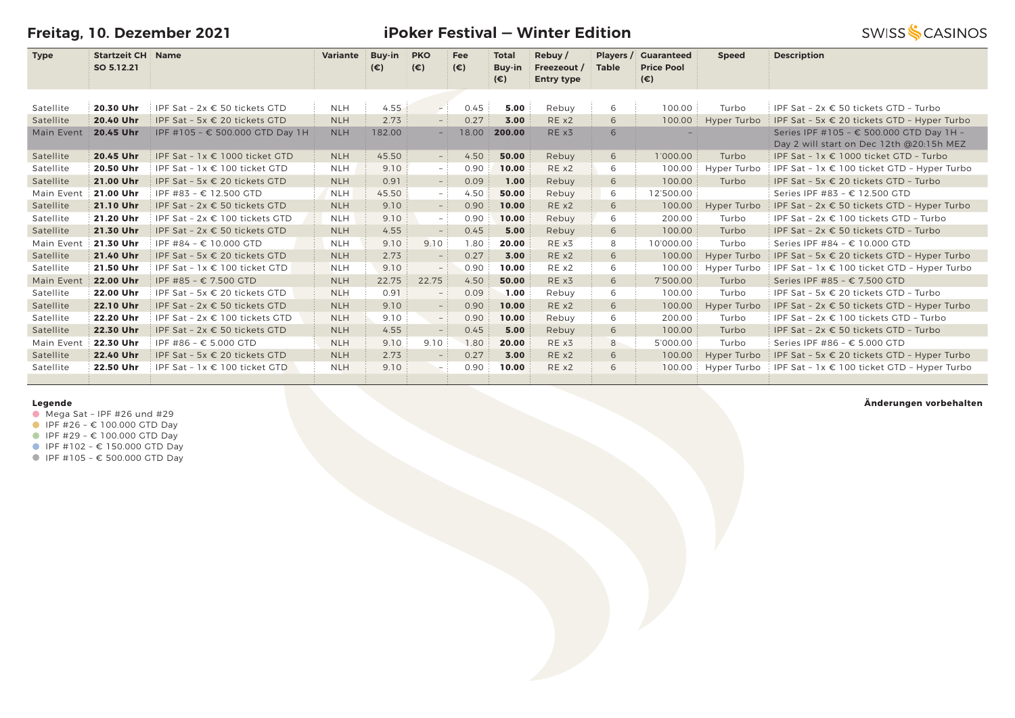**Freitag, 10. Dezember 2021**

**Type Startzeit CH Name SO 5.12.21**

**iPoker Festival — Winter Edition**

| <b>Name</b> | Variante Buv-in PKO |     |              |              | Fee Total Rebuy Players Guaranteed  |  | <b>Speed</b> | <b>Description</b> |
|-------------|---------------------|-----|--------------|--------------|-------------------------------------|--|--------------|--------------------|
|             |                     | (€) | $(\epsilon)$ |              | Buy-in Freezeout / Table Price Pool |  |              |                    |
|             |                     |     |              | $(\epsilon)$ | <b>Entry type</b>                   |  |              |                    |

| Satellite  | 20.30 Uhr | IPF Sat - $2x \in 50$ tickets GTD      | <b>NLH</b> | 4.55   | $-1$  | 0.45  | 5.00   | Rebuy | 6 | 100.00    | Turbo       | IPF Sat - $2x \in 50$ tickets GTD - Turbo                                            |
|------------|-----------|----------------------------------------|------------|--------|-------|-------|--------|-------|---|-----------|-------------|--------------------------------------------------------------------------------------|
| Satellite  | 20.40 Uhr | IPF Sat - 5x $\epsilon$ 20 tickets GTD | <b>NLH</b> | 2.73   | $-$ : | 0.27  | 3.00   | REX2  | 6 | 100.00    | Hyper Turbo | IPF Sat - 5x $\epsilon$ 20 tickets GTD - Hyper Turbo                                 |
| Main Event | 20.45 Uhr | IPF #105 - € 500.000 GTD Day 1H        | <b>NLH</b> | 182.00 | $-$   | 18.00 | 200.00 | RE x3 | 6 |           |             | Series IPF #105 - € 500.000 GTD Day 1H -<br>Day 2 will start on Dec 12th @20:15h MEZ |
| Satellite  | 20.45 Uhr | IPF Sat - $1x \in 1000$ ticket GTD     | <b>NLH</b> | 45.50  | $-$ : | 4.50  | 50.00  | Rebuy | 6 | 1'000.00  | Turbo       | IPF Sat - $1x \in 1000$ ticket GTD - Turbo                                           |
| Satellite  | 20.50 Uhr | IPF Sat - $1x \in 100$ ticket GTD      | <b>NLH</b> | 9.10   | $-1$  | 0.90  | 10.00  | REX2  | 6 | 100.00    | Hyper Turbo | IPF Sat - $1x \in 100$ ticket GTD - Hyper Turbo                                      |
| Satellite  | 21.00 Uhr | IPF Sat - 5x € 20 tickets GTD          | <b>NLH</b> | 0.91   | $-$ : | 0.09  | 1.00   | Rebuy | 6 | 100.00    | Turbo       | IPF Sat - 5x € 20 tickets GTD - Turbo                                                |
| Main Event | 21.00 Uhr | IPF #83 - € 12.500 GTD                 | <b>NLH</b> | 45.50  | $-$ : | 4.50  | 50.00  | Rebuy | 6 | 12'500.00 |             | Series IPF #83 - € 12.500 GTD                                                        |
| Satellite  | 21.10 Uhr | IPF Sat - $2x \in 50$ tickets GTD      | <b>NLH</b> | 9.10   | $-$ : | 0.90  | 10.00  | RE x2 | 6 | 100.00    | Hyper Turbo | IPF Sat - $2x \in 50$ tickets GTD - Hyper Turbo                                      |
| Satellite  | 21.20 Uhr | IPF Sat - $2x \in 100$ tickets GTD     | <b>NLH</b> | 9.10   | $-$ : | 0.90  | 10.00  | Rebuy | 6 | 200.00    | Turbo       | IPF Sat - $2x \in 100$ tickets GTD - Turbo                                           |
| Satellite  | 21.30 Uhr | IPF Sat - $2x \in 50$ tickets GTD      | <b>NLH</b> | 4.55   | $ \,$ | 0.45  | 5.00   | Rebuy | 6 | 100.00    | Turbo       | IPF Sat - $2x \in 50$ tickets GTD - Turbo                                            |
| Main Event | 21.30 Uhr | IPF #84 – € 10.000 GTD                 | <b>NLH</b> | 9.10   | 9.10  | 1.80  | 20.00  | RE x3 | 8 | 10'000.00 | Turbo       | Series IPF #84 - € 10.000 GTD                                                        |
| Satellite  | 21.40 Uhr | IPF Sat - 5x $\epsilon$ 20 tickets GTD | <b>NLH</b> | 2.73   |       | 0.27  | 3.00   | RE x2 | 6 | 100.00    | Hyper Turbo | IPF Sat - 5x $\epsilon$ 20 tickets GTD - Hyper Turbo                                 |
| Satellite  | 21.50 Uhr | IPF Sat - $1x \in 100$ ticket GTD      | <b>NLH</b> | 9.10   | $-$   | 0.90  | 10.00  | RE x2 | 6 | 100.00    | Hyper Turbo | IPF Sat - $1x \in 100$ ticket GTD - Hyper Turbo                                      |
| Main Event | 22.00 Uhr | IPF #85 - € 7.500 GTD                  | <b>NLH</b> | 22.75  | 22.75 | 4.50  | 50.00  | RE x3 | 6 | 7'500.00  | Turbo       | Series IPF #85 - € 7.500 GTD                                                         |
| Satellite  | 22.00 Uhr | IPF Sat - 5x € 20 tickets GTD          | <b>NLH</b> | 0.91   | $-$   | 0.09  | 1.00   | Rebuy | 6 | 100.00    | Turbo       | IPF Sat - 5x € 20 tickets GTD - Turbo                                                |
| Satellite  | 22.10 Uhr | IPF Sat - $2x \in 50$ tickets GTD      | <b>NLH</b> | 9.10   | $ \,$ | 0.90  | 10.00  | RE x2 | 6 | 100.00    | Hyper Turbo | IPF Sat - $2x \in 50$ tickets GTD - Hyper Turbo                                      |
| Satellite  | 22.20 Uhr | IPF Sat - $2x \in 100$ tickets GTD     | <b>NLH</b> | 9.10   | $-$ : | 0.90  | 10.00  | Rebuy | 6 | 200.00    | Turbo       | IPF Sat - $2x \in 100$ tickets GTD - Turbo                                           |
| Satellite  | 22.30 Uhr | IPF Sat - $2x \in 50$ tickets GTD      | <b>NLH</b> | 4.55   | $ \,$ | 0.45  | 5.00   | Rebuy | 6 | 100.00    | Turbo       | IPF Sat - $2x \in 50$ tickets GTD - Turbo                                            |
| Main Event | 22.30 Uhr | IPF #86 - € 5.000 GTD                  | <b>NLH</b> | 9.10   | 9.10  | 1.80  | 20.00  | RE x3 | 8 | 5'000.00  | Turbo       | Series IPF #86 - € 5.000 GTD                                                         |
| Satellite  | 22.40 Uhr | IPF Sat - 5x $\epsilon$ 20 tickets GTD | <b>NLH</b> | 2.73   | $ \,$ | 0.27  | 3.00   | RE x2 | 6 | 100.00    | Hyper Turbo | IPF Sat - 5x $\epsilon$ 20 tickets GTD - Hyper Turbo                                 |
| Satellite  | 22.50 Uhr | IPF Sat - $1x \in 100$ ticket GTD      | <b>NLH</b> | 9.10   | $-$ : | 0.90  | 10.00  | RE x2 | 6 | 100.00    | Hyper Turbo | IPF Sat - $1x \in 100$ ticket GTD - Hyper Turbo                                      |
|            |           |                                        |            |        |       |       |        |       |   |           |             |                                                                                      |

### **Legende**

- $\bullet$  Mega Sat IPF #26 und #29
- $I$  IPF #26 € 100.000 GTD Day
- IPF #29 € 100.000 GTD Day
- IPF #102 € 150.000 GTD Day
- IPF #105 € 500.000 GTD Day

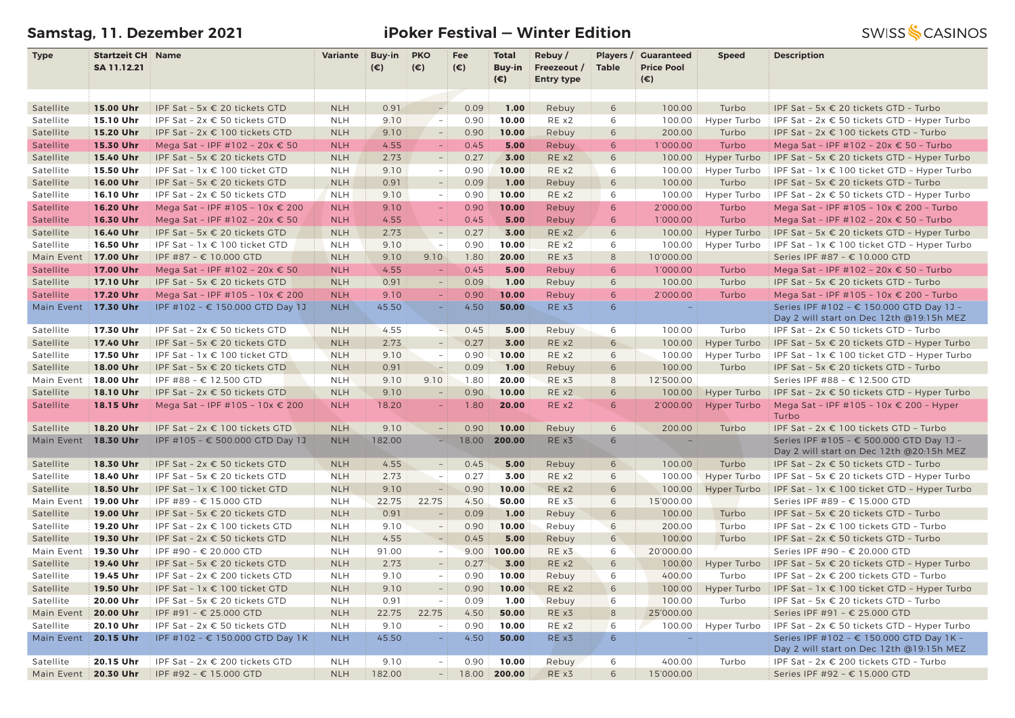# **Samstag, 11. Dezember 2021 iPoker Festival — Winter Edition**

| <b>Type</b> | <b>Startzeit CH Name</b> |                                        | <b>Variante</b> | Buy-in | <b>PKO</b>               | Fee          | <b>Total</b> | Rebuy/            | Players /    | <b>Guaranteed</b> | <b>Speed</b>       | <b>Description</b>                                   |
|-------------|--------------------------|----------------------------------------|-----------------|--------|--------------------------|--------------|--------------|-------------------|--------------|-------------------|--------------------|------------------------------------------------------|
|             | SA 11.12.21              |                                        |                 | (€)    | $(\epsilon)$             | $(\epsilon)$ | Buy-in       | Freezeout /       | <b>Table</b> | <b>Price Pool</b> |                    |                                                      |
|             |                          |                                        |                 |        |                          |              | $(\epsilon)$ | <b>Entry type</b> |              | $(\epsilon)$      |                    |                                                      |
|             |                          |                                        |                 |        |                          |              |              |                   |              |                   |                    |                                                      |
| Satellite   | 15.00 Uhr                | IPF Sat - 5x € 20 tickets GTD          | <b>NLH</b>      | 0.91   | $\overline{\phantom{a}}$ | 0.09         | 1.00         | Rebuy             | 6            | 100.00            | Turbo              | IPF Sat - 5x € 20 tickets GTD - Turbo                |
| Satellite   | 15.10 Uhr                | IPF Sat - 2x € 50 tickets GTD          | <b>NLH</b>      | 9.10   | $\sim$                   | 0.90         | 10.00        | RE x2             | 6            | 100.00            | Hyper Turbo        | IPF Sat - 2x € 50 tickets GTD - Hyper Turbo          |
| Satellite   | 15.20 Uhr                | IPF Sat - 2x € 100 tickets GTD         | <b>NLH</b>      | 9.10   | $\equiv$                 | 0.90         | 10.00        | Rebuy             | 6            | 200.00            | Turbo              | IPF Sat - 2x € 100 tickets GTD - Turbo               |
| Satellite   | 15.30 Uhr                | Mega Sat - IPF #102 - 20x € 50         | <b>NLH</b>      | 4.55   | $\equiv$                 | 0.45         | 5.00         | Rebuy             | 6            | 1'000.00          | Turbo              | Mega Sat - IPF #102 - 20x € 50 - Turbo               |
| Satellite   | 15.40 Uhr                | IPF Sat - 5x € 20 tickets GTD          | <b>NLH</b>      | 2.73   |                          | 0.27         | 3.00         | RE x2             | 6            | 100.00            | Hyper Turbo        | IPF Sat - 5x € 20 tickets GTD - Hyper Turbo          |
| Satellite   | 15.50 Uhr                | IPF Sat - 1x € 100 ticket GTD          | <b>NLH</b>      | 9.10   | $\sim$                   | 0.90         | 10.00        | RE x2             | 6            | 100.00            | Hyper Turbo        | IPF Sat - 1x € 100 ticket GTD - Hyper Turbo          |
| Satellite   | 16.00 Uhr                | IPF Sat - 5x € 20 tickets GTD          | <b>NLH</b>      | 0.91   | $\equiv$                 | 0.09         | 1.00         | Rebuy             | 6            | 100.00            | Turbo              | IPF Sat - 5x € 20 tickets GTD - Turbo                |
| Satellite   | 16.10 Uhr                | IPF Sat - $2x \in 50$ tickets GTD      | <b>NLH</b>      | 9.10   | $-1$                     | 0.90         | 10.00        | RE x2             | 6            | 100.00            | Hyper Turbo        | IPF Sat - $2x \in 50$ tickets GTD - Hyper Turbo      |
| Satellite   | 16.20 Uhr                | Mega Sat - IPF #105 - 10x € 200        | <b>NLH</b>      | 9.10   | $\equiv$                 | 0.90         | 10.00        | Rebuy             | 6            | 2'000.00          | Turbo              | Mega Sat - IPF #105 - 10x € 200 - Turbo              |
| Satellite   | 16.30 Uhr                | Mega Sat - IPF #102 - 20x € 50         | <b>NLH</b>      | 4.55   | $\equiv$                 | 0.45         | 5.00         | Rebuy             | 6            | 1'000.00          | Turbo              | Mega Sat - IPF #102 - 20x € 50 - Turbo               |
| Satellite   | 16.40 Uhr                | IPF Sat - 5x € 20 tickets GTD          | <b>NLH</b>      | 2.73   | $\overline{a}$           | 0.27         | 3.00         | RE x2             | 6            | 100.00            | Hyper Turbo        | IPF Sat - 5x $\epsilon$ 20 tickets GTD - Hyper Turbo |
| Satellite   | 16.50 Uhr                | IPF Sat - 1x € 100 ticket GTD          | <b>NLH</b>      | 9.10   | $\sim$ $-$               | 0.90         | 10.00        | RE x2             | 6            | 100.00            | Hyper Turbo        | IPF Sat - $1x \in 100$ ticket GTD - Hyper Turbo      |
| Main Event  | 17.00 Uhr                | IPF #87 - € 10.000 GTD                 | <b>NLH</b>      | 9.10   | 9.10                     | 1.80         | 20.00        | RE x3             | $\,8\,$      | 10'000.00         |                    | Series IPF #87 - € 10.000 GTD                        |
| Satellite   | 17.00 Uhr                | Mega Sat - IPF #102 - 20x € 50         | <b>NLH</b>      | 4.55   |                          | 0.45         | 5.00         | Rebuy             | 6            | 1'000.00          | Turbo              | Mega Sat - IPF #102 - 20x € 50 - Turbo               |
| Satellite   | 17.10 Uhr                | IPF Sat - 5x € 20 tickets GTD          | <b>NLH</b>      | 0.91   | $\overline{a}$           | 0.09         | 1.00         | Rebuy             | 6            | 100.00            | Turbo              | IPF Sat - 5x € 20 tickets GTD - Turbo                |
| Satellite   | 17.20 Uhr                | Mega Sat - IPF #105 - 10x € 200        | <b>NLH</b>      | 9.10   |                          | 0.90         | 10.00        | Rebuy             | 6            | 2'000.00          | Turbo              | Mega Sat - IPF #105 - 10x € 200 - Turbo              |
| Main Event  | 17.30 Uhr                | IPF #102 - € 150.000 GTD Day 1J        | <b>NLH</b>      | 45.50  | $\equiv$                 | 4.50         | 50.00        | RE x3             | 6            |                   |                    | Series IPF #102 - € 150.000 GTD Day 1J -             |
|             |                          |                                        |                 |        |                          |              |              |                   |              |                   |                    | Day 2 will start on Dec 12th @19:15h MEZ             |
| Satellite   | 17.30 Uhr                | IPF Sat - 2x € 50 tickets GTD          | <b>NLH</b>      | 4.55   | ъi                       | 0.45         | 5.00         | Rebuy             | 6            | 100.00            | Turbo              | IPF Sat - 2x € 50 tickets GTD - Turbo                |
| Satellite   | 17.40 Uhr                | IPF Sat - 5x € 20 tickets GTD          | <b>NLH</b>      | 2.73   |                          | 0.27         | 3.00         | RE x2             | 6            | 100.00            | Hyper Turbo        | IPF Sat - 5x $\epsilon$ 20 tickets GTD - Hyper Turbo |
| Satellite   | 17.50 Uhr                | IPF Sat - 1x € 100 ticket GTD          | <b>NLH</b>      | 9.10   | $\sim$                   | 0.90         | 10.00        | RE x2             | 6            | 100.00            | Hyper Turbo        | IPF Sat - $1x \in 100$ ticket GTD - Hyper Turbo      |
| Satellite   | 18.00 Uhr                | IPF Sat - 5x $\epsilon$ 20 tickets GTD | <b>NLH</b>      | 0.91   |                          | 0.09         | 1.00         | Rebuy             | 6            | 100.00            | Turbo              | IPF Sat - 5x € 20 tickets GTD - Turbo                |
| Main Event  | 18.00 Uhr                | IPF #88 - € 12.500 GTD                 | <b>NLH</b>      | 9.10   | 9.10                     | 1.80         | 20.00        | RE x3             | 8            | 12'500.00         |                    | Series IPF #88 - € 12.500 GTD                        |
| Satellite   | 18.10 Uhr                | IPF Sat - 2x € 50 tickets GTD          | <b>NLH</b>      | 9.10   | $\frac{1}{2}$            | 0.90         | 10.00        | RE x2             | 6            | 100.00            | Hyper Turbo        | IPF Sat - $2x \in 50$ tickets GTD - Hyper Turbo      |
| Satellite   | 18.15 Uhr                | Mega Sat - IPF #105 - 10x € 200        | <b>NLH</b>      | 18.20  |                          | 1.80         | 20.00        | REX2              | 6            | 2'000.00          | <b>Hyper Turbo</b> | Mega Sat - IPF #105 - 10x € 200 - Hyper              |
|             |                          |                                        |                 |        |                          |              |              |                   |              |                   |                    | Turbo                                                |
| Satellite   | 18.20 Uhr                | IPF Sat - 2x € 100 tickets GTD         | <b>NLH</b>      | 9.10   | $\sim$                   | 0.90         | 10.00        | Rebuy             | 6            | 200.00            | Turbo              | IPF Sat - 2x € 100 tickets GTD - Turbo               |
| Main Event  | 18.30 Uhr                | IPF #105 - € 500.000 GTD Day 1J        | <b>NLH</b>      | 182.00 | Ξ.                       | 18.00        | 200.00       | RE x3             | 6            | ÷.                |                    | Series IPF #105 - € 500.000 GTD Day 1J -             |
|             |                          |                                        |                 |        |                          |              |              |                   |              |                   |                    | Day 2 will start on Dec 12th @20:15h MEZ             |
| Satellite   | 18.30 Uhr                | IPF Sat - $2x \in 50$ tickets GTD      | <b>NLH</b>      | 4.55   | $\overline{\phantom{a}}$ | 0.45         | 5.00         | Rebuy             | 6            | 100.00            | Turbo              | IPF Sat - 2x € 50 tickets GTD - Turbo                |
| Satellite   | 18.40 Uhr                | IPF Sat - 5x € 20 tickets GTD          | <b>NLH</b>      | 2.73   | $\overline{\phantom{a}}$ | 0.27         | 3.00         | RE x2             | 6            | 100.00            | Hyper Turbo        | IPF Sat - 5x € 20 tickets GTD - Hyper Turbo          |
| Satellite   | 18.50 Uhr                | IPF Sat - 1x € 100 ticket GTD          | <b>NLH</b>      | 9.10   | $\equiv$                 | 0.90         | 10.00        | RE x2             | 6            | 100.00            | Hyper Turbo        | IPF Sat - 1x € 100 ticket GTD - Hyper Turbo          |
| Main Event  | 19.00 Uhr                | IPF #89 - € 15.000 GTD                 | <b>NLH</b>      | 22.75  | 22.75                    | 4.50         | 50.00        | RE x3             | 6            | 15'000.00         |                    | Series IPF #89 - € 15.000 GTD                        |
| Satellite   | 19.00 Uhr                | IPF Sat - 5x € 20 tickets GTD          | <b>NLH</b>      | 0.91   | $\equiv$                 | 0.09         | 1.00         | Rebuy             | 6            | 100.00            | Turbo              | IPF Sat - 5x € 20 tickets GTD - Turbo                |
| Satellite   | 19.20 Uhr                | IPF Sat - 2x € 100 tickets GTD         | <b>NLH</b>      | 9.10   | $\equiv$                 | 0.90         | 10.00        | Rebuy             | 6            | 200.00            | Turbo              | IPF Sat - 2x € 100 tickets GTD - Turbo               |
| Satellite   | 19.30 Uhr                | IPF Sat - 2x € 50 tickets GTD          | <b>NLH</b>      | 4.55   | $\overline{a}$           | 0.45         | 5.00         | Rebuy             | 6            | 100.00            | Turbo              | IPF Sat - 2x € 50 tickets GTD - Turbo                |
| Main Event  | 19.30 Uhr                | IPF #90 - € 20.000 GTD                 | <b>NLH</b>      | 91.00  | $\sim$                   | 9.00         | 100.00       | RE x3             | 6            | 20'000.00         |                    | Series IPF #90 - € 20.000 GTD                        |
| Satellite   | 19.40 Uhr                | IPF Sat - 5x € 20 tickets GTD          | <b>NLH</b>      | 2.73   | $\overline{\phantom{a}}$ | 0.27         | 3.00         | RE x2             | 6            | 100.00            | Hyper Turbo        | IPF Sat - 5x $\epsilon$ 20 tickets GTD - Hyper Turbo |
| Satellite   | 19.45 Uhr                | IPF Sat - 2x € 200 tickets GTD         | <b>NLH</b>      | 9.10   | $\equiv$                 | 0.90         | 10.00        | Rebuy             | 6            | 400.00            | Turbo              | IPF Sat - 2x € 200 tickets GTD - Turbo               |
| Satellite   | 19.50 Uhr                | IPF Sat - 1x € 100 ticket GTD          | <b>NLH</b>      | 9.10   | $\frac{1}{2}$            | 0.90         | 10.00        | REX2              | 6            | 100.00            | Hyper Turbo        | IPF Sat - 1x € 100 ticket GTD - Hyper Turbo          |
| Satellite   | 20.00 Uhr                | IPF Sat - 5x € 20 tickets GTD          | <b>NLH</b>      | 0.91   | $\overline{\phantom{a}}$ | 0.09         | 1.00         | Rebuy             | 6            | 100.00            | Turbo              | IPF Sat - 5x € 20 tickets GTD - Turbo                |
| Main Event  | 20.00 Uhr                | IPF #91 - € 25.000 GTD                 | <b>NLH</b>      | 22.75  | 22.75                    | 4.50         | 50.00        | RE x3             | 8            | 25'000.00         |                    | Series IPF #91 - € 25.000 GTD                        |
| Satellite   | 20.10 Uhr                | IPF Sat - 2x € 50 tickets GTD          | <b>NLH</b>      | 9.10   | $\sim$                   | 0.90         | 10.00        | RE x2             | 6            | 100.00            | Hyper Turbo        | IPF Sat - $2x \in 50$ tickets GTD - Hyper Turbo      |
| Main Event  | 20.15 Uhr                | IPF #102 - € 150.000 GTD Day 1K        | <b>NLH</b>      | 45.50  | $\equiv$                 | 4.50         | 50.00        | RE x3             | 6            | $\sim$            |                    | Series IPF #102 - € 150.000 GTD Day 1K -             |
|             |                          |                                        |                 |        |                          |              |              |                   |              |                   |                    | Day 2 will start on Dec 12th @19:15h MEZ             |
| Satellite   | 20.15 Uhr                | IPF Sat - 2x € 200 tickets GTD         | <b>NLH</b>      | 9.10   | $-1$                     | 0.90         | 10.00        | Rebuy             | 6            | 400.00            | Turbo              | IPF Sat - 2x € 200 tickets GTD - Turbo               |
| Main Event  | 20.30 Uhr                | IPF #92 - € 15.000 GTD                 | <b>NLH</b>      | 182.00 | $-1$                     | 18.00        | 200.00       | RE x3             | 6            | 15'000.00         |                    | Series IPF #92 - € 15.000 GTD                        |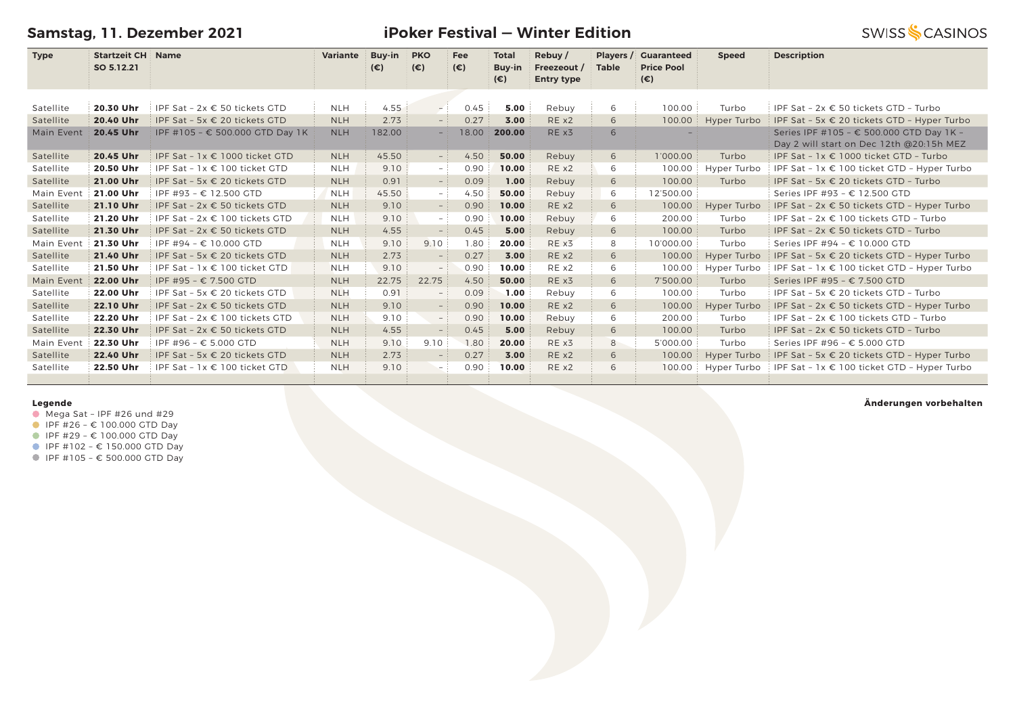**Samstag, 11. Dezember 2021**

**Name Variante Buy-in PKO**

**Type Startzeit CH** Name **SO 5.12.21**

**iPoker Festival — Winter Edition Total** 

**Rebuy /** 

**Players / Guaranteed** 

 **Speed Description**

|                                                |               | $(\epsilon)$ | (€) | (€) | $(\epsilon)$ | Buy-in Freezeout / Table Price Pool<br><b>Entry type</b> |       |          |
|------------------------------------------------|---------------|--------------|-----|-----|--------------|----------------------------------------------------------|-------|----------|
| $C_{AB} = 2 \times C_{AB}$ is the state of $D$ | <b>ALL LI</b> |              |     |     | E OO<br>0.65 | Dobini                                                   | 10000 | Turale e |

**Fee**

| Satellite  | 20.30 Uhr | IPF Sat - $2x \in 50$ tickets GTD      | <b>NLH</b> | 4.55   | $-1$                     | 0.45  | 5.00   | Rebuy | 6 | 100.00    | Turbo       | IPF Sat - $2x \in 50$ tickets GTD - Turbo                                            |
|------------|-----------|----------------------------------------|------------|--------|--------------------------|-------|--------|-------|---|-----------|-------------|--------------------------------------------------------------------------------------|
| Satellite  | 20.40 Uhr | IPF Sat - 5x $\epsilon$ 20 tickets GTD | <b>NLH</b> | 2.73   | $-$ 1                    | 0.27  | 3.00   | REX2  | 6 | 100.00    | Hyper Turbo | IPF Sat - 5x € 20 tickets GTD - Hyper Turbo                                          |
| Main Event | 20.45 Uhr | IPF #105 - € 500.000 GTD Day 1K        | <b>NLH</b> | 182.00 | $-$                      | 18.00 | 200.00 | RE x3 | 6 |           |             | Series IPF #105 - € 500.000 GTD Day 1K -<br>Day 2 will start on Dec 12th @20:15h MEZ |
| Satellite  | 20.45 Uhr | IPF Sat - $1x \in 1000$ ticket GTD     | <b>NLH</b> | 45.50  | $-$ :                    | 4.50  | 50.00  | Rebuy | 6 | 1'000.00  | Turbo       | IPF Sat - $1x \in 1000$ ticket GTD - Turbo                                           |
| Satellite  | 20.50 Uhr | IPF Sat - $1x \in 100$ ticket GTD      | <b>NLH</b> | 9.10   | $-1$                     | 0.90  | 10.00  | RE x2 | 6 | 100.00    | Hyper Turbo | IPF Sat - $1x \in 100$ ticket GTD - Hyper Turbo                                      |
| Satellite  | 21.00 Uhr | IPF Sat - $5x \in 20$ tickets GTD      | <b>NLH</b> | 0.91   | $-$ :                    | 0.09  | 1.00   | Rebuy | 6 | 100.00    | Turbo       | IPF Sat - 5x € 20 tickets GTD - Turbo                                                |
| Main Event | 21.00 Uhr | IPF #93 - € 12.500 GTD                 | <b>NLH</b> | 45.50  | $-1$                     | 4.50  | 50.00  | Rebuy | 6 | 12'500.00 |             | Series IPF #93 - € 12.500 GTD                                                        |
| Satellite  | 21.10 Uhr | IPF Sat - $2x \in 50$ tickets GTD      | <b>NLH</b> | 9.10   |                          | 0.90  | 10.00  | RE x2 | 6 | 100.00    | Hyper Turbo | IPF Sat - $2x \in 50$ tickets GTD - Hyper Turbo                                      |
| Satellite  | 21.20 Uhr | IPF Sat - $2x \in 100$ tickets GTD     | <b>NLH</b> | 9.10   | $-1$                     | 0.90  | 10.00  | Rebuy | 6 | 200.00    | Turbo       | IPF Sat - $2x \in 100$ tickets GTD - Turbo                                           |
| Satellite  | 21.30 Uhr | IPF Sat - $2x \in 50$ tickets GTD      | <b>NLH</b> | 4.55   | $\overline{\phantom{0}}$ | 0.45  | 5.00   | Rebuy | 6 | 100.00    | Turbo       | IPF Sat - 2x € 50 tickets GTD - Turbo                                                |
| Main Event | 21.30 Uhr | IPF #94 - € 10.000 GTD                 | <b>NLH</b> | 9.10   | 9.10                     | 1.80  | 20.00  | RE x3 | 8 | 10'000.00 | Turbo       | Series IPF #94 - € 10.000 GTD                                                        |
| Satellite  | 21.40 Uhr | IPF Sat - 5x $\epsilon$ 20 tickets GTD | <b>NLH</b> | 2.73   | $\overline{\phantom{0}}$ | 0.27  | 3.00   | REX2  | 6 | 100.00    | Hyper Turbo | IPF Sat - 5x $\epsilon$ 20 tickets GTD - Hyper Turbo                                 |
| Satellite  | 21.50 Uhr | IPF Sat - $1x \in 100$ ticket GTD      | <b>NLH</b> | 9.10   | $-$                      | 0.90  | 10.00  | RE x2 | 6 | 100.00    | Hyper Turbo | IPF Sat - $1x \in 100$ ticket GTD - Hyper Turbo                                      |
| Main Event | 22.00 Uhr | IPF #95 - € 7.500 GTD                  | <b>NLH</b> | 22.75  | 22.75                    | 4.50  | 50.00  | RE x3 | 6 | 7'500.00  | Turbo       | Series IPF #95 - € 7.500 GTD                                                         |
| Satellite  | 22.00 Uhr | IPF Sat - 5x $\epsilon$ 20 tickets GTD | <b>NLH</b> | 0.91   |                          | 0.09  | 1.00   | Rebuy | 6 | 100.00    | Turbo       | IPF Sat - 5x $\epsilon$ 20 tickets GTD - Turbo                                       |
| Satellite  | 22.10 Uhr | IPF Sat - $2x \in 50$ tickets GTD      | <b>NLH</b> | 9.10   |                          | 0.90  | 10.00  | REX2  | 6 | 100.00    | Hyper Turbo | IPF Sat - $2x \in 50$ tickets GTD - Hyper Turbo                                      |
| Satellite  | 22.20 Uhr | IPF Sat - $2x \in 100$ tickets GTD     | <b>NLH</b> | 9.10   | $-$ :                    | 0.90  | 10.00  | Rebuy | 6 | 200.00    | Turbo       | IPF Sat - $2x \in 100$ tickets GTD - Turbo                                           |
| Satellite  | 22.30 Uhr | IPF Sat - $2x \in 50$ tickets GTD      | <b>NLH</b> | 4.55   | $\overline{\phantom{0}}$ | 0.45  | 5.00   | Rebuy | 6 | 100.00    | Turbo       | IPF Sat - 2x € 50 tickets GTD - Turbo                                                |
| Main Event | 22.30 Uhr | IPF #96 - € 5.000 GTD                  | <b>NLH</b> | 9.10   | 9.10                     | 1.80  | 20.00  | RE x3 | 8 | 5'000.00  | Turbo       | Series IPF #96 - € 5.000 GTD                                                         |
| Satellite  | 22.40 Uhr | IPF Sat - 5x $\epsilon$ 20 tickets GTD | <b>NLH</b> | 2.73   |                          | 0.27  | 3.00   | RE x2 | 6 | 100.00    | Hyper Turbo | IPF Sat - 5x € 20 tickets GTD - Hyper Turbo                                          |
| Satellite  | 22.50 Uhr | IPF Sat - $1x \in 100$ ticket GTD      | <b>NLH</b> | 9.10   | $ -$                     | 0.90  | 10.00  | RE x2 | 6 | 100.00    | Hyper Turbo | IPF Sat - $1x \in 100$ ticket GTD - Hyper Turbo                                      |
|            |           |                                        |            |        |                          |       |        |       |   |           |             |                                                                                      |

### **Legende**

- $\bullet$  Mega Sat IPF #26 und #29
- $I$  IPF #26 € 100.000 GTD Day
- IPF #29 € 100.000 GTD Day
- IPF #102 € 150.000 GTD Day
- IPF #105 € 500.000 GTD Day

### **Änderungen vorbehalten**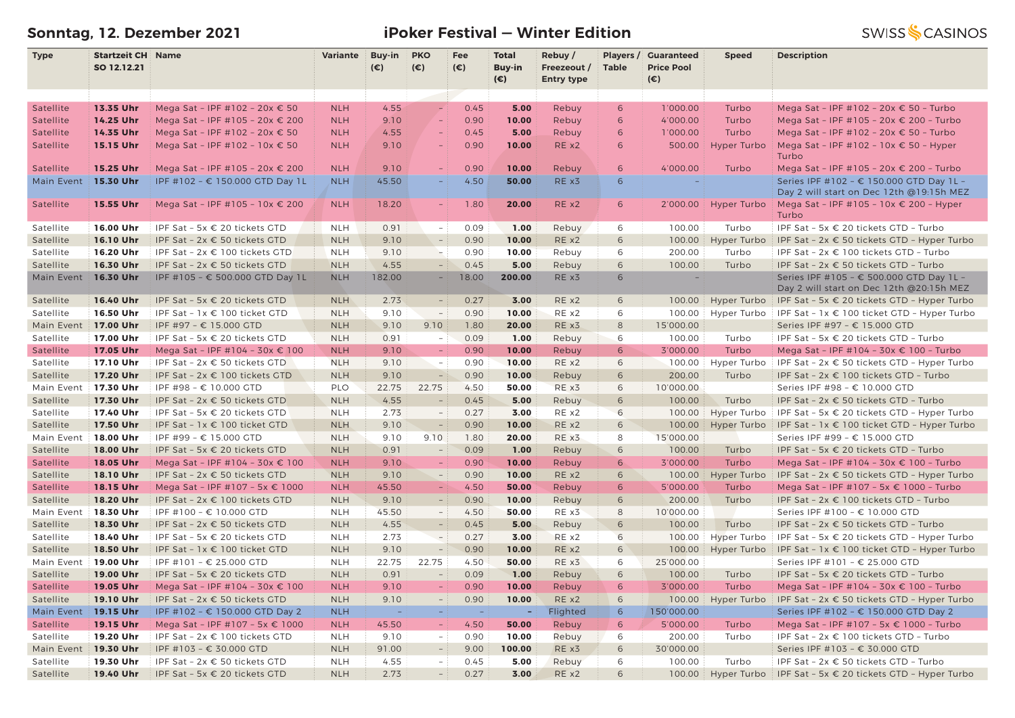# **Sonntag, 12. Dezember 2021 iPoker Festival — Winter Edition**

**SWISS & CASINOS** 

| <b>Type</b> | <b>Startzeit CH Name</b> |                                 | Variante   | Buy-in                   | <b>PKO</b>               | Fee          | <b>Total</b>  | Rebuy/            |                 | Players / Guaranteed | <b>Speed</b> | <b>Description</b>                                                     |
|-------------|--------------------------|---------------------------------|------------|--------------------------|--------------------------|--------------|---------------|-------------------|-----------------|----------------------|--------------|------------------------------------------------------------------------|
|             | SO 12.12.21              |                                 |            | $(\epsilon)$             | $(\epsilon)$             | $(\epsilon)$ | <b>Buy-in</b> | Freezeout /       | <b>Table</b>    | <b>Price Pool</b>    |              |                                                                        |
|             |                          |                                 |            |                          |                          |              | $(\epsilon)$  | <b>Entry type</b> |                 | (€)                  |              |                                                                        |
|             |                          |                                 |            |                          |                          |              |               |                   |                 |                      |              |                                                                        |
| Satellite   | 13.35 Uhr                | Mega Sat - IPF #102 - 20x € 50  | <b>NLH</b> | 4.55                     | $\sim$                   | 0.45         | 5.00          | Rebuy             | 6               | 1'000.00             | Turbo        | Mega Sat - IPF #102 - 20x € 50 - Turbo                                 |
| Satellite   | 14.25 Uhr                | Mega Sat - IPF #105 - 20x € 200 | <b>NLH</b> | 9.10                     | $\equiv$                 | 0.90         | 10.00         | Rebuy             | 6               | 4'000.00             | Turbo        | Mega Sat - IPF #105 - 20x € 200 - Turbo                                |
| Satellite   | 14.35 Uhr                | Mega Sat - IPF #102 - 20x € 50  | <b>NLH</b> | 4.55                     |                          | 0.45         | 5.00          | Rebuy             | 6               | 1'000.00             | Turbo        | Mega Sat - IPF #102 - 20x € 50 - Turbo                                 |
| Satellite   | 15.15 Uhr                | Mega Sat - IPF #102 - 10x € 50  | <b>NLH</b> | 9.10                     |                          | 0.90         | 10.00         | RE x2             | 6               | 500.00               | Hyper Turbo  | Mega Sat - IPF #102 - 10x $\epsilon$ 50 - Hyper                        |
|             |                          |                                 |            |                          |                          |              |               |                   |                 |                      |              | Turbo                                                                  |
| Satellite   | 15.25 Uhr                | Mega Sat - IPF #105 - 20x € 200 | <b>NLH</b> | 9.10                     |                          | 0.90         | 10.00         | Rebuy             | 6               | 4'000.00             | Turbo        | Mega Sat - IPF #105 - 20x € 200 - Turbo                                |
| Main Event  | 15.30 Uhr                | IPF #102 - € 150.000 GTD Day 1L | <b>NLH</b> | 45.50                    | $\equiv$                 | 4.50         | 50.00         | RE x3             | 6               |                      |              | Series IPF #102 - € 150.000 GTD Day 1L -                               |
|             |                          |                                 |            |                          |                          |              |               |                   |                 |                      |              | Day 2 will start on Dec 12th @19:15h MEZ                               |
| Satellite   | 15.55 Uhr                | Mega Sat - IPF #105 - 10x € 200 | <b>NLH</b> | 18.20                    | $\equiv$                 | 1.80         | 20.00         | RE x2             | 6               | 2'000.00             | Hyper Turbo  | Mega Sat - IPF #105 - 10x € 200 - Hyper                                |
|             |                          |                                 |            |                          |                          |              |               |                   |                 |                      |              | Turbo                                                                  |
| Satellite   | 16.00 Uhr                | IPF Sat - 5x € 20 tickets GTD   | <b>NLH</b> | 0.91                     | $-1$                     | 0.09         | 1.00          | Rebuy             | 6               | 100.00               | Turbo        | IPF Sat - 5x € 20 tickets GTD - Turbo                                  |
| Satellite   | 16.10 Uhr                | IPF Sat - 2x € 50 tickets GTD   | <b>NLH</b> | 9.10                     | $\overline{\phantom{a}}$ | 0.90         | 10.00         | RE x2             | 6               | 100.00               | Hyper Turbo  | IPF Sat - $2x \in 50$ tickets GTD - Hyper Turbo                        |
| Satellite   | 16.20 Uhr                | IPF Sat - 2x € 100 tickets GTD  | <b>NLH</b> | 9.10                     | $-$                      | 0.90         | 10.00         | Rebuy             | 6               | 200.00               | Turbo        | IPF Sat - 2x € 100 tickets GTD - Turbo                                 |
| Satellite   | 16.30 Uhr                | IPF Sat - 2x € 50 tickets GTD   | <b>NLH</b> | 4.55                     | $\equiv$                 | 0.45         | 5.00          | Rebuy             | 6               | 100.00               | Turbo        | IPF Sat - 2x € 50 tickets GTD - Turbo                                  |
| Main Event  | 16.30 Uhr                | IPF #105 - € 500.000 GTD Day 1L | <b>NLH</b> | 182.00                   |                          | 18.00        | 200.00        | REX3              | 6               |                      |              | Series IPF #105 - € 500.000 GTD Day 1L -                               |
|             |                          |                                 |            |                          |                          |              |               |                   |                 |                      |              | Day 2 will start on Dec 12th @20:15h MEZ                               |
| Satellite   | 16.40 Uhr                | IPF Sat - 5x € 20 tickets GTD   | <b>NLH</b> | 2.73                     |                          | 0.27         | 3.00          | RE x2             | 6               | 100.00               | Hyper Turbo  | <b>IPF Sat - 5x <math>\epsilon</math> 20 tickets GTD - Hyper Turbo</b> |
| Satellite   | 16.50 Uhr                | IPF Sat - 1x € 100 ticket GTD   | <b>NLH</b> | 9.10                     | $\sim$                   | 0.90         | 10.00         | RE x2             | 6               | 100.00               | Hyper Turbo  | IPF Sat - $1x \in 100$ ticket GTD - Hyper Turbo                        |
| Main Event  | 17.00 Uhr                | IPF #97 - € 15.000 GTD          | <b>NLH</b> | 9.10                     | 9.10                     | 1.80         | 20.00         | RE x3             | 8               | 15'000.00            |              | Series IPF #97 - € 15.000 GTD                                          |
| Satellite   | 17.00 Uhr                | IPF Sat - 5x € 20 tickets GTD   | <b>NLH</b> | 0.91                     | $\sim$                   | 0.09         | 1.00          | Rebuy             | 6               | 100.00               | Turbo        | IPF Sat - 5x € 20 tickets GTD - Turbo                                  |
| Satellite   | 17.05 Uhr                | Mega Sat - IPF #104 - 30x € 100 | <b>NLH</b> | 9.10                     | $\equiv$                 | 0.90         | 10.00         | Rebuy             | 6               | 3'000.00             | Turbo        | Mega Sat - IPF #104 - 30x € 100 - Turbo                                |
| Satellite   | 17.10 Uhr                | IPF Sat - 2x € 50 tickets GTD   | <b>NLH</b> | 9.10                     | $\sim$                   | 0.90         | 10.00         | RE x2             | 6               | 100.00               | Hyper Turbo  | IPF Sat - $2x \in 50$ tickets GTD - Hyper Turbo                        |
| Satellite   | 17.20 Uhr                | IPF Sat - 2x € 100 tickets GTD  | <b>NLH</b> | 9.10                     | $\equiv$                 | 0.90         | 10.00         | Rebuy             | 6               | 200.00               | Turbo        | IPF Sat - 2x € 100 tickets GTD - Turbo                                 |
| Main Event  | 17.30 Uhr                | IPF #98 - € 10.000 GTD          | <b>PLO</b> | 22.75                    | 22.75                    | 4.50         | 50.00         | RE x3             | 6               | 10'000.00            |              | Series IPF #98 - € 10.000 GTD                                          |
| Satellite   | 17.30 Uhr                | IPF Sat - 2x € 50 tickets GTD   | <b>NLH</b> | 4.55                     | $\overline{a}$           | 0.45         | 5.00          | Rebuy             | 6               | 100.00               | Turbo        | IPF Sat - $2x \in 50$ tickets GTD - Turbo                              |
| Satellite   | 17.40 Uhr                | IPF Sat - 5x € 20 tickets GTD   | <b>NLH</b> | 2.73                     | $\sim$                   | 0.27         | 3.00          | RE x2             | 6               | 100.00               | Hyper Turbo  | IPF Sat - 5x $\epsilon$ 20 tickets GTD - Hyper Turbo                   |
| Satellite   | 17.50 Uhr                | IPF Sat - 1x € 100 ticket GTD   | <b>NLH</b> | 9.10                     | $\equiv$                 | 0.90         | 10.00         | RE x2             | 6               | 100.00               | Hyper Turbo  | IPF Sat - $1x \in 100$ ticket GTD - Hyper Turbo                        |
| Main Event  | 18.00 Uhr                | IPF #99 - € 15.000 GTD          | <b>NLH</b> | 9.10                     | 9.10                     | 1.80         | 20.00         | RE x3             | 8               | 15'000.00            |              | Series IPF #99 - € 15.000 GTD                                          |
| Satellite   | 18.00 Uhr                | IPF Sat - 5x € 20 tickets GTD   | <b>NLH</b> | 0.91                     | $\overline{\phantom{a}}$ | 0.09         | 1.00          | Rebuy             | 6               | 100.00               | Turbo        | IPF Sat - 5x € 20 tickets GTD - Turbo                                  |
| Satellite   | 18.05 Uhr                | Mega Sat - IPF #104 - 30x € 100 | <b>NLH</b> | 9.10                     |                          | 0.90         | 10.00         | Rebuy             | 6               | 3'000.00             | Turbo        | Mega Sat - IPF #104 - 30x € 100 - Turbo                                |
| Satellite   | 18.10 Uhr                | IPF Sat - 2x € 50 tickets GTD   | <b>NLH</b> | 9.10                     | $\overline{\phantom{a}}$ | 0.90         | 10.00         | REX2              | 6               | 100.00               | Hyper Turbo  | IPF Sat - $2x \in 50$ tickets GTD - Hyper Turbo                        |
| Satellite   | 18.15 Uhr                | Mega Sat - IPF #107 - 5x € 1000 | <b>NLH</b> | 45.50                    |                          | 4.50         | 50.00         | Rebuy             | 6               | 5'000.00             | Turbo        | Mega Sat - IPF #107 - 5x € 1000 - Turbo                                |
| Satellite   | 18.20 Uhr                | IPF Sat - 2x € 100 tickets GTD  | <b>NLH</b> | 9.10                     | $\equiv$                 | 0.90         | 10.00         | Rebuy             | 6               | 200.00               | Turbo        | IPF Sat - 2x € 100 tickets GTD - Turbo                                 |
| Main Event  | 18.30 Uhr                | IPF #100 - € 10.000 GTD         | <b>NLH</b> | 45.50                    | - 1                      | 4.50         | 50.00         | RE x3             | 8               | 10'000.00            |              | Series IPF #100 - € 10.000 GTD                                         |
| Satellite   | 18.30 Uhr                | IPF Sat - 2x € 50 tickets GTD   | <b>NLH</b> | 4.55                     | $\overline{\phantom{a}}$ | 0.45         | 5.00          | Rebuy             | 6               | 100.00               | Turbo        | IPF Sat - 2x € 50 tickets GTD - Turbo                                  |
| Satellite   | 18.40 Uhr                | IPF Sat - 5x € 20 tickets GTD   | <b>NLH</b> | 2.73                     | $\overline{a}$           | 0.27         | 3.00          | REX2              | 6               | 100.00               | Hyper Turbo  | IPF Sat - 5x € 20 tickets GTD - Hyper Turbo                            |
| Satellite   | 18.50 Uhr                | IPF Sat - 1x € 100 ticket GTD   | <b>NLH</b> | 9.10                     | $\overline{\phantom{a}}$ | 0.90         | 10.00         | RE x2             | 6               | 100.00               | Hyper Turbo  | IPF Sat - 1x € 100 ticket GTD - Hyper Turbo                            |
| Main Event  | 19.00 Uhr                | IPF #101 - € 25.000 GTD         | <b>NLH</b> | 22.75                    | 22.75                    | 4.50         | 50.00         | REX3              | 6               | 25'000.00            |              | Series IPF #101 - € 25.000 GTD                                         |
| Satellite   | 19.00 Uhr                | IPF Sat - 5x € 20 tickets GTD   | <b>NLH</b> | 0.91                     | $\overline{\phantom{a}}$ | 0.09         | 1.00          | Rebuy             | 6               | 100.00               | Turbo        | IPF Sat - 5x € 20 tickets GTD - Turbo                                  |
| Satellite   | 19.05 Uhr                | Mega Sat - IPF #104 - 30x € 100 | <b>NLH</b> | 9.10                     |                          | 0.90         | 10.00         | Rebuy             | 6               | 3'000.00             | Turbo        | Mega Sat - IPF #104 - 30x € 100 - Turbo                                |
| Satellite   | 19.10 Uhr                | IPF Sat - 2x € 50 tickets GTD   | <b>NLH</b> | 9.10                     | $\overline{\phantom{a}}$ | 0.90         | 10.00         | RE x2             | 6               | 100.00               | Hyper Turbo  | IPF Sat - $2x \in 50$ tickets GTD - Hyper Turbo                        |
| Main Event  | 19.15 Uhr                | IPF #102 - € 150.000 GTD Day 2  | <b>NLH</b> | $\overline{\phantom{a}}$ | $\equiv$                 | $\equiv$     | н             | Flighted          | 6               | 150'000.00           |              | Series IPF #102 - € 150.000 GTD Day 2                                  |
| Satellite   | 19.15 Uhr                | Mega Sat - IPF #107 - 5x € 1000 | <b>NLH</b> | 45.50                    | $-$ :                    | 4.50         | 50.00         | Rebuy             | 6               | 5'000.00             | Turbo        | Mega Sat - IPF #107 - 5x € 1000 - Turbo                                |
| Satellite   | 19.20 Uhr                | IPF Sat - 2x € 100 tickets GTD  | <b>NLH</b> | 9.10                     | $\sim$                   | 0.90         | 10.00         | Rebuy             | 6               | 200.00               | Turbo        | IPF Sat - 2x € 100 tickets GTD - Turbo                                 |
| Main Event  | 19.30 Uhr                | IPF #103 - € 30.000 GTD         | <b>NLH</b> | 91.00                    | $\equiv$                 | 9.00         | 100.00        | RE x3             | 6               | 30'000.00            |              | Series IPF #103 - € 30.000 GTD                                         |
| Satellite   | 19.30 Uhr                | IPF Sat - 2x € 50 tickets GTD   | <b>NLH</b> | 4.55                     | $\overline{\phantom{a}}$ | 0.45         | 5.00          | Rebuy             | 6               | 100.00               | Turbo        | IPF Sat - 2x € 50 tickets GTD - Turbo                                  |
| Satellite   | 19.40 Uhr                | IPF Sat - 5x € 20 tickets GTD   | <b>NLH</b> | 2.73                     | $\overline{a}$           | 0.27         | 3.00          | RE x2             | $6\overline{6}$ | 100.00               | Hyper Turbo  | IPF Sat - 5x € 20 tickets GTD - Hyper Turbo                            |